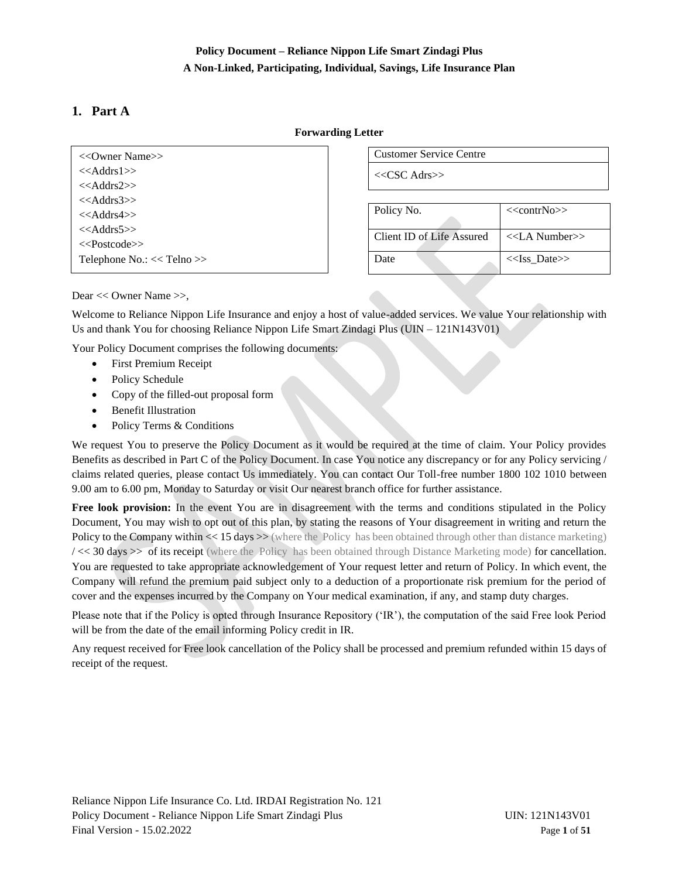# **Policy Document – Reliance Nippon Life Smart Zindagi Plus A Non-Linked, Participating, Individual, Savings, Life Insurance Plan**

# <span id="page-0-0"></span>**1. Part A**

## **Forwarding Letter**

| $<<$ Addrs1>>                  |
|--------------------------------|
| $<<$ Addrs2>>                  |
| $<<$ Addrs3>>                  |
| $<<$ Addrs4 $>>$               |
| $<<$ Addrs5>>                  |
| < <postcode>&gt;</postcode>    |
| Telephone $No.: <<$ Telno $>>$ |

Customer Service Centre

<<CSC Adrs>>

| Policy No.                | $<<$ contrNo>>      |
|---------------------------|---------------------|
| Client ID of Life Assured | $<<$ LA Number $>>$ |
| )ate                      | $<<$ Iss Date>>     |

Dear << Owner Name >>,

Welcome to Reliance Nippon Life Insurance and enjoy a host of value-added services. We value Your relationship with Us and thank You for choosing Reliance Nippon Life Smart Zindagi Plus (UIN – 121N143V01)

Your Policy Document comprises the following documents:

- First Premium Receipt
- Policy Schedule
- Copy of the filled-out proposal form
- Benefit Illustration
- Policy Terms & Conditions

We request You to preserve the Policy Document as it would be required at the time of claim. Your Policy provides Benefits as described in Part C of the Policy Document. In case You notice any discrepancy or for any Policy servicing / claims related queries, please contact Us immediately. You can contact Our Toll-free number 1800 102 1010 between 9.00 am to 6.00 pm, Monday to Saturday or visit Our nearest branch office for further assistance.

**Free look provision:** In the event You are in disagreement with the terms and conditions stipulated in the Policy Document, You may wish to opt out of this plan, by stating the reasons of Your disagreement in writing and return the Policy to the Company within  $\ll$  15 days  $\gg$  (where the Policy has been obtained through other than distance marketing) / << 30 days >> of its receipt (where the Policy has been obtained through Distance Marketing mode) for cancellation. You are requested to take appropriate acknowledgement of Your request letter and return of Policy. In which event, the Company will refund the premium paid subject only to a deduction of a proportionate risk premium for the period of cover and the expenses incurred by the Company on Your medical examination, if any, and stamp duty charges.

Please note that if the Policy is opted through Insurance Repository ('IR'), the computation of the said Free look Period will be from the date of the email informing Policy credit in IR.

Any request received for Free look cancellation of the Policy shall be processed and premium refunded within 15 days of receipt of the request.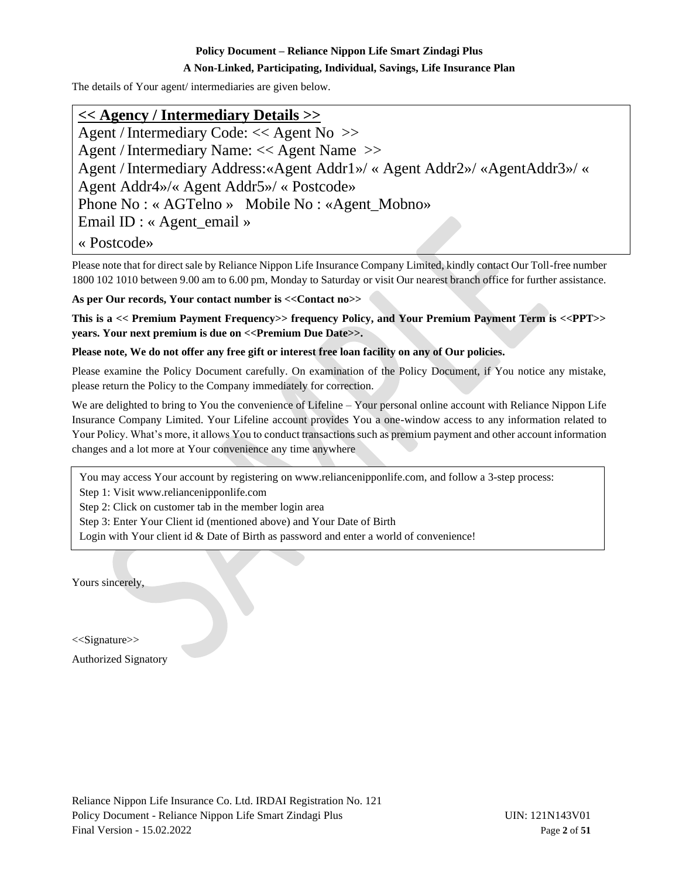## **A Non-Linked, Participating, Individual, Savings, Life Insurance Plan**

The details of Your agent/ intermediaries are given below.

# **<< Agency / Intermediary Details >>**

Agent / Intermediary Code: << Agent No >> Agent / Intermediary Name: << Agent Name >> Agent / Intermediary Address:«Agent Addr1»/ « Agent Addr2»/ «AgentAddr3»/ « Agent Addr4»/« Agent Addr5»/ « Postcode» Phone No : « AGTelno » Mobile No : «Agent\_Mobno» Email ID : « Agent\_email »

« Postcode»

Please note that for direct sale by Reliance Nippon Life Insurance Company Limited, kindly contact Our Toll-free number 1800 102 1010 between 9.00 am to 6.00 pm, Monday to Saturday or visit Our nearest branch office for further assistance.

**As per Our records, Your contact number is <<Contact no>>**

**This is a << Premium Payment Frequency>> frequency Policy, and Your Premium Payment Term is <<PPT>> years. Your next premium is due on <<Premium Due Date>>.** 

**Please note, We do not offer any free gift or interest free loan facility on any of Our policies.**

Please examine the Policy Document carefully. On examination of the Policy Document, if You notice any mistake, please return the Policy to the Company immediately for correction.

We are delighted to bring to You the convenience of Lifeline – Your personal online account with Reliance Nippon Life Insurance Company Limited. Your Lifeline account provides You a one-window access to any information related to Your Policy. What's more, it allows You to conduct transactions such as premium payment and other account information changes and a lot more at Your convenience any time anywhere

You may access Your account by registering on www.reliancenipponlife.com, and follow a 3-step process:

Step 1: Visit www.reliancenipponlife.com

Step 2: Click on customer tab in the member login area

Step 3: Enter Your Client id (mentioned above) and Your Date of Birth

Login with Your client id & Date of Birth as password and enter a world of convenience!

Yours sincerely,

<<Signature>>

Authorized Signatory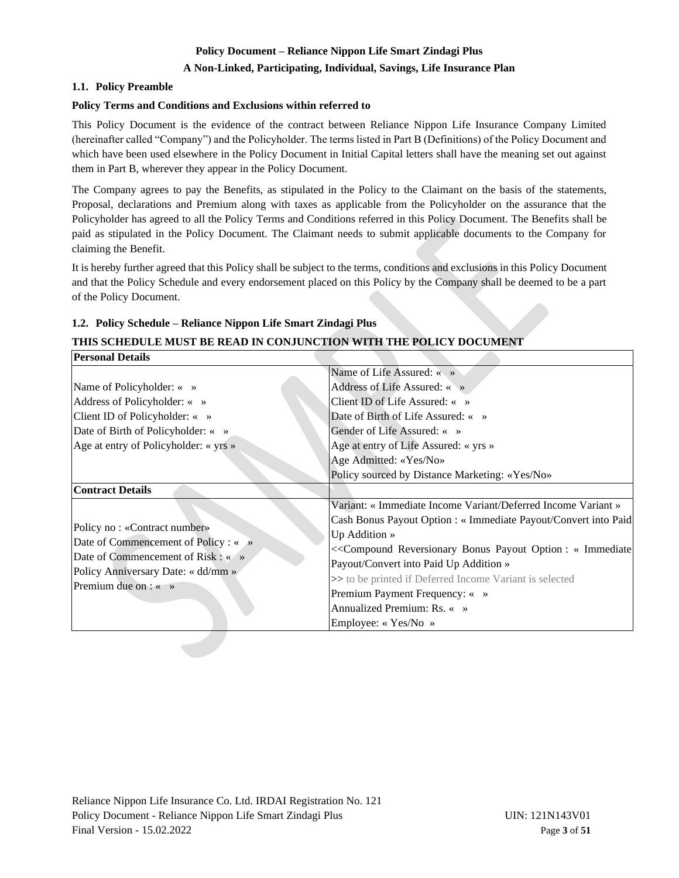## **A Non-Linked, Participating, Individual, Savings, Life Insurance Plan**

## <span id="page-2-0"></span>**1.1. Policy Preamble**

**Personal Details**

## **Policy Terms and Conditions and Exclusions within referred to**

This Policy Document is the evidence of the contract between Reliance Nippon Life Insurance Company Limited (hereinafter called "Company") and the Policyholder. The terms listed in Part B (Definitions) of the Policy Document and which have been used elsewhere in the Policy Document in Initial Capital letters shall have the meaning set out against them in Part B, wherever they appear in the Policy Document.

The Company agrees to pay the Benefits, as stipulated in the Policy to the Claimant on the basis of the statements, Proposal, declarations and Premium along with taxes as applicable from the Policyholder on the assurance that the Policyholder has agreed to all the Policy Terms and Conditions referred in this Policy Document. The Benefits shall be paid as stipulated in the Policy Document. The Claimant needs to submit applicable documents to the Company for claiming the Benefit.

It is hereby further agreed that this Policy shall be subject to the terms, conditions and exclusions in this Policy Document and that the Policy Schedule and every endorsement placed on this Policy by the Company shall be deemed to be a part of the Policy Document.

## <span id="page-2-1"></span>**1.2. Policy Schedule – Reliance Nippon Life Smart Zindagi Plus**

# **THIS SCHEDULE MUST BE READ IN CONJUNCTION WITH THE POLICY DOCUMENT**

| II ersonal Details                                                   |                                                                 |
|----------------------------------------------------------------------|-----------------------------------------------------------------|
|                                                                      | Name of Life Assured: « »                                       |
| Name of Policyholder: « »                                            | Address of Life Assured: « »                                    |
| Address of Policyholder: « »                                         | Client ID of Life Assured: « »                                  |
| Client ID of Policyholder: $\langle \rangle$ »                       | Date of Birth of Life Assured: « »                              |
| Date of Birth of Policyholder: « »                                   | Gender of Life Assured: « »                                     |
| Age at entry of Policyholder: « yrs »                                | Age at entry of Life Assured: « yrs »                           |
|                                                                      | Age Admitted: «Yes/No»                                          |
|                                                                      | Policy sourced by Distance Marketing: «Yes/No»                  |
| <b>Contract Details</b>                                              |                                                                 |
|                                                                      | Variant: « Immediate Income Variant/Deferred Income Variant »   |
|                                                                      | Cash Bonus Payout Option : « Immediate Payout/Convert into Paid |
| Policy no: «Contract number»<br>Date of Commencement of Policy : « » | Up Addition $\ast$                                              |
| Date of Commencement of Risk : « »                                   | << Compound Reversionary Bonus Payout Option : « Immediate      |
| Policy Anniversary Date: « dd/mm »                                   | Payout/Convert into Paid Up Addition »                          |
| Premium due on $\colon \mathbb{R} \to \mathbb{R}$                    | >> to be printed if Deferred Income Variant is selected         |
|                                                                      | Premium Payment Frequency: « »                                  |
|                                                                      | Annualized Premium: Rs. « »                                     |
|                                                                      | Employee: « Yes/No »                                            |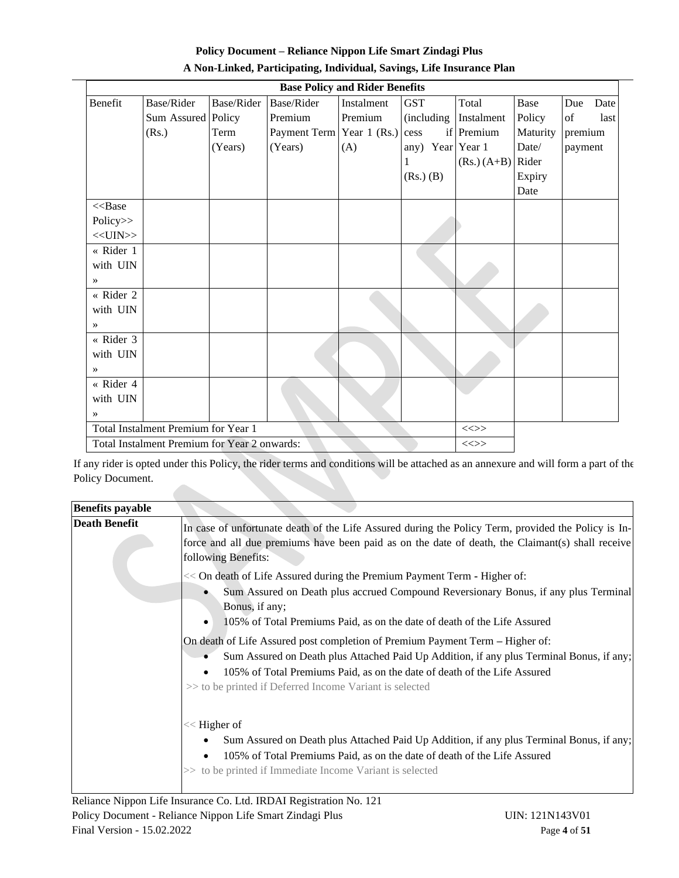| <b>Policy Document – Reliance Nippon Life Smart Zindagi Plus</b>      |
|-----------------------------------------------------------------------|
| A Non-Linked, Participating, Individual, Savings, Life Insurance Plan |

| <b>Base Policy and Rider Benefits</b>                  |                                               |            |                           |            |                  |                       |          |             |
|--------------------------------------------------------|-----------------------------------------------|------------|---------------------------|------------|------------------|-----------------------|----------|-------------|
| Benefit                                                | Base/Rider                                    | Base/Rider | Base/Rider                | Instalment | <b>GST</b>       | Total                 | Base     | Due<br>Date |
|                                                        | Sum Assured Policy                            |            | Premium                   | Premium    |                  | (including Instalment | Policy   | of<br>last  |
|                                                        | (Rs.)                                         | Term       | Payment Term Year 1 (Rs.) |            | cess             | if Premium            | Maturity | premium     |
|                                                        |                                               | (Years)    | (Years)                   | (A)        | any) Year Year 1 |                       | Date/    | payment     |
|                                                        |                                               |            |                           |            |                  | $(Rs.) (A+B)$ Rider   |          |             |
|                                                        |                                               |            |                           |            | $(Rs.)$ $(B)$    |                       | Expiry   |             |
|                                                        |                                               |            |                           |            |                  |                       | Date     |             |
| $<<$ Base                                              |                                               |            |                           |            |                  |                       |          |             |
| Policy>>                                               |                                               |            |                           |            |                  |                       |          |             |
| $<<$ UIN $>>$                                          |                                               |            |                           |            |                  |                       |          |             |
| « Rider 1                                              |                                               |            |                           |            |                  |                       |          |             |
| with UIN                                               |                                               |            |                           |            |                  |                       |          |             |
| $\rightarrow$                                          |                                               |            |                           |            |                  |                       |          |             |
| « Rider 2                                              |                                               |            |                           |            |                  |                       |          |             |
| with UIN                                               |                                               |            |                           |            |                  |                       |          |             |
| $\rightarrow$                                          |                                               |            |                           |            |                  |                       |          |             |
| « Rider 3                                              |                                               |            |                           |            |                  |                       |          |             |
| with UIN                                               |                                               |            |                           |            |                  |                       |          |             |
| $\rightarrow$                                          |                                               |            |                           |            |                  |                       |          |             |
| « Rider 4                                              |                                               |            |                           |            |                  |                       |          |             |
| with UIN                                               |                                               |            |                           |            |                  |                       |          |             |
| $\rightarrow$                                          |                                               |            |                           |            |                  |                       |          |             |
|                                                        | Total Instalment Premium for Year 1<br>$\iff$ |            |                           |            |                  |                       |          |             |
| Total Instalment Premium for Year 2 onwards:<br>$\iff$ |                                               |            |                           |            |                  |                       |          |             |

If any rider is opted under this Policy, the rider terms and conditions will be attached as an annexure and will form a part of the Policy Document.

| <b>Benefits payable</b> |                                                                                                                                                                                                                                                                                                                  |
|-------------------------|------------------------------------------------------------------------------------------------------------------------------------------------------------------------------------------------------------------------------------------------------------------------------------------------------------------|
| <b>Death Benefit</b>    | In case of unfortunate death of the Life Assured during the Policy Term, provided the Policy is In-<br>force and all due premiums have been paid as on the date of death, the Claimant(s) shall receive<br>following Benefits:                                                                                   |
|                         | << On death of Life Assured during the Premium Payment Term - Higher of:<br>Sum Assured on Death plus accrued Compound Reversionary Bonus, if any plus Terminal<br>Bonus, if any;<br>105% of Total Premiums Paid, as on the date of death of the Life Assured                                                    |
|                         | On death of Life Assured post completion of Premium Payment Term – Higher of:<br>Sum Assured on Death plus Attached Paid Up Addition, if any plus Terminal Bonus, if any;<br>105% of Total Premiums Paid, as on the date of death of the Life Assured<br>>> to be printed if Deferred Income Variant is selected |
|                         | $<<$ Higher of<br>Sum Assured on Death plus Attached Paid Up Addition, if any plus Terminal Bonus, if any;<br>105% of Total Premiums Paid, as on the date of death of the Life Assured<br>٠<br>>> to be printed if Immediate Income Variant is selected                                                          |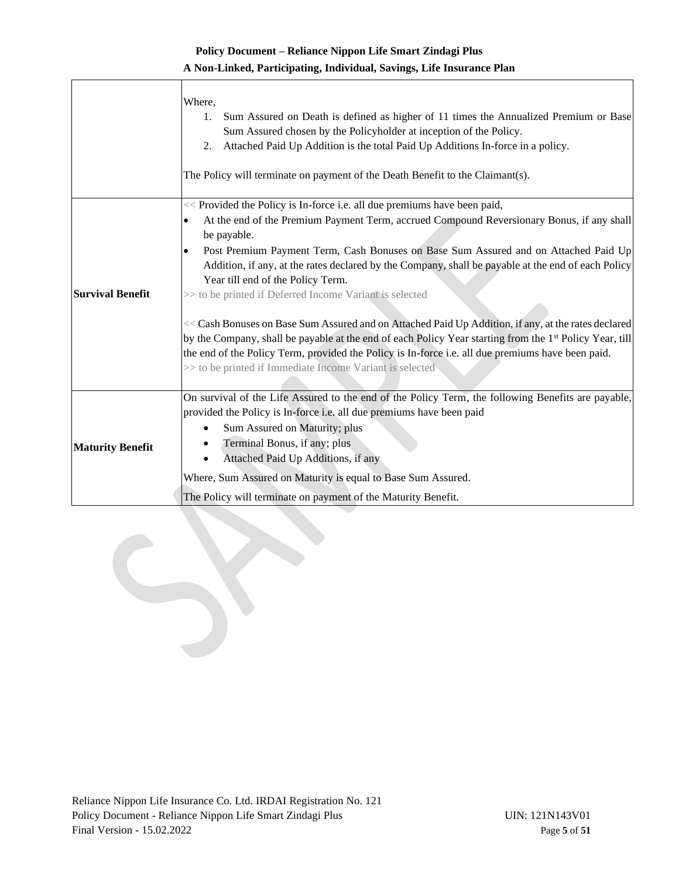## **A Non-Linked, Participating, Individual, Savings, Life Insurance Plan**

|                         | Where,<br>Sum Assured on Death is defined as higher of 11 times the Annualized Premium or Base<br>1.<br>Sum Assured chosen by the Policyholder at inception of the Policy.<br>Attached Paid Up Addition is the total Paid Up Additions In-force in a policy.<br>2.<br>The Policy will terminate on payment of the Death Benefit to the Claimant(s).                                         |
|-------------------------|---------------------------------------------------------------------------------------------------------------------------------------------------------------------------------------------------------------------------------------------------------------------------------------------------------------------------------------------------------------------------------------------|
|                         | << Provided the Policy is In-force i.e. all due premiums have been paid,<br>At the end of the Premium Payment Term, accrued Compound Reversionary Bonus, if any shall<br>٠                                                                                                                                                                                                                  |
|                         | be payable.                                                                                                                                                                                                                                                                                                                                                                                 |
|                         | Post Premium Payment Term, Cash Bonuses on Base Sum Assured and on Attached Paid Up<br>$\bullet$<br>Addition, if any, at the rates declared by the Company, shall be payable at the end of each Policy<br>Year till end of the Policy Term.                                                                                                                                                 |
| <b>Survival Benefit</b> | >> to be printed if Deferred Income Variant is selected                                                                                                                                                                                                                                                                                                                                     |
|                         | << Cash Bonuses on Base Sum Assured and on Attached Paid Up Addition, if any, at the rates declared<br>by the Company, shall be payable at the end of each Policy Year starting from the 1 <sup>st</sup> Policy Year, till<br>the end of the Policy Term, provided the Policy is In-force i.e. all due premiums have been paid.<br>>> to be printed if Immediate Income Variant is selected |
|                         | On survival of the Life Assured to the end of the Policy Term, the following Benefits are payable,                                                                                                                                                                                                                                                                                          |
|                         | provided the Policy is In-force i.e. all due premiums have been paid                                                                                                                                                                                                                                                                                                                        |
|                         | Sum Assured on Maturity; plus                                                                                                                                                                                                                                                                                                                                                               |
| <b>Maturity Benefit</b> | Terminal Bonus, if any; plus<br>Attached Paid Up Additions, if any                                                                                                                                                                                                                                                                                                                          |
|                         | Where, Sum Assured on Maturity is equal to Base Sum Assured.                                                                                                                                                                                                                                                                                                                                |
|                         | The Policy will terminate on payment of the Maturity Benefit.                                                                                                                                                                                                                                                                                                                               |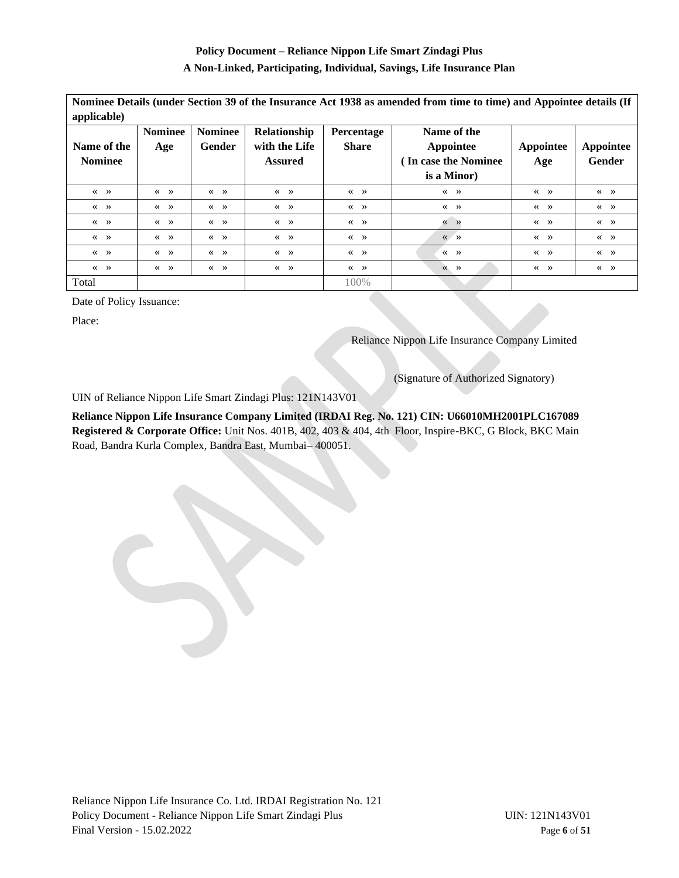#### **A Non-Linked, Participating, Individual, Savings, Life Insurance Plan**

| Nominee Details (under Section 39 of the Insurance Act 1938 as amended from time to time) and Appointee details (If |                                                               |                                                               |                                                         |                                                               |                                                                |                                                               |                                                               |
|---------------------------------------------------------------------------------------------------------------------|---------------------------------------------------------------|---------------------------------------------------------------|---------------------------------------------------------|---------------------------------------------------------------|----------------------------------------------------------------|---------------------------------------------------------------|---------------------------------------------------------------|
| applicable)                                                                                                         |                                                               |                                                               |                                                         |                                                               |                                                                |                                                               |                                                               |
| Name of the<br><b>Nominee</b>                                                                                       | <b>Nominee</b><br>Age                                         | <b>Nominee</b><br>Gender                                      | Relationship<br>with the Life<br><b>Assured</b>         | Percentage<br><b>Share</b>                                    | Name of the<br>Appointee<br>In case the Nominee<br>is a Minor) | Appointee<br>Age                                              | Appointee<br><b>Gender</b>                                    |
| $\langle\langle \quad \rangle \rangle$                                                                              | $\ll$ »                                                       | $\left\langle \left\langle \quad \right\rangle \right\rangle$ | $\ll$ »                                                 | $\left\langle \left\langle \quad \right\rangle \right\rangle$ | $\left\langle \left\langle \quad \right\rangle \right\rangle$  | $\left\langle \left\langle \quad \right\rangle \right\rangle$ | $\left\langle \left\langle \quad \right\rangle \right\rangle$ |
| $\ll$ »                                                                                                             | $\ll$ »                                                       | $\left\langle \left\langle \right\rangle \right\rangle$       | $\ll$ »                                                 | $\ll$ »                                                       | $\ll$ »                                                        | $\ll$ »                                                       | $\ll$ »                                                       |
| $\ll$ »                                                                                                             | $\ll$ »                                                       | $\ll$ »                                                       | $\ll$ »                                                 | $\ll$ »                                                       | $\left\langle \left\langle \quad \right\rangle \right\rangle$  | $\ll$ »                                                       | $\ll$ »                                                       |
| $\ll$ »                                                                                                             | $\ll$ »                                                       | $\ll$ »                                                       | $\ll$ »                                                 | $\ll$ »                                                       | $\ll$ »                                                        | $\ll$ »                                                       | $\ll$ »                                                       |
| $\ll$ »                                                                                                             | $\left\langle \left\langle \quad \right\rangle \right\rangle$ | $\ll$ »                                                       | $\left\langle \left\langle \right\rangle \right\rangle$ | $\ll$ »                                                       | $\ll$ »                                                        | $\ll$ »                                                       | $\ll$ »                                                       |
| $\langle\langle \quad \rangle \rangle$                                                                              | $\left\langle \left\langle \quad \right\rangle \right\rangle$ | $\ll$ »                                                       | $\ll$ »                                                 | $\ll$ »                                                       | $\rightarrow$<br>$\ll$                                         | $\left\langle \left\langle \quad \right\rangle \right\rangle$ | $\ll$ »                                                       |
| Total                                                                                                               |                                                               |                                                               |                                                         | 100%                                                          |                                                                |                                                               |                                                               |

Date of Policy Issuance:

Place:

Reliance Nippon Life Insurance Company Limited

(Signature of Authorized Signatory)

UIN of Reliance Nippon Life Smart Zindagi Plus: 121N143V01

**Reliance Nippon Life Insurance Company Limited (IRDAI Reg. No. 121) CIN: U66010MH2001PLC167089 Registered & Corporate Office:** Unit Nos. 401B, 402, 403 & 404, 4th Floor, Inspire-BKC, G Block, BKC Main Road, Bandra Kurla Complex, Bandra East, Mumbai– 400051.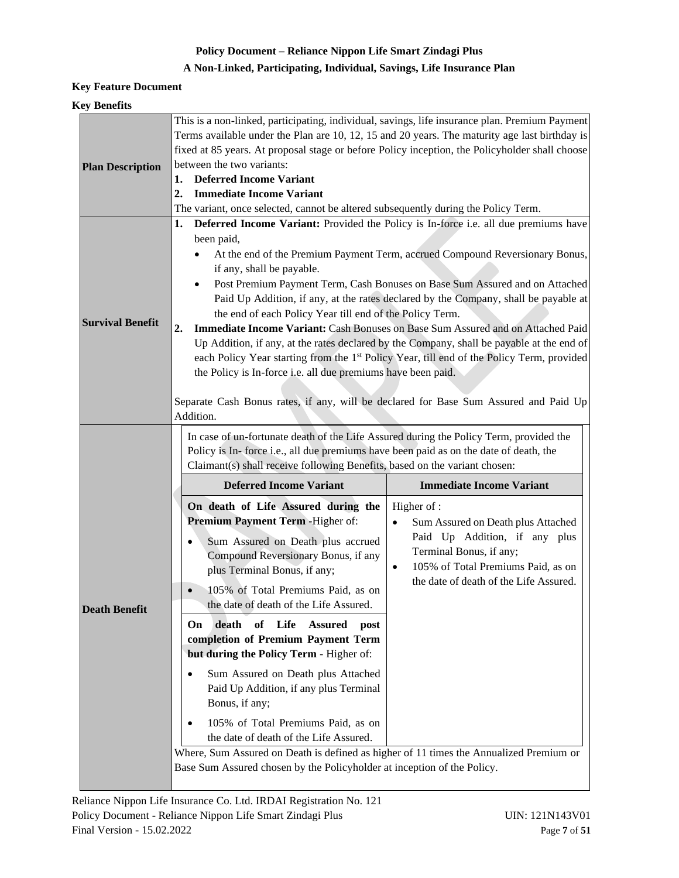# **A Non-Linked, Participating, Individual, Savings, Life Insurance Plan**

## **Key Feature Document**

## **Key Benefits**

| This is a non-linked, participating, individual, savings, life insurance plan. Premium Payment<br>Terms available under the Plan are 10, 12, 15 and 20 years. The maturity age last birthday is       |                                                                                                                                                                                                                                                                                                                                                                                                                                                                                                                                             |  |  |  |  |  |
|-------------------------------------------------------------------------------------------------------------------------------------------------------------------------------------------------------|---------------------------------------------------------------------------------------------------------------------------------------------------------------------------------------------------------------------------------------------------------------------------------------------------------------------------------------------------------------------------------------------------------------------------------------------------------------------------------------------------------------------------------------------|--|--|--|--|--|
|                                                                                                                                                                                                       |                                                                                                                                                                                                                                                                                                                                                                                                                                                                                                                                             |  |  |  |  |  |
| <b>Deferred Income Variant</b><br>1.                                                                                                                                                                  |                                                                                                                                                                                                                                                                                                                                                                                                                                                                                                                                             |  |  |  |  |  |
| <b>Immediate Income Variant</b><br>2.                                                                                                                                                                 |                                                                                                                                                                                                                                                                                                                                                                                                                                                                                                                                             |  |  |  |  |  |
|                                                                                                                                                                                                       |                                                                                                                                                                                                                                                                                                                                                                                                                                                                                                                                             |  |  |  |  |  |
| 1.                                                                                                                                                                                                    | Deferred Income Variant: Provided the Policy is In-force i.e. all due premiums have                                                                                                                                                                                                                                                                                                                                                                                                                                                         |  |  |  |  |  |
| been paid,<br>if any, shall be payable.<br>$\mathbf{2}$ .<br>Addition.                                                                                                                                | At the end of the Premium Payment Term, accrued Compound Reversionary Bonus,<br>Post Premium Payment Term, Cash Bonuses on Base Sum Assured and on Attached<br>Paid Up Addition, if any, at the rates declared by the Company, shall be payable at<br>Immediate Income Variant: Cash Bonuses on Base Sum Assured and on Attached Paid<br>Up Addition, if any, at the rates declared by the Company, shall be payable at the end of<br>each Policy Year starting from the 1 <sup>st</sup> Policy Year, till end of the Policy Term, provided |  |  |  |  |  |
| In case of un-fortunate death of the Life Assured during the Policy Term, provided the<br>Policy is In-force i.e., all due premiums have been paid as on the date of death, the                       |                                                                                                                                                                                                                                                                                                                                                                                                                                                                                                                                             |  |  |  |  |  |
| <b>Deferred Income Variant</b>                                                                                                                                                                        | <b>Immediate Income Variant</b>                                                                                                                                                                                                                                                                                                                                                                                                                                                                                                             |  |  |  |  |  |
| On death of Life Assured during the<br>Premium Payment Term - Higher of:                                                                                                                              | Higher of :<br>Sum Assured on Death plus Attached<br>$\bullet$                                                                                                                                                                                                                                                                                                                                                                                                                                                                              |  |  |  |  |  |
| Sum Assured on Death plus accrued<br>Compound Reversionary Bonus, if any<br>plus Terminal Bonus, if any;<br>105% of Total Premiums Paid, as on<br>$\bullet$<br>the date of death of the Life Assured. | Paid Up Addition, if any plus<br>Terminal Bonus, if any;<br>105% of Total Premiums Paid, as on<br>٠<br>the date of death of the Life Assured.                                                                                                                                                                                                                                                                                                                                                                                               |  |  |  |  |  |
|                                                                                                                                                                                                       | fixed at 85 years. At proposal stage or before Policy inception, the Policyholder shall choose<br>between the two variants:<br>The variant, once selected, cannot be altered subsequently during the Policy Term.<br>the end of each Policy Year till end of the Policy Term.<br>the Policy is In-force i.e. all due premiums have been paid.<br>Separate Cash Bonus rates, if any, will be declared for Base Sum Assured and Paid Up<br>Claimant(s) shall receive following Benefits, based on the variant chosen:                         |  |  |  |  |  |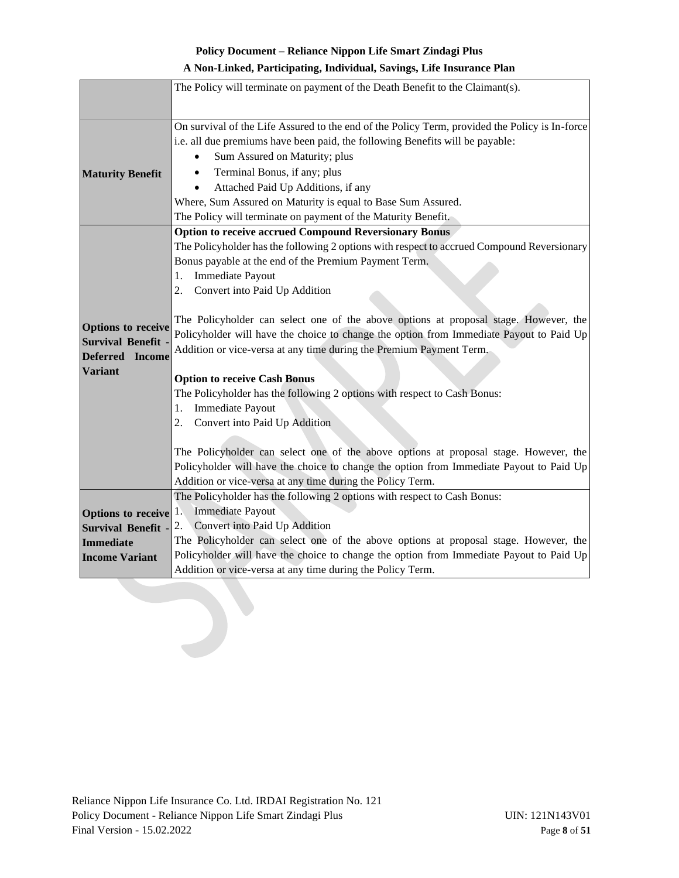## **A Non-Linked, Participating, Individual, Savings, Life Insurance Plan**

|                                               | The Policy will terminate on payment of the Death Benefit to the Claimant(s).                                                          |
|-----------------------------------------------|----------------------------------------------------------------------------------------------------------------------------------------|
|                                               |                                                                                                                                        |
|                                               |                                                                                                                                        |
|                                               | On survival of the Life Assured to the end of the Policy Term, provided the Policy is In-force                                         |
|                                               | i.e. all due premiums have been paid, the following Benefits will be payable:                                                          |
|                                               | Sum Assured on Maturity; plus                                                                                                          |
| <b>Maturity Benefit</b>                       | Terminal Bonus, if any; plus                                                                                                           |
|                                               | Attached Paid Up Additions, if any                                                                                                     |
|                                               | Where, Sum Assured on Maturity is equal to Base Sum Assured.                                                                           |
|                                               | The Policy will terminate on payment of the Maturity Benefit.                                                                          |
|                                               | <b>Option to receive accrued Compound Reversionary Bonus</b>                                                                           |
|                                               | The Policyholder has the following 2 options with respect to accrued Compound Reversionary                                             |
|                                               | Bonus payable at the end of the Premium Payment Term.                                                                                  |
|                                               | Immediate Payout<br>1.                                                                                                                 |
|                                               | 2.<br>Convert into Paid Up Addition                                                                                                    |
|                                               |                                                                                                                                        |
| <b>Options to receive</b>                     | The Policyholder can select one of the above options at proposal stage. However, the                                                   |
| <b>Survival Benefit</b>                       | Policyholder will have the choice to change the option from Immediate Payout to Paid Up                                                |
| Deferred Income                               | Addition or vice-versa at any time during the Premium Payment Term.                                                                    |
| <b>Variant</b>                                | <b>Option to receive Cash Bonus</b>                                                                                                    |
|                                               | The Policyholder has the following 2 options with respect to Cash Bonus:                                                               |
|                                               | Immediate Payout<br>1.                                                                                                                 |
|                                               | Convert into Paid Up Addition<br>2.                                                                                                    |
|                                               |                                                                                                                                        |
|                                               | The Policyholder can select one of the above options at proposal stage. However, the                                                   |
|                                               |                                                                                                                                        |
|                                               |                                                                                                                                        |
|                                               | Policyholder will have the choice to change the option from Immediate Payout to Paid Up                                                |
|                                               | Addition or vice-versa at any time during the Policy Term.<br>The Policyholder has the following 2 options with respect to Cash Bonus: |
|                                               | <b>Immediate Payout</b><br>1.                                                                                                          |
| <b>Options</b> to receive                     | 2.<br>Convert into Paid Up Addition                                                                                                    |
| <b>Survival Benefit -</b><br><b>Immediate</b> | The Policyholder can select one of the above options at proposal stage. However, the                                                   |
| <b>Income Variant</b>                         | Policyholder will have the choice to change the option from Immediate Payout to Paid Up                                                |
|                                               | Addition or vice-versa at any time during the Policy Term.                                                                             |
|                                               |                                                                                                                                        |
|                                               |                                                                                                                                        |
|                                               |                                                                                                                                        |
|                                               |                                                                                                                                        |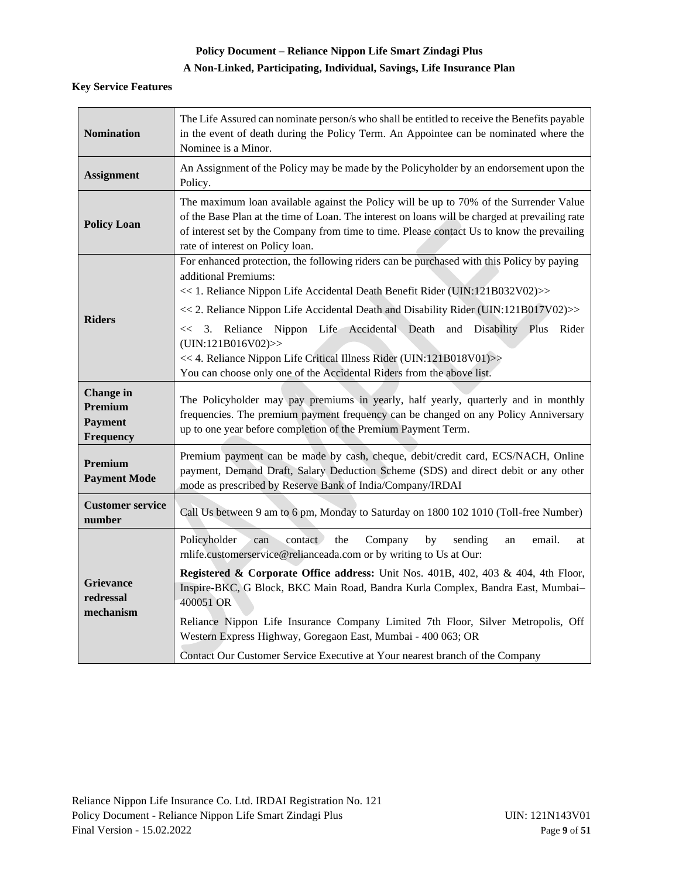# **A Non-Linked, Participating, Individual, Savings, Life Insurance Plan**

## **Key Service Features**

| <b>Nomination</b>                                          | The Life Assured can nominate person/s who shall be entitled to receive the Benefits payable<br>in the event of death during the Policy Term. An Appointee can be nominated where the<br>Nominee is a Minor.                                                                                                                                                                                                                                                                                                                                                                                      |
|------------------------------------------------------------|---------------------------------------------------------------------------------------------------------------------------------------------------------------------------------------------------------------------------------------------------------------------------------------------------------------------------------------------------------------------------------------------------------------------------------------------------------------------------------------------------------------------------------------------------------------------------------------------------|
| <b>Assignment</b>                                          | An Assignment of the Policy may be made by the Policyholder by an endorsement upon the<br>Policy.                                                                                                                                                                                                                                                                                                                                                                                                                                                                                                 |
| <b>Policy Loan</b>                                         | The maximum loan available against the Policy will be up to 70% of the Surrender Value<br>of the Base Plan at the time of Loan. The interest on loans will be charged at prevailing rate<br>of interest set by the Company from time to time. Please contact Us to know the prevailing<br>rate of interest on Policy loan.                                                                                                                                                                                                                                                                        |
| <b>Riders</b>                                              | For enhanced protection, the following riders can be purchased with this Policy by paying<br>additional Premiums:<br><< 1. Reliance Nippon Life Accidental Death Benefit Rider (UIN:121B032V02)>><br><< 2. Reliance Nippon Life Accidental Death and Disability Rider (UIN:121B017V02)>><br><< 3. Reliance Nippon Life Accidental Death and Disability Plus Rider<br>(UN:121B016V02)<br><< 4. Reliance Nippon Life Critical Illness Rider (UIN:121B018V01)>><br>You can choose only one of the Accidental Riders from the above list.                                                             |
| <b>Change</b> in<br>Premium<br><b>Payment</b><br>Frequency | The Policyholder may pay premiums in yearly, half yearly, quarterly and in monthly<br>frequencies. The premium payment frequency can be changed on any Policy Anniversary<br>up to one year before completion of the Premium Payment Term.                                                                                                                                                                                                                                                                                                                                                        |
| Premium<br><b>Payment Mode</b>                             | Premium payment can be made by cash, cheque, debit/credit card, ECS/NACH, Online<br>payment, Demand Draft, Salary Deduction Scheme (SDS) and direct debit or any other<br>mode as prescribed by Reserve Bank of India/Company/IRDAI                                                                                                                                                                                                                                                                                                                                                               |
| <b>Customer service</b><br>number                          | Call Us between 9 am to 6 pm, Monday to Saturday on 1800 102 1010 (Toll-free Number)                                                                                                                                                                                                                                                                                                                                                                                                                                                                                                              |
| <b>Grievance</b><br>redressal<br>mechanism                 | Policyholder<br>contact<br>the<br>Company<br>by<br>email.<br>sending<br>can<br>an<br>at<br>rnlife.customerservice@relianceada.com or by writing to Us at Our:<br><b>Registered &amp; Corporate Office address:</b> Unit Nos. 401B, 402, 403 & 404, 4th Floor,<br>Inspire-BKC, G Block, BKC Main Road, Bandra Kurla Complex, Bandra East, Mumbai-<br>400051 OR<br>Reliance Nippon Life Insurance Company Limited 7th Floor, Silver Metropolis, Off<br>Western Express Highway, Goregaon East, Mumbai - 400 063; OR<br>Contact Our Customer Service Executive at Your nearest branch of the Company |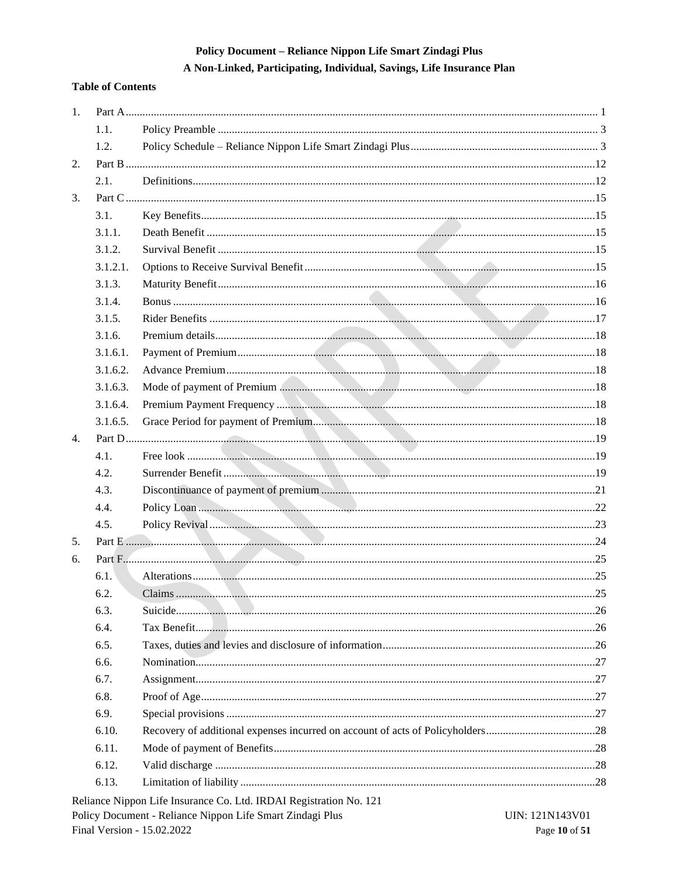A Non-Linked, Participating, Individual, Savings, Life Insurance Plan

## **Table of Contents**

| 1. |          |               |  |
|----|----------|---------------|--|
|    | 1.1.     |               |  |
|    | 1.2.     |               |  |
| 2. |          |               |  |
|    | 2.1.     |               |  |
| 3. |          |               |  |
|    | 3.1.     |               |  |
|    | 3.1.1.   |               |  |
|    | 3.1.2.   |               |  |
|    | 3.1.2.1. |               |  |
|    | 3.1.3.   |               |  |
|    | 3.1.4.   |               |  |
|    | 3.1.5.   |               |  |
|    | 3.1.6.   |               |  |
|    | 3.1.6.1. |               |  |
|    | 3.1.6.2. |               |  |
|    | 3.1.6.3. |               |  |
|    | 3.1.6.4. |               |  |
|    | 3.1.6.5. |               |  |
| 4. |          |               |  |
|    | 4.1.     |               |  |
|    | 4.2.     |               |  |
|    | 4.3.     |               |  |
|    | 4.4.     |               |  |
|    | 4.5.     |               |  |
| 5. |          |               |  |
| 6. |          | Part F. 4. 25 |  |
|    | 6.1.     |               |  |
|    | 6.2.     |               |  |
|    | 6.3.     |               |  |
|    | 6.4.     |               |  |
|    | 6.5.     |               |  |
|    | 6.6.     |               |  |
|    | 6.7.     |               |  |
|    | 6.8.     |               |  |
|    | 6.9.     |               |  |
|    | 6.10.    |               |  |
|    | 6.11.    |               |  |
|    | 6.12.    |               |  |
|    | 6.13.    |               |  |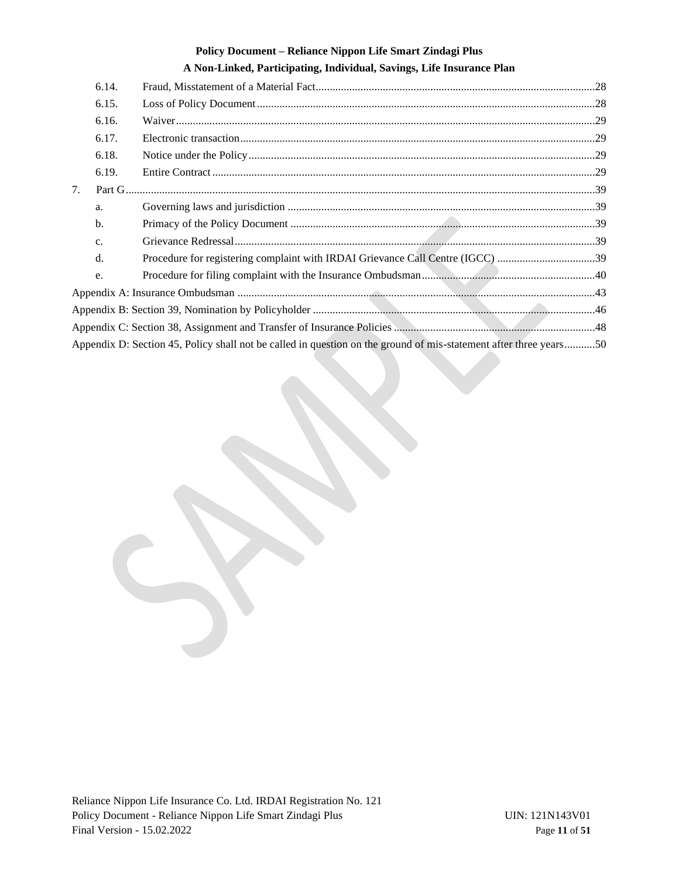# **A Non-Linked, Participating, Individual, Savings, Life Insurance Plan** 6.14. [Fraud, Misstatement of a Material Fact....................................................................................................28](#page-27-4) 6.15. [Loss of Policy Document.........................................................................................................................28](#page-27-5) 6.16. [Waiver......................................................................................................................................................29](#page-28-0) 6.17. [Electronic transaction...............................................................................................................................29](#page-28-1) 6.18. [Notice under the Policy............................................................................................................................29](#page-28-2) 6.19. Entire Contract [.........................................................................................................................................29](#page-28-3) 7. [Part G........................................................................................................................................................................39](#page-38-0) a. Governing laws and jurisdiction [..............................................................................................................39](#page-38-1) b. Primacy of the Policy Document [.............................................................................................................39](#page-38-2) c. [Grievance Redressal.................................................................................................................................39](#page-38-3) d. [Procedure for registering complaint with IRDAI Grievance Call Centre \(IGCC\)](#page-38-4) ...................................39 e. [Procedure for filing complaint with the Insurance Ombudsman..............................................................40](#page-39-0) Appendix A: Insurance Ombudsman [................................................................................................................................43](#page-42-0) Appendix B: Section 39, Nomination by Policyholder [.....................................................................................................46](#page-45-0) [Appendix C: Section 38, Assignment and Transfer of Insurance Policies](#page-47-0) ........................................................................48 [Appendix D: Section 45, Policy shall not be called in question on the ground of mis-statement after three years...........50](#page-49-0)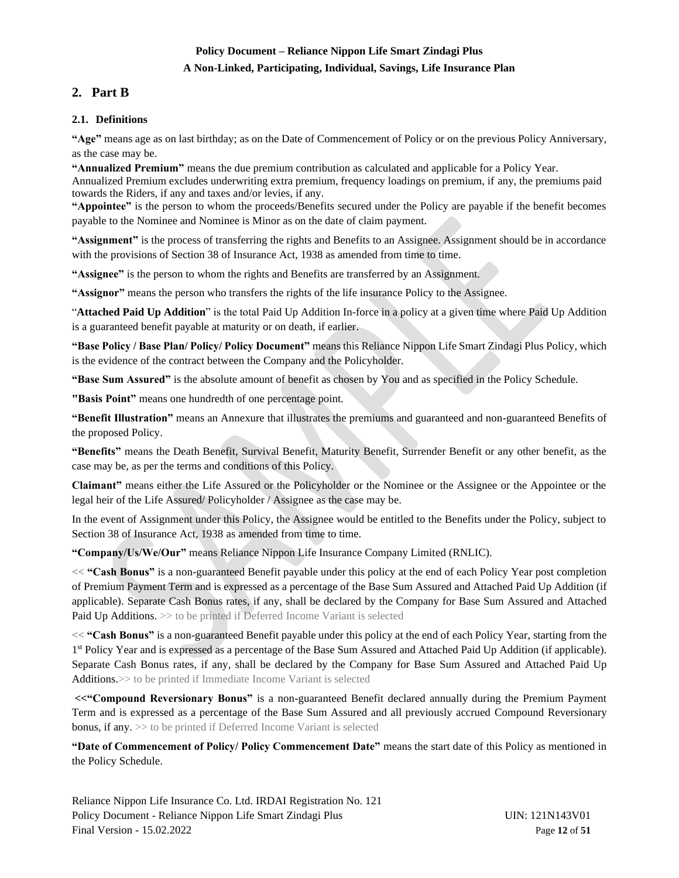## **A Non-Linked, Participating, Individual, Savings, Life Insurance Plan**

# <span id="page-11-0"></span>**2. Part B**

## <span id="page-11-1"></span>**2.1. Definitions**

**"Age"** means age as on last birthday; as on the Date of Commencement of Policy or on the previous Policy Anniversary, as the case may be.

**"Annualized Premium"** means the due premium contribution as calculated and applicable for a Policy Year. Annualized Premium excludes underwriting extra premium, frequency loadings on premium, if any, the premiums paid towards the Riders, if any and taxes and/or levies, if any.

**"Appointee"** is the person to whom the proceeds/Benefits secured under the Policy are payable if the benefit becomes payable to the Nominee and Nominee is Minor as on the date of claim payment.

**"Assignment"** is the process of transferring the rights and Benefits to an Assignee. Assignment should be in accordance with the provisions of Section 38 of Insurance Act, 1938 as amended from time to time.

**"Assignee"** is the person to whom the rights and Benefits are transferred by an Assignment.

**"Assignor"** means the person who transfers the rights of the life insurance Policy to the Assignee.

"**Attached Paid Up Addition**" is the total Paid Up Addition In-force in a policy at a given time where Paid Up Addition is a guaranteed benefit payable at maturity or on death, if earlier.

**"Base Policy / Base Plan/ Policy/ Policy Document"** means this Reliance Nippon Life Smart Zindagi Plus Policy, which is the evidence of the contract between the Company and the Policyholder.

**"Base Sum Assured"** is the absolute amount of benefit as chosen by You and as specified in the Policy Schedule.

**"Basis Point"** means one hundredth of one percentage point.

**"Benefit Illustration"** means an Annexure that illustrates the premiums and guaranteed and non-guaranteed Benefits of the proposed Policy.

**"Benefits"** means the Death Benefit, Survival Benefit, Maturity Benefit, Surrender Benefit or any other benefit, as the case may be, as per the terms and conditions of this Policy.

**Claimant"** means either the Life Assured or the Policyholder or the Nominee or the Assignee or the Appointee or the legal heir of the Life Assured/ Policyholder / Assignee as the case may be.

In the event of Assignment under this Policy, the Assignee would be entitled to the Benefits under the Policy, subject to Section 38 of Insurance Act, 1938 as amended from time to time.

**"Company/Us/We/Our"** means Reliance Nippon Life Insurance Company Limited (RNLIC).

**<< "Cash Bonus"** is a non-guaranteed Benefit payable under this policy at the end of each Policy Year post completion of Premium Payment Term and is expressed as a percentage of the Base Sum Assured and Attached Paid Up Addition (if applicable). Separate Cash Bonus rates, if any, shall be declared by the Company for Base Sum Assured and Attached Paid Up Additions. >> to be printed if Deferred Income Variant is selected

**<< "Cash Bonus"** is a non-guaranteed Benefit payable under this policy at the end of each Policy Year, starting from the 1<sup>st</sup> Policy Year and is expressed as a percentage of the Base Sum Assured and Attached Paid Up Addition (if applicable). Separate Cash Bonus rates, if any, shall be declared by the Company for Base Sum Assured and Attached Paid Up Additions.>> to be printed if Immediate Income Variant is selected

**<<"Compound Reversionary Bonus"** is a non-guaranteed Benefit declared annually during the Premium Payment Term and is expressed as a percentage of the Base Sum Assured and all previously accrued Compound Reversionary bonus, if any. >> to be printed if Deferred Income Variant is selected

**"Date of Commencement of Policy/ Policy Commencement Date"** means the start date of this Policy as mentioned in the Policy Schedule.

Reliance Nippon Life Insurance Co. Ltd. IRDAI Registration No. 121 Policy Document - Reliance Nippon Life Smart Zindagi Plus UIN: 121N143V01 Final Version - 15.02.2022 Page **12** of **51**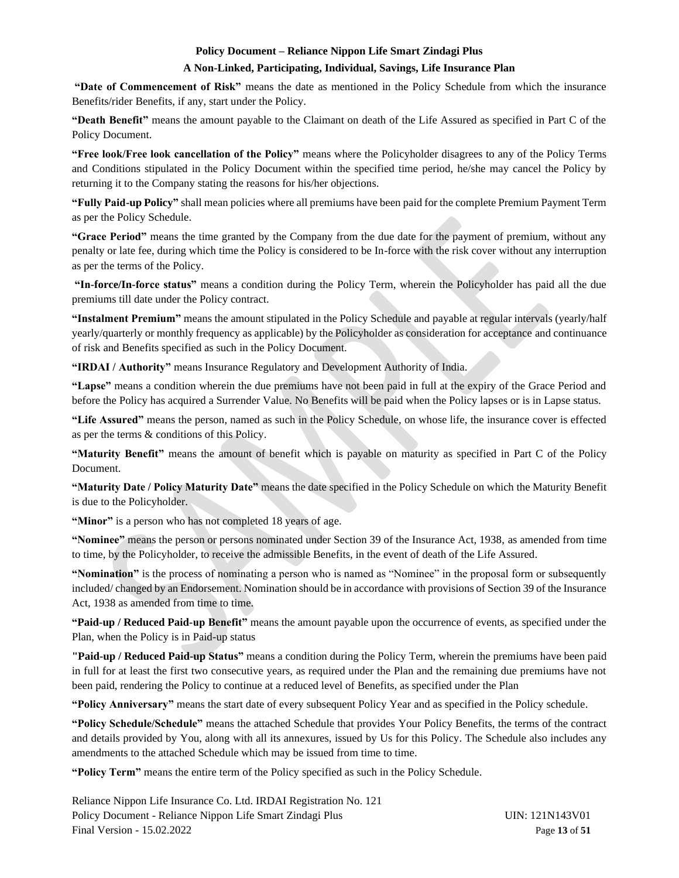## **A Non-Linked, Participating, Individual, Savings, Life Insurance Plan**

**"Date of Commencement of Risk"** means the date as mentioned in the Policy Schedule from which the insurance Benefits/rider Benefits, if any, start under the Policy.

**"Death Benefit"** means the amount payable to the Claimant on death of the Life Assured as specified in Part C of the Policy Document.

**"Free look/Free look cancellation of the Policy"** means where the Policyholder disagrees to any of the Policy Terms and Conditions stipulated in the Policy Document within the specified time period, he/she may cancel the Policy by returning it to the Company stating the reasons for his/her objections.

**"Fully Paid-up Policy"** shall mean policies where all premiums have been paid for the complete Premium Payment Term as per the Policy Schedule.

**"Grace Period"** means the time granted by the Company from the due date for the payment of premium, without any penalty or late fee, during which time the Policy is considered to be In-force with the risk cover without any interruption as per the terms of the Policy.

**"In-force/In-force status"** means a condition during the Policy Term, wherein the Policyholder has paid all the due premiums till date under the Policy contract.

**"Instalment Premium"** means the amount stipulated in the Policy Schedule and payable at regular intervals (yearly/half yearly/quarterly or monthly frequency as applicable) by the Policyholder as consideration for acceptance and continuance of risk and Benefits specified as such in the Policy Document.

**"IRDAI / Authority"** means Insurance Regulatory and Development Authority of India.

**"Lapse"** means a condition wherein the due premiums have not been paid in full at the expiry of the Grace Period and before the Policy has acquired a Surrender Value. No Benefits will be paid when the Policy lapses or is in Lapse status.

**"Life Assured"** means the person, named as such in the Policy Schedule, on whose life, the insurance cover is effected as per the terms & conditions of this Policy.

**"Maturity Benefit"** means the amount of benefit which is payable on maturity as specified in Part C of the Policy Document.

**"Maturity Date / Policy Maturity Date"** means the date specified in the Policy Schedule on which the Maturity Benefit is due to the Policyholder.

**"Minor"** is a person who has not completed 18 years of age.

**"Nominee"** means the person or persons nominated under Section 39 of the Insurance Act, 1938, as amended from time to time, by the Policyholder, to receive the admissible Benefits, in the event of death of the Life Assured.

**"Nomination"** is the process of nominating a person who is named as "Nominee" in the proposal form or subsequently included/ changed by an Endorsement. Nomination should be in accordance with provisions of Section 39 of the Insurance Act, 1938 as amended from time to time.

**"Paid-up / Reduced Paid-up Benefit"** means the amount payable upon the occurrence of events, as specified under the Plan, when the Policy is in Paid-up status

**"Paid-up / Reduced Paid-up Status"** means a condition during the Policy Term, wherein the premiums have been paid in full for at least the first two consecutive years, as required under the Plan and the remaining due premiums have not been paid, rendering the Policy to continue at a reduced level of Benefits, as specified under the Plan

**"Policy Anniversary"** means the start date of every subsequent Policy Year and as specified in the Policy schedule.

**"Policy Schedule/Schedule"** means the attached Schedule that provides Your Policy Benefits, the terms of the contract and details provided by You, along with all its annexures, issued by Us for this Policy. The Schedule also includes any amendments to the attached Schedule which may be issued from time to time.

**"Policy Term"** means the entire term of the Policy specified as such in the Policy Schedule.

Reliance Nippon Life Insurance Co. Ltd. IRDAI Registration No. 121 Policy Document - Reliance Nippon Life Smart Zindagi Plus UIN: 121N143V01 Final Version - 15.02.2022 Page **13** of **51**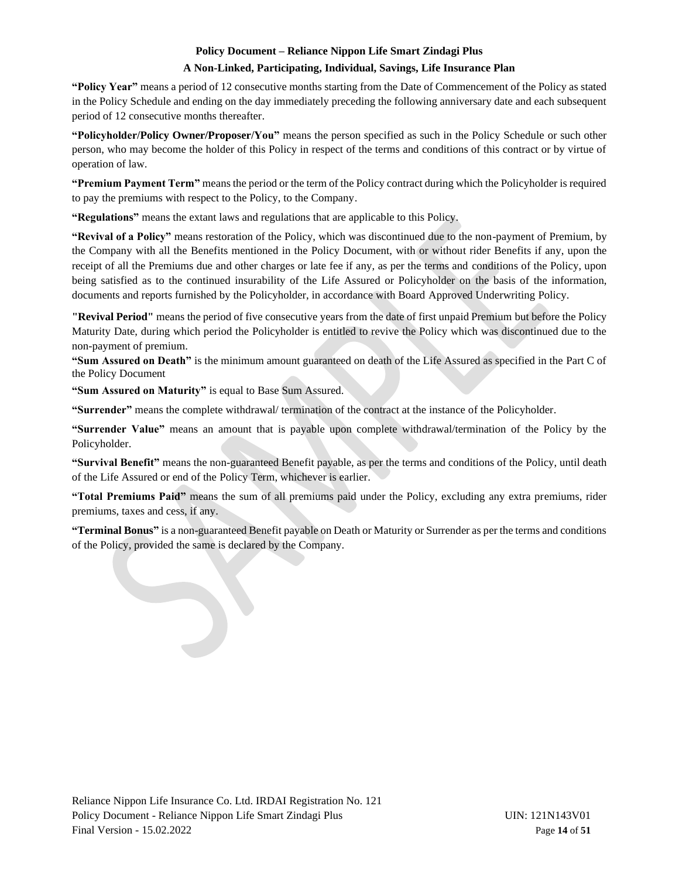#### **A Non-Linked, Participating, Individual, Savings, Life Insurance Plan**

**"Policy Year"** means a period of 12 consecutive months starting from the Date of Commencement of the Policy as stated in the Policy Schedule and ending on the day immediately preceding the following anniversary date and each subsequent period of 12 consecutive months thereafter.

**"Policyholder/Policy Owner/Proposer/You"** means the person specified as such in the Policy Schedule or such other person, who may become the holder of this Policy in respect of the terms and conditions of this contract or by virtue of operation of law.

**"Premium Payment Term"** means the period or the term of the Policy contract during which the Policyholder is required to pay the premiums with respect to the Policy, to the Company.

**"Regulations"** means the extant laws and regulations that are applicable to this Policy.

**"Revival of a Policy"** means restoration of the Policy, which was discontinued due to the non-payment of Premium, by the Company with all the Benefits mentioned in the Policy Document, with or without rider Benefits if any, upon the receipt of all the Premiums due and other charges or late fee if any, as per the terms and conditions of the Policy, upon being satisfied as to the continued insurability of the Life Assured or Policyholder on the basis of the information, documents and reports furnished by the Policyholder, in accordance with Board Approved Underwriting Policy.

**"Revival Period"** means the period of five consecutive years from the date of first unpaid Premium but before the Policy Maturity Date, during which period the Policyholder is entitled to revive the Policy which was discontinued due to the non-payment of premium.

**"Sum Assured on Death"** is the minimum amount guaranteed on death of the Life Assured as specified in the Part C of the Policy Document

**"Sum Assured on Maturity"** is equal to Base Sum Assured.

**"Surrender"** means the complete withdrawal/ termination of the contract at the instance of the Policyholder.

**"Surrender Value"** means an amount that is payable upon complete withdrawal/termination of the Policy by the Policyholder.

**"Survival Benefit"** means the non-guaranteed Benefit payable, as per the terms and conditions of the Policy, until death of the Life Assured or end of the Policy Term, whichever is earlier.

**"Total Premiums Paid"** means the sum of all premiums paid under the Policy, excluding any extra premiums, rider premiums, taxes and cess, if any.

**"Terminal Bonus"** is a non-guaranteed Benefit payable on Death or Maturity or Surrender as per the terms and conditions of the Policy, provided the same is declared by the Company.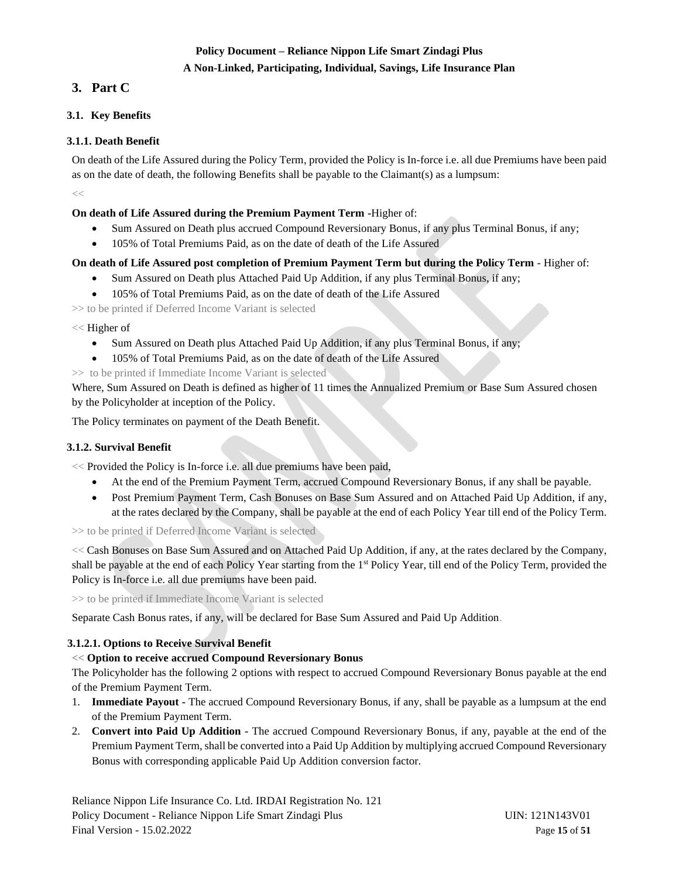## **A Non-Linked, Participating, Individual, Savings, Life Insurance Plan**

# <span id="page-14-0"></span>**3. Part C**

## <span id="page-14-1"></span>**3.1. Key Benefits**

## <span id="page-14-2"></span>**3.1.1. Death Benefit**

On death of the Life Assured during the Policy Term, provided the Policy is In-force i.e. all due Premiums have been paid as on the date of death, the following Benefits shall be payable to the Claimant(s) as a lumpsum:

 $<<$ 

## **On death of Life Assured during the Premium Payment Term -**Higher of:

- Sum Assured on Death plus accrued Compound Reversionary Bonus, if any plus Terminal Bonus, if any;
- 105% of Total Premiums Paid, as on the date of death of the Life Assured

# **On death of Life Assured post completion of Premium Payment Term but during the Policy Term** - Higher of:

- Sum Assured on Death plus Attached Paid Up Addition, if any plus Terminal Bonus, if any;
- 105% of Total Premiums Paid, as on the date of death of the Life Assured

>> to be printed if Deferred Income Variant is selected

## << Higher of

- Sum Assured on Death plus Attached Paid Up Addition, if any plus Terminal Bonus, if any;
- 105% of Total Premiums Paid, as on the date of death of the Life Assured
- >> to be printed if Immediate Income Variant is selected

Where, Sum Assured on Death is defined as higher of 11 times the Annualized Premium or Base Sum Assured chosen by the Policyholder at inception of the Policy.

The Policy terminates on payment of the Death Benefit.

## <span id="page-14-3"></span>**3.1.2. Survival Benefit**

<< Provided the Policy is In-force i.e. all due premiums have been paid,

- At the end of the Premium Payment Term, accrued Compound Reversionary Bonus, if any shall be payable.
- Post Premium Payment Term, Cash Bonuses on Base Sum Assured and on Attached Paid Up Addition, if any, at the rates declared by the Company, shall be payable at the end of each Policy Year till end of the Policy Term.

>> to be printed if Deferred Income Variant is selected

<< Cash Bonuses on Base Sum Assured and on Attached Paid Up Addition, if any, at the rates declared by the Company, shall be payable at the end of each Policy Year starting from the 1<sup>st</sup> Policy Year, till end of the Policy Term, provided the Policy is In-force i.e. all due premiums have been paid.

>> to be printed if Immediate Income Variant is selected

Separate Cash Bonus rates, if any, will be declared for Base Sum Assured and Paid Up Addition.

## <span id="page-14-4"></span>**3.1.2.1. Options to Receive Survival Benefit**

## **<< Option to receive accrued Compound Reversionary Bonus**

The Policyholder has the following 2 options with respect to accrued Compound Reversionary Bonus payable at the end of the Premium Payment Term.

- 1. **Immediate Payout -** The accrued Compound Reversionary Bonus, if any, shall be payable as a lumpsum at the end of the Premium Payment Term.
- 2. **Convert into Paid Up Addition -** The accrued Compound Reversionary Bonus, if any, payable at the end of the Premium Payment Term, shall be converted into a Paid Up Addition by multiplying accrued Compound Reversionary Bonus with corresponding applicable Paid Up Addition conversion factor.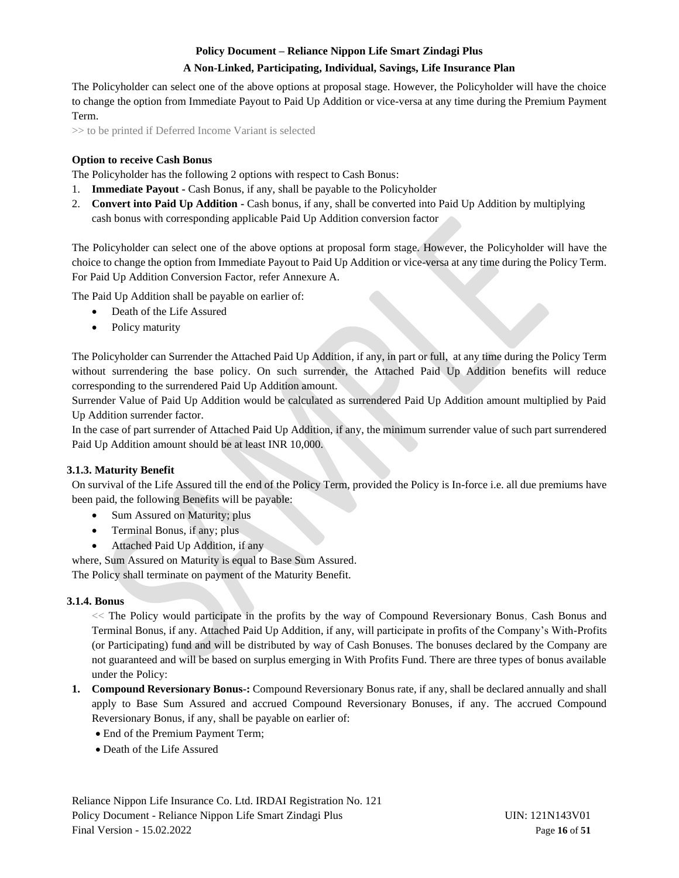#### **A Non-Linked, Participating, Individual, Savings, Life Insurance Plan**

The Policyholder can select one of the above options at proposal stage. However, the Policyholder will have the choice to change the option from Immediate Payout to Paid Up Addition or vice-versa at any time during the Premium Payment Term.

>> to be printed if Deferred Income Variant is selected

#### **Option to receive Cash Bonus**

The Policyholder has the following 2 options with respect to Cash Bonus:

- 1. **Immediate Payout -** Cash Bonus, if any, shall be payable to the Policyholder
- 2. **Convert into Paid Up Addition -** Cash bonus, if any, shall be converted into Paid Up Addition by multiplying cash bonus with corresponding applicable Paid Up Addition conversion factor

The Policyholder can select one of the above options at proposal form stage. However, the Policyholder will have the choice to change the option from Immediate Payout to Paid Up Addition or vice-versa at any time during the Policy Term. For Paid Up Addition Conversion Factor, refer Annexure A.

The Paid Up Addition shall be payable on earlier of:

- Death of the Life Assured
- Policy maturity

The Policyholder can Surrender the Attached Paid Up Addition, if any, in part or full, at any time during the Policy Term without surrendering the base policy. On such surrender, the Attached Paid Up Addition benefits will reduce corresponding to the surrendered Paid Up Addition amount.

Surrender Value of Paid Up Addition would be calculated as surrendered Paid Up Addition amount multiplied by Paid Up Addition surrender factor.

In the case of part surrender of Attached Paid Up Addition, if any, the minimum surrender value of such part surrendered Paid Up Addition amount should be at least INR 10,000.

#### <span id="page-15-0"></span>**3.1.3. Maturity Benefit**

On survival of the Life Assured till the end of the Policy Term, provided the Policy is In-force i.e. all due premiums have been paid, the following Benefits will be payable:

- Sum Assured on Maturity; plus
- Terminal Bonus, if any; plus
- Attached Paid Up Addition, if any

where, Sum Assured on Maturity is equal to Base Sum Assured.

The Policy shall terminate on payment of the Maturity Benefit.

#### <span id="page-15-1"></span>**3.1.4. Bonus**

<< The Policy would participate in the profits by the way of Compound Reversionary Bonus, Cash Bonus and Terminal Bonus, if any. Attached Paid Up Addition, if any, will participate in profits of the Company's With-Profits (or Participating) fund and will be distributed by way of Cash Bonuses. The bonuses declared by the Company are not guaranteed and will be based on surplus emerging in With Profits Fund. There are three types of bonus available under the Policy:

- **1. Compound Reversionary Bonus-:** Compound Reversionary Bonus rate, if any, shall be declared annually and shall apply to Base Sum Assured and accrued Compound Reversionary Bonuses, if any. The accrued Compound Reversionary Bonus, if any, shall be payable on earlier of:
	- End of the Premium Payment Term;
	- Death of the Life Assured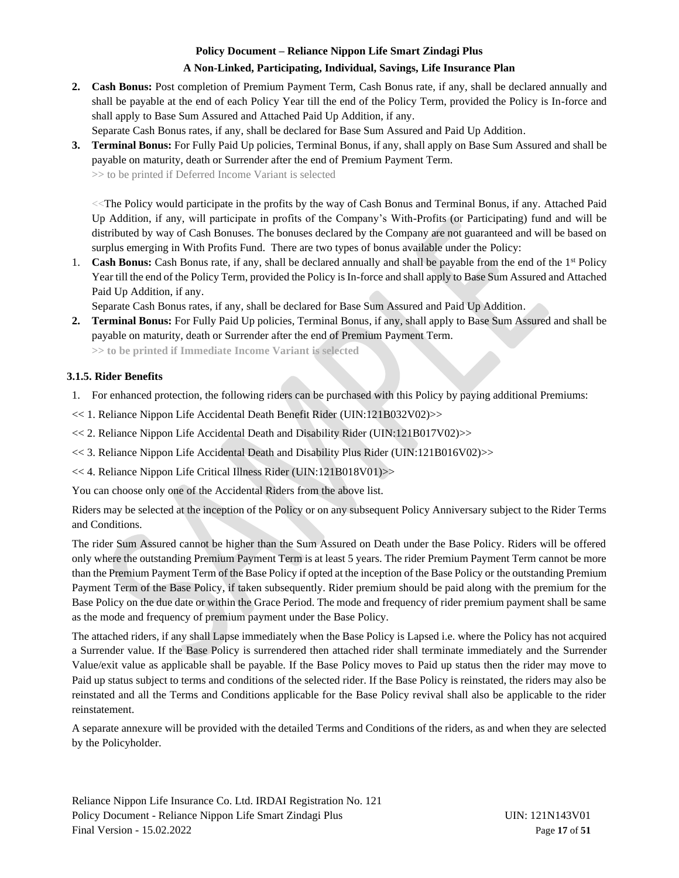#### **A Non-Linked, Participating, Individual, Savings, Life Insurance Plan**

- **2. Cash Bonus:** Post completion of Premium Payment Term, Cash Bonus rate, if any, shall be declared annually and shall be payable at the end of each Policy Year till the end of the Policy Term, provided the Policy is In-force and shall apply to Base Sum Assured and Attached Paid Up Addition, if any.
	- Separate Cash Bonus rates, if any, shall be declared for Base Sum Assured and Paid Up Addition.
- **3. Terminal Bonus:** For Fully Paid Up policies, Terminal Bonus, if any, shall apply on Base Sum Assured and shall be payable on maturity, death or Surrender after the end of Premium Payment Term.

**>>** to be printed if Deferred Income Variant is selected

<<The Policy would participate in the profits by the way of Cash Bonus and Terminal Bonus, if any. Attached Paid Up Addition, if any, will participate in profits of the Company's With-Profits (or Participating) fund and will be distributed by way of Cash Bonuses. The bonuses declared by the Company are not guaranteed and will be based on surplus emerging in With Profits Fund. There are two types of bonus available under the Policy:

1. **Cash Bonus:** Cash Bonus rate, if any, shall be declared annually and shall be payable from the end of the 1st Policy Year till the end of the Policy Term, provided the Policy is In-force and shall apply to Base Sum Assured and Attached Paid Up Addition, if any.

Separate Cash Bonus rates, if any, shall be declared for Base Sum Assured and Paid Up Addition.

**2. Terminal Bonus:** For Fully Paid Up policies, Terminal Bonus, if any, shall apply to Base Sum Assured and shall be payable on maturity, death or Surrender after the end of Premium Payment Term.

**>> to be printed if Immediate Income Variant is selected**

## <span id="page-16-0"></span>**3.1.5. Rider Benefits**

- 1. For enhanced protection, the following riders can be purchased with this Policy by paying additional Premiums:
- << 1. Reliance Nippon Life Accidental Death Benefit Rider (UIN:121B032V02)>>
- << 2. Reliance Nippon Life Accidental Death and Disability Rider (UIN:121B017V02)>>
- << 3. Reliance Nippon Life Accidental Death and Disability Plus Rider (UIN:121B016V02)>>
- << 4. Reliance Nippon Life Critical Illness Rider (UIN:121B018V01)>>

You can choose only one of the Accidental Riders from the above list.

Riders may be selected at the inception of the Policy or on any subsequent Policy Anniversary subject to the Rider Terms and Conditions.

The rider Sum Assured cannot be higher than the Sum Assured on Death under the Base Policy. Riders will be offered only where the outstanding Premium Payment Term is at least 5 years. The rider Premium Payment Term cannot be more than the Premium Payment Term of the Base Policy if opted at the inception of the Base Policy or the outstanding Premium Payment Term of the Base Policy, if taken subsequently. Rider premium should be paid along with the premium for the Base Policy on the due date or within the Grace Period. The mode and frequency of rider premium payment shall be same as the mode and frequency of premium payment under the Base Policy.

The attached riders, if any shall Lapse immediately when the Base Policy is Lapsed i.e. where the Policy has not acquired a Surrender value. If the Base Policy is surrendered then attached rider shall terminate immediately and the Surrender Value/exit value as applicable shall be payable. If the Base Policy moves to Paid up status then the rider may move to Paid up status subject to terms and conditions of the selected rider. If the Base Policy is reinstated, the riders may also be reinstated and all the Terms and Conditions applicable for the Base Policy revival shall also be applicable to the rider reinstatement.

A separate annexure will be provided with the detailed Terms and Conditions of the riders, as and when they are selected by the Policyholder.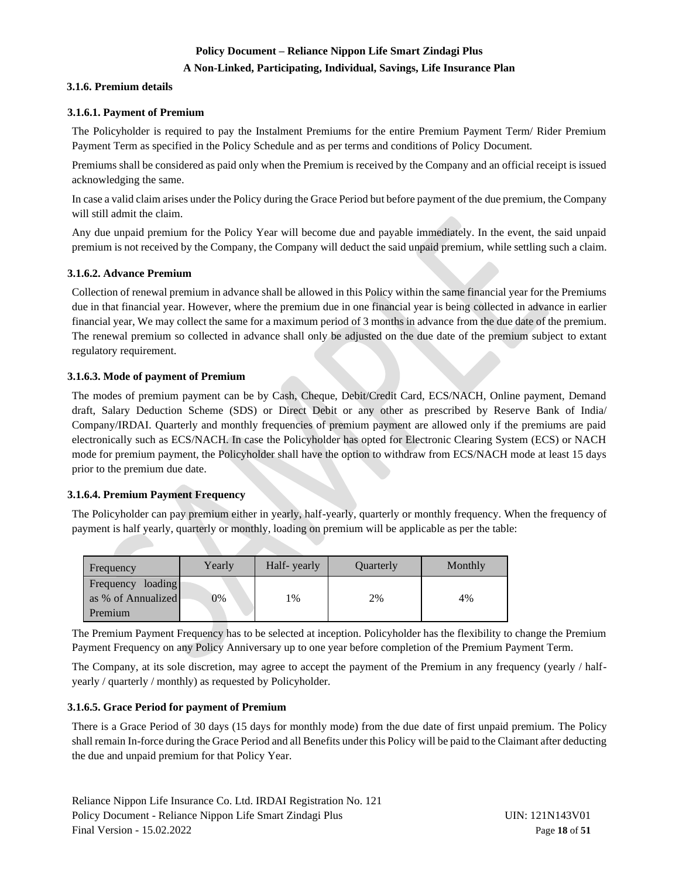## **A Non-Linked, Participating, Individual, Savings, Life Insurance Plan**

#### <span id="page-17-0"></span>**3.1.6. Premium details**

#### <span id="page-17-1"></span>**3.1.6.1. Payment of Premium**

The Policyholder is required to pay the Instalment Premiums for the entire Premium Payment Term/ Rider Premium Payment Term as specified in the Policy Schedule and as per terms and conditions of Policy Document.

Premiums shall be considered as paid only when the Premium is received by the Company and an official receipt is issued acknowledging the same.

In case a valid claim arises under the Policy during the Grace Period but before payment of the due premium, the Company will still admit the claim.

Any due unpaid premium for the Policy Year will become due and payable immediately. In the event, the said unpaid premium is not received by the Company, the Company will deduct the said unpaid premium, while settling such a claim.

#### <span id="page-17-2"></span>**3.1.6.2. Advance Premium**

Collection of renewal premium in advance shall be allowed in this Policy within the same financial year for the Premiums due in that financial year. However, where the premium due in one financial year is being collected in advance in earlier financial year, We may collect the same for a maximum period of 3 months in advance from the due date of the premium. The renewal premium so collected in advance shall only be adjusted on the due date of the premium subject to extant regulatory requirement.

#### <span id="page-17-3"></span>**3.1.6.3. Mode of payment of Premium**

The modes of premium payment can be by Cash, Cheque, Debit/Credit Card, ECS/NACH, Online payment, Demand draft, Salary Deduction Scheme (SDS) or Direct Debit or any other as prescribed by Reserve Bank of India/ Company/IRDAI. Quarterly and monthly frequencies of premium payment are allowed only if the premiums are paid electronically such as ECS/NACH. In case the Policyholder has opted for Electronic Clearing System (ECS) or NACH mode for premium payment, the Policyholder shall have the option to withdraw from ECS/NACH mode at least 15 days prior to the premium due date.

#### <span id="page-17-4"></span>**3.1.6.4. Premium Payment Frequency**

The Policyholder can pay premium either in yearly, half-yearly, quarterly or monthly frequency. When the frequency of payment is half yearly, quarterly or monthly, loading on premium will be applicable as per the table:

| Frequency                                             | Yearly | Half-yearly | Quarterly | Monthly |
|-------------------------------------------------------|--------|-------------|-----------|---------|
| loading<br>Frequency<br>as % of Annualized<br>Premium | 0%     | 1%          | 2%        | 4%      |

The Premium Payment Frequency has to be selected at inception. Policyholder has the flexibility to change the Premium Payment Frequency on any Policy Anniversary up to one year before completion of the Premium Payment Term.

The Company, at its sole discretion, may agree to accept the payment of the Premium in any frequency (yearly / halfyearly / quarterly / monthly) as requested by Policyholder.

#### <span id="page-17-5"></span>**3.1.6.5. Grace Period for payment of Premium**

There is a Grace Period of 30 days (15 days for monthly mode) from the due date of first unpaid premium. The Policy shall remain In-force during the Grace Period and all Benefits under this Policy will be paid to the Claimant after deducting the due and unpaid premium for that Policy Year.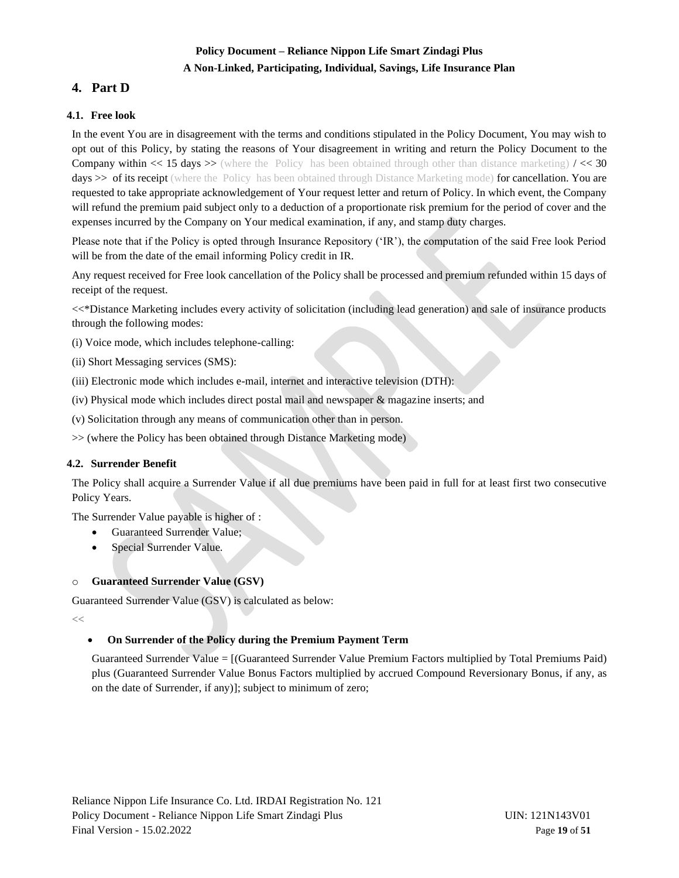# **Policy Document – Reliance Nippon Life Smart Zindagi Plus A Non-Linked, Participating, Individual, Savings, Life Insurance Plan**

# <span id="page-18-0"></span>**4. Part D**

## <span id="page-18-1"></span>**4.1. Free look**

In the event You are in disagreement with the terms and conditions stipulated in the Policy Document, You may wish to opt out of this Policy, by stating the reasons of Your disagreement in writing and return the Policy Document to the **Company within << 15 days >>** (where the Policy has been obtained through other than distance marketing)  $\ell$  < 30 days  $\gg$  of its receipt (where the Policy has been obtained through Distance Marketing mode) for cancellation. You are requested to take appropriate acknowledgement of Your request letter and return of Policy. In which event, the Company will refund the premium paid subject only to a deduction of a proportionate risk premium for the period of cover and the expenses incurred by the Company on Your medical examination, if any, and stamp duty charges.

Please note that if the Policy is opted through Insurance Repository ('IR'), the computation of the said Free look Period will be from the date of the email informing Policy credit in IR.

Any request received for Free look cancellation of the Policy shall be processed and premium refunded within 15 days of receipt of the request.

<<\*Distance Marketing includes every activity of solicitation (including lead generation) and sale of insurance products through the following modes:

- (i) Voice mode, which includes telephone-calling:
- (ii) Short Messaging services (SMS):
- (iii) Electronic mode which includes e-mail, internet and interactive television (DTH):
- (iv) Physical mode which includes direct postal mail and newspaper & magazine inserts; and
- (v) Solicitation through any means of communication other than in person.
- >> (where the Policy has been obtained through Distance Marketing mode)

## <span id="page-18-2"></span>**4.2. Surrender Benefit**

The Policy shall acquire a Surrender Value if all due premiums have been paid in full for at least first two consecutive Policy Years.

The Surrender Value payable is higher of :

- Guaranteed Surrender Value;
- Special Surrender Value.

## **Guaranteed Surrender Value (GSV)**

Guaranteed Surrender Value (GSV) is calculated as below:

**<<**

## • **On Surrender of the Policy during the Premium Payment Term**

Guaranteed Surrender Value = [(Guaranteed Surrender Value Premium Factors multiplied by Total Premiums Paid) plus (Guaranteed Surrender Value Bonus Factors multiplied by accrued Compound Reversionary Bonus, if any, as on the date of Surrender, if any)]; subject to minimum of zero;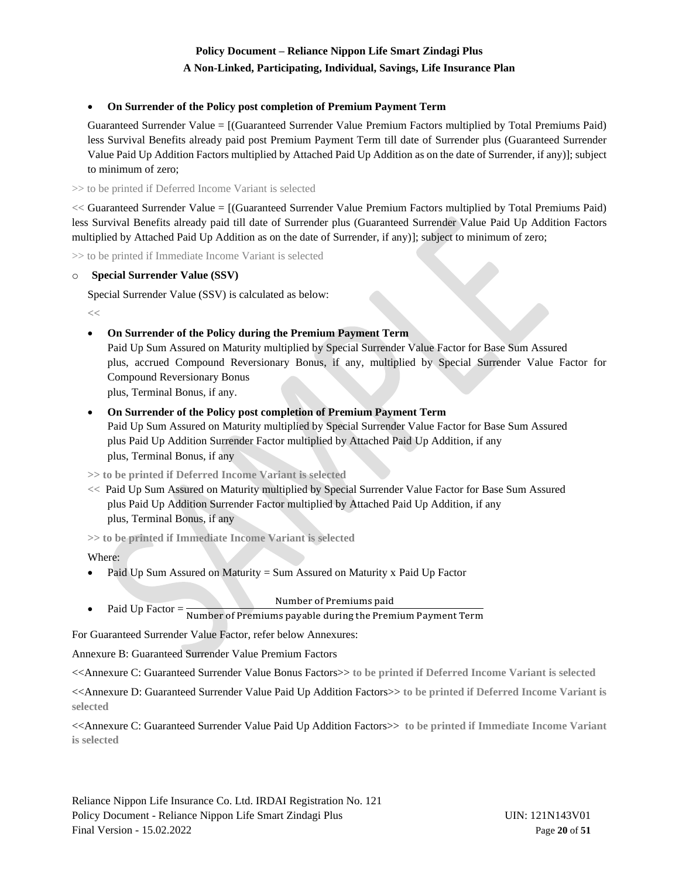#### **A Non-Linked, Participating, Individual, Savings, Life Insurance Plan**

## • **On Surrender of the Policy post completion of Premium Payment Term**

Guaranteed Surrender Value = [(Guaranteed Surrender Value Premium Factors multiplied by Total Premiums Paid) less Survival Benefits already paid post Premium Payment Term till date of Surrender plus (Guaranteed Surrender Value Paid Up Addition Factors multiplied by Attached Paid Up Addition as on the date of Surrender, if any)]; subject to minimum of zero;

>> to be printed if Deferred Income Variant is selected

**<<** Guaranteed Surrender Value = [(Guaranteed Surrender Value Premium Factors multiplied by Total Premiums Paid) less Survival Benefits already paid till date of Surrender plus (Guaranteed Surrender Value Paid Up Addition Factors multiplied by Attached Paid Up Addition as on the date of Surrender, if any)]; subject to minimum of zero;

>> to be printed if Immediate Income Variant is selected

#### o **Special Surrender Value (SSV)**

Special Surrender Value (SSV) is calculated as below:

**<<**

## • **On Surrender of the Policy during the Premium Payment Term**

Paid Up Sum Assured on Maturity multiplied by Special Surrender Value Factor for Base Sum Assured plus, accrued Compound Reversionary Bonus, if any, multiplied by Special Surrender Value Factor for Compound Reversionary Bonus plus, Terminal Bonus, if any.

## • **On Surrender of the Policy post completion of Premium Payment Term**

Paid Up Sum Assured on Maturity multiplied by Special Surrender Value Factor for Base Sum Assured plus Paid Up Addition Surrender Factor multiplied by Attached Paid Up Addition, if any plus, Terminal Bonus, if any

**>> to be printed if Deferred Income Variant is selected**

**<<** Paid Up Sum Assured on Maturity multiplied by Special Surrender Value Factor for Base Sum Assured plus Paid Up Addition Surrender Factor multiplied by Attached Paid Up Addition, if any plus, Terminal Bonus, if any

**>> to be printed if Immediate Income Variant is selected** 

Where:

- Paid Up Sum Assured on Maturity = Sum Assured on Maturity x Paid Up Factor
	- Number of Premiums paid
- Paid Up Factor  $=$   $\frac{1}{\text{Number of Preminus payable during the Premium Payment Term}}$

For Guaranteed Surrender Value Factor, refer below Annexures:

Annexure B: Guaranteed Surrender Value Premium Factors

<<Annexure C: Guaranteed Surrender Value Bonus Factors>> **to be printed if Deferred Income Variant is selected**

<<Annexure D: Guaranteed Surrender Value Paid Up Addition Factors>> **to be printed if Deferred Income Variant is selected**

<<Annexure C: Guaranteed Surrender Value Paid Up Addition Factors>> **to be printed if Immediate Income Variant is selected**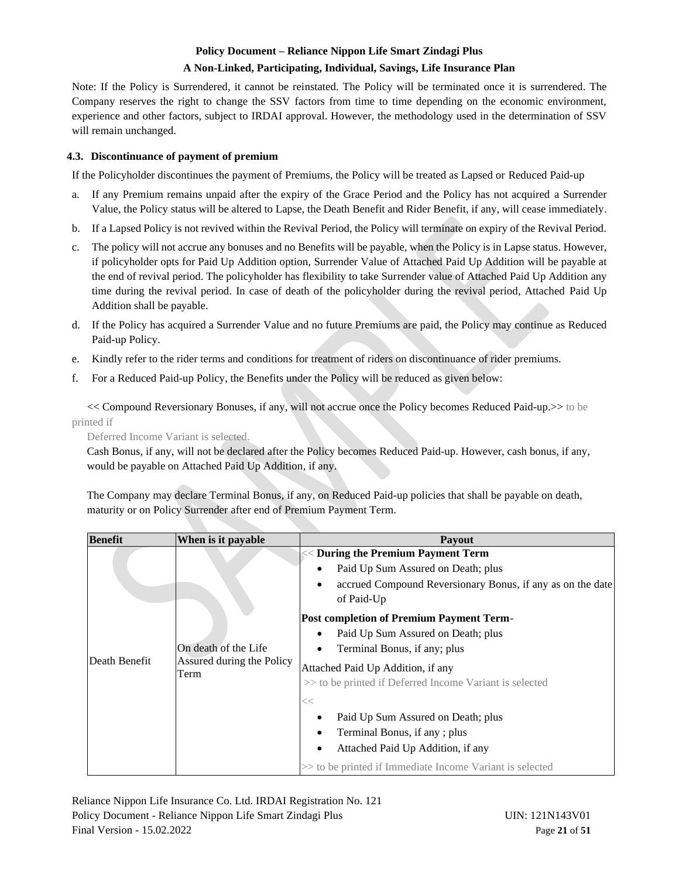#### **A Non-Linked, Participating, Individual, Savings, Life Insurance Plan**

Note: If the Policy is Surrendered, it cannot be reinstated. The Policy will be terminated once it is surrendered. The Company reserves the right to change the SSV factors from time to time depending on the economic environment, experience and other factors, subject to IRDAI approval. However, the methodology used in the determination of SSV will remain unchanged.

#### <span id="page-20-0"></span>**4.3. Discontinuance of payment of premium**

If the Policyholder discontinues the payment of Premiums, the Policy will be treated as Lapsed or Reduced Paid-up

- a. If any Premium remains unpaid after the expiry of the Grace Period and the Policy has not acquired a Surrender Value, the Policy status will be altered to Lapse, the Death Benefit and Rider Benefit, if any, will cease immediately.
- b. If a Lapsed Policy is not revived within the Revival Period, the Policy will terminate on expiry of the Revival Period.
- c. The policy will not accrue any bonuses and no Benefits will be payable, when the Policy is in Lapse status. However, if policyholder opts for Paid Up Addition option, Surrender Value of Attached Paid Up Addition will be payable at the end of revival period. The policyholder has flexibility to take Surrender value of Attached Paid Up Addition any time during the revival period. In case of death of the policyholder during the revival period, Attached Paid Up Addition shall be payable.
- d. If the Policy has acquired a Surrender Value and no future Premiums are paid, the Policy may continue as Reduced Paid-up Policy.
- e. Kindly refer to the rider terms and conditions for treatment of riders on discontinuance of rider premiums.
- f. For a Reduced Paid-up Policy, the Benefits under the Policy will be reduced as given below:

<< Compound Reversionary Bonuses, if any, will not accrue once the Policy becomes Reduced Paid-up.>> to be printed if

Deferred Income Variant is selected.

Cash Bonus, if any, will not be declared after the Policy becomes Reduced Paid-up. However, cash bonus, if any, would be payable on Attached Paid Up Addition, if any.

The Company may declare Terminal Bonus, if any, on Reduced Paid-up policies that shall be payable on death, maturity or on Policy Surrender after end of Premium Payment Term.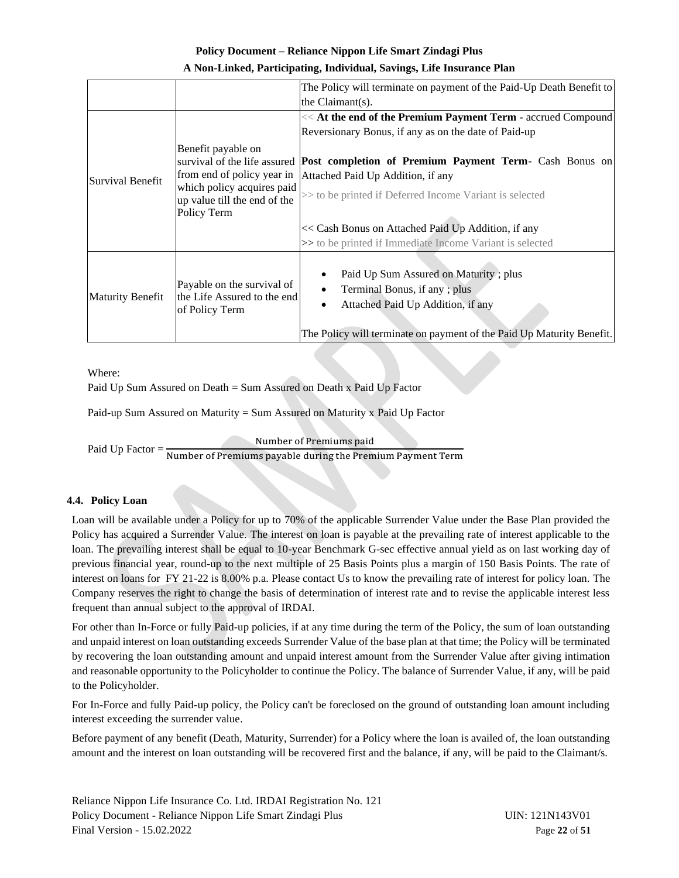| A Non-Linked, Participating, Individual, Savings, Life Insurance Plan |  |  |
|-----------------------------------------------------------------------|--|--|
|-----------------------------------------------------------------------|--|--|

|                         |                                                                             | The Policy will terminate on payment of the Paid-Up Death Benefit to                                                                                                                |  |  |  |  |  |  |  |
|-------------------------|-----------------------------------------------------------------------------|-------------------------------------------------------------------------------------------------------------------------------------------------------------------------------------|--|--|--|--|--|--|--|
|                         |                                                                             | the $Claimant(s)$ .                                                                                                                                                                 |  |  |  |  |  |  |  |
|                         |                                                                             | << At the end of the Premium Payment Term - accrued Compound                                                                                                                        |  |  |  |  |  |  |  |
|                         |                                                                             | Reversionary Bonus, if any as on the date of Paid-up                                                                                                                                |  |  |  |  |  |  |  |
|                         | Benefit payable on                                                          | survival of the life assured <b>Post completion of Premium Payment Term-</b> Cash Bonus on                                                                                          |  |  |  |  |  |  |  |
| Survival Benefit        | from end of policy year in                                                  | Attached Paid Up Addition, if any                                                                                                                                                   |  |  |  |  |  |  |  |
|                         | which policy acquires paid<br>up value till the end of the<br>Policy Term   | >> to be printed if Deferred Income Variant is selected                                                                                                                             |  |  |  |  |  |  |  |
|                         |                                                                             | << Cash Bonus on Attached Paid Up Addition, if any<br>>> to be printed if Immediate Income Variant is selected                                                                      |  |  |  |  |  |  |  |
| <b>Maturity Benefit</b> | Payable on the survival of<br>the Life Assured to the end<br>of Policy Term | Paid Up Sum Assured on Maturity; plus<br>Terminal Bonus, if any; plus<br>Attached Paid Up Addition, if any<br>The Policy will terminate on payment of the Paid Up Maturity Benefit. |  |  |  |  |  |  |  |

Where:

Paid Up Sum Assured on Death = Sum Assured on Death x Paid Up Factor

Paid-up Sum Assured on Maturity = Sum Assured on Maturity x Paid Up Factor

Number of Premiums paid

Paid Up Factor = Number of Premiums payable during the Premium Payment Term

## <span id="page-21-0"></span>**4.4. Policy Loan**

Loan will be available under a Policy for up to 70% of the applicable Surrender Value under the Base Plan provided the Policy has acquired a Surrender Value. The interest on loan is payable at the prevailing rate of interest applicable to the loan. The prevailing interest shall be equal to 10-year Benchmark G-sec effective annual yield as on last working day of previous financial year, round-up to the next multiple of 25 Basis Points plus a margin of 150 Basis Points. The rate of interest on loans for FY 21-22 is 8.00% p.a. Please contact Us to know the prevailing rate of interest for policy loan. The Company reserves the right to change the basis of determination of interest rate and to revise the applicable interest less frequent than annual subject to the approval of IRDAI.

For other than In-Force or fully Paid-up policies, if at any time during the term of the Policy, the sum of loan outstanding and unpaid interest on loan outstanding exceeds Surrender Value of the base plan at that time; the Policy will be terminated by recovering the loan outstanding amount and unpaid interest amount from the Surrender Value after giving intimation and reasonable opportunity to the Policyholder to continue the Policy. The balance of Surrender Value, if any, will be paid to the Policyholder.

For In-Force and fully Paid-up policy, the Policy can't be foreclosed on the ground of outstanding loan amount including interest exceeding the surrender value.

Before payment of any benefit (Death, Maturity, Surrender) for a Policy where the loan is availed of, the loan outstanding amount and the interest on loan outstanding will be recovered first and the balance, if any, will be paid to the Claimant/s.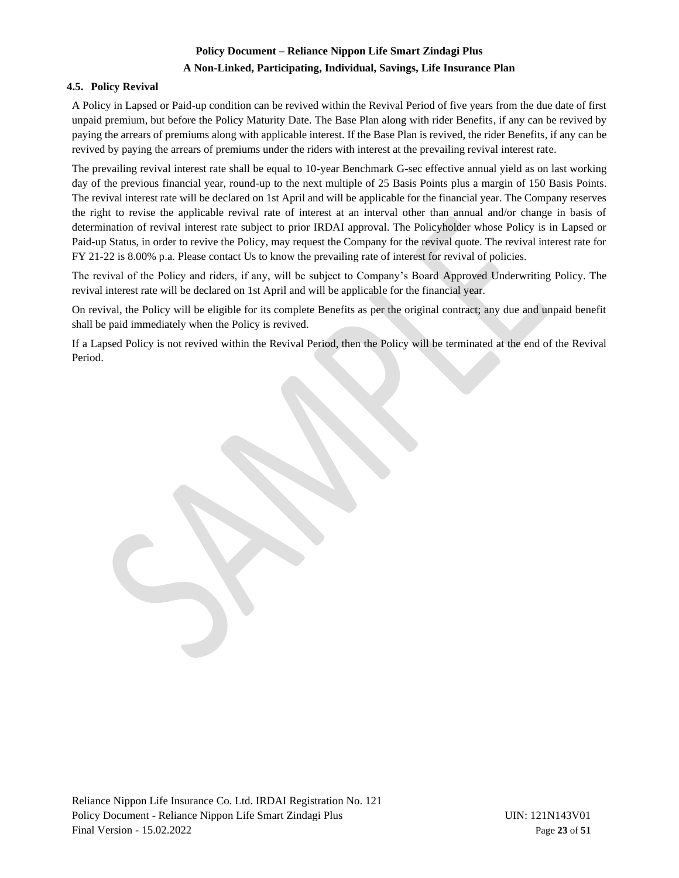## **A Non-Linked, Participating, Individual, Savings, Life Insurance Plan**

## <span id="page-22-0"></span>**4.5. Policy Revival**

A Policy in Lapsed or Paid-up condition can be revived within the Revival Period of five years from the due date of first unpaid premium, but before the Policy Maturity Date. The Base Plan along with rider Benefits, if any can be revived by paying the arrears of premiums along with applicable interest. If the Base Plan is revived, the rider Benefits, if any can be revived by paying the arrears of premiums under the riders with interest at the prevailing revival interest rate.

The prevailing revival interest rate shall be equal to 10-year Benchmark G-sec effective annual yield as on last working day of the previous financial year, round-up to the next multiple of 25 Basis Points plus a margin of 150 Basis Points. The revival interest rate will be declared on 1st April and will be applicable for the financial year. The Company reserves the right to revise the applicable revival rate of interest at an interval other than annual and/or change in basis of determination of revival interest rate subject to prior IRDAI approval. The Policyholder whose Policy is in Lapsed or Paid-up Status, in order to revive the Policy, may request the Company for the revival quote. The revival interest rate for FY 21-22 is 8.00% p.a. Please contact Us to know the prevailing rate of interest for revival of policies.

The revival of the Policy and riders, if any, will be subject to Company's Board Approved Underwriting Policy. The revival interest rate will be declared on 1st April and will be applicable for the financial year.

On revival, the Policy will be eligible for its complete Benefits as per the original contract; any due and unpaid benefit shall be paid immediately when the Policy is revived.

If a Lapsed Policy is not revived within the Revival Period, then the Policy will be terminated at the end of the Revival Period.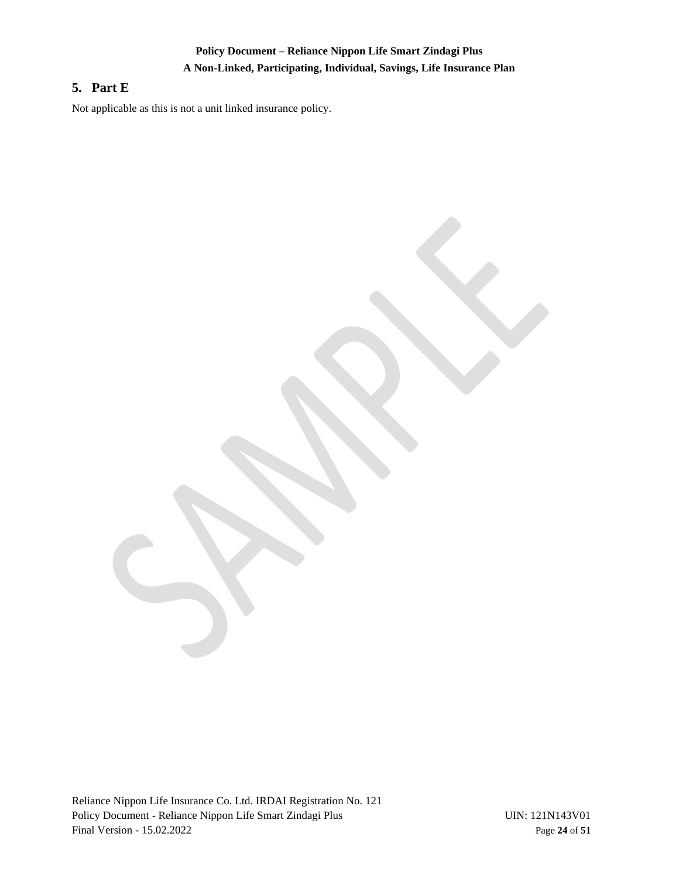# **Policy Document – Reliance Nippon Life Smart Zindagi Plus A Non-Linked, Participating, Individual, Savings, Life Insurance Plan**

# <span id="page-23-0"></span>**5. Part E**

Not applicable as this is not a unit linked insurance policy.

Reliance Nippon Life Insurance Co. Ltd. IRDAI Registration No. 121 Policy Document - Reliance Nippon Life Smart Zindagi Plus UIN: 121N143V01 Final Version - 15.02.2022 Page **24** of **51**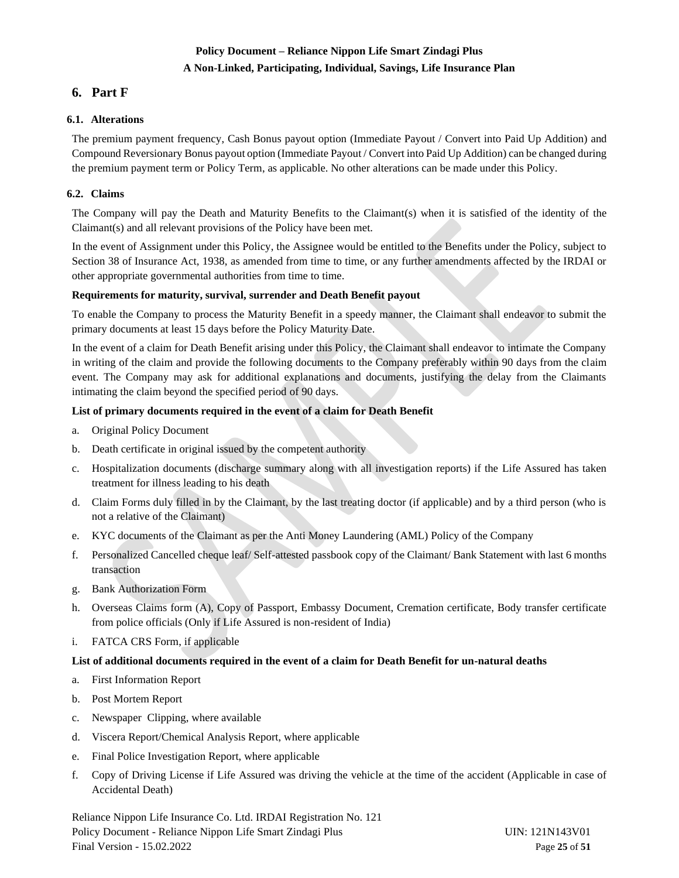# **Policy Document – Reliance Nippon Life Smart Zindagi Plus A Non-Linked, Participating, Individual, Savings, Life Insurance Plan**

# <span id="page-24-0"></span>**6. Part F**

## <span id="page-24-1"></span>**6.1. Alterations**

The premium payment frequency, Cash Bonus payout option (Immediate Payout / Convert into Paid Up Addition) and Compound Reversionary Bonus payout option (Immediate Payout / Convert into Paid Up Addition) can be changed during the premium payment term or Policy Term, as applicable. No other alterations can be made under this Policy.

## <span id="page-24-2"></span>**6.2. Claims**

The Company will pay the Death and Maturity Benefits to the Claimant(s) when it is satisfied of the identity of the Claimant(s) and all relevant provisions of the Policy have been met.

In the event of Assignment under this Policy, the Assignee would be entitled to the Benefits under the Policy, subject to Section 38 of Insurance Act, 1938, as amended from time to time, or any further amendments affected by the IRDAI or other appropriate governmental authorities from time to time.

#### **Requirements for maturity, survival, surrender and Death Benefit payout**

To enable the Company to process the Maturity Benefit in a speedy manner, the Claimant shall endeavor to submit the primary documents at least 15 days before the Policy Maturity Date.

In the event of a claim for Death Benefit arising under this Policy, the Claimant shall endeavor to intimate the Company in writing of the claim and provide the following documents to the Company preferably within 90 days from the claim event. The Company may ask for additional explanations and documents, justifying the delay from the Claimants intimating the claim beyond the specified period of 90 days.

## **List of primary documents required in the event of a claim for Death Benefit**

- a. Original Policy Document
- b. Death certificate in original issued by the competent authority
- c. Hospitalization documents (discharge summary along with all investigation reports) if the Life Assured has taken treatment for illness leading to his death
- d. Claim Forms duly filled in by the Claimant, by the last treating doctor (if applicable) and by a third person (who is not a relative of the Claimant)
- e. KYC documents of the Claimant as per the Anti Money Laundering (AML) Policy of the Company
- f. Personalized Cancelled cheque leaf/ Self-attested passbook copy of the Claimant/ Bank Statement with last 6 months transaction
- g. Bank Authorization Form
- h. Overseas Claims form (A), Copy of Passport, Embassy Document, Cremation certificate, Body transfer certificate from police officials (Only if Life Assured is non-resident of India)
- i. FATCA CRS Form, if applicable

#### **List of additional documents required in the event of a claim for Death Benefit for un-natural deaths**

- a. First Information Report
- b. Post Mortem Report
- c. Newspaper Clipping, where available
- d. Viscera Report/Chemical Analysis Report, where applicable
- e. Final Police Investigation Report, where applicable
- f. Copy of Driving License if Life Assured was driving the vehicle at the time of the accident (Applicable in case of Accidental Death)

Reliance Nippon Life Insurance Co. Ltd. IRDAI Registration No. 121 Policy Document - Reliance Nippon Life Smart Zindagi Plus UIN: 121N143V01 Final Version - 15.02.2022 Page **25** of **51**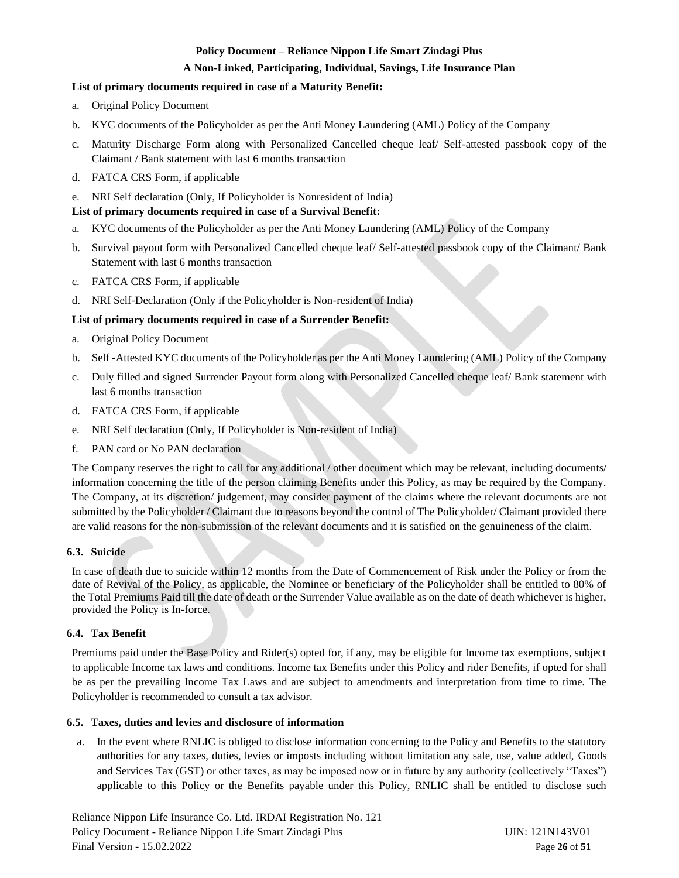## **A Non-Linked, Participating, Individual, Savings, Life Insurance Plan**

## **List of primary documents required in case of a Maturity Benefit:**

- a. Original Policy Document
- b. KYC documents of the Policyholder as per the Anti Money Laundering (AML) Policy of the Company
- c. Maturity Discharge Form along with Personalized Cancelled cheque leaf/ Self-attested passbook copy of the Claimant / Bank statement with last 6 months transaction
- d. FATCA CRS Form, if applicable
- e. NRI Self declaration (Only, If Policyholder is Nonresident of India)

## **List of primary documents required in case of a Survival Benefit:**

- a. KYC documents of the Policyholder as per the Anti Money Laundering (AML) Policy of the Company
- b. Survival payout form with Personalized Cancelled cheque leaf/ Self-attested passbook copy of the Claimant/ Bank Statement with last 6 months transaction
- c. FATCA CRS Form, if applicable
- d. NRI Self-Declaration (Only if the Policyholder is Non-resident of India)

## **List of primary documents required in case of a Surrender Benefit:**

- a. Original Policy Document
- b. Self -Attested KYC documents of the Policyholder as per the Anti Money Laundering (AML) Policy of the Company
- c. Duly filled and signed Surrender Payout form along with Personalized Cancelled cheque leaf/ Bank statement with last 6 months transaction
- d. FATCA CRS Form, if applicable
- e. NRI Self declaration (Only, If Policyholder is Non-resident of India)
- f. PAN card or No PAN declaration

The Company reserves the right to call for any additional / other document which may be relevant, including documents/ information concerning the title of the person claiming Benefits under this Policy, as may be required by the Company. The Company, at its discretion/ judgement, may consider payment of the claims where the relevant documents are not submitted by the Policyholder / Claimant due to reasons beyond the control of The Policyholder/ Claimant provided there are valid reasons for the non-submission of the relevant documents and it is satisfied on the genuineness of the claim.

#### <span id="page-25-0"></span>**6.3. Suicide**

In case of death due to suicide within 12 months from the Date of Commencement of Risk under the Policy or from the date of Revival of the Policy, as applicable, the Nominee or beneficiary of the Policyholder shall be entitled to 80% of the Total Premiums Paid till the date of death or the Surrender Value available as on the date of death whichever is higher, provided the Policy is In-force.

#### <span id="page-25-1"></span>**6.4. Tax Benefit**

Premiums paid under the Base Policy and Rider(s) opted for, if any, may be eligible for Income tax exemptions, subject to applicable Income tax laws and conditions. Income tax Benefits under this Policy and rider Benefits, if opted for shall be as per the prevailing Income Tax Laws and are subject to amendments and interpretation from time to time. The Policyholder is recommended to consult a tax advisor.

#### <span id="page-25-2"></span>**6.5. Taxes, duties and levies and disclosure of information**

a. In the event where RNLIC is obliged to disclose information concerning to the Policy and Benefits to the statutory authorities for any taxes, duties, levies or imposts including without limitation any sale, use, value added, Goods and Services Tax (GST) or other taxes, as may be imposed now or in future by any authority (collectively "Taxes") applicable to this Policy or the Benefits payable under this Policy, RNLIC shall be entitled to disclose such

Reliance Nippon Life Insurance Co. Ltd. IRDAI Registration No. 121 Policy Document - Reliance Nippon Life Smart Zindagi Plus UIN: 121N143V01 Final Version - 15.02.2022 Page **26** of **51**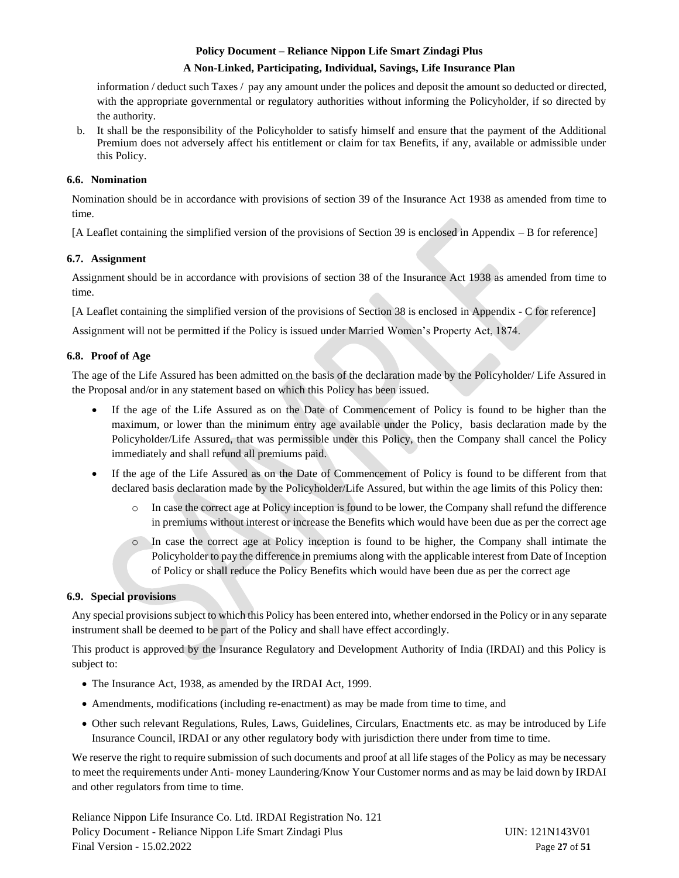#### **A Non-Linked, Participating, Individual, Savings, Life Insurance Plan**

information / deduct such Taxes / pay any amount under the polices and deposit the amount so deducted or directed, with the appropriate governmental or regulatory authorities without informing the Policyholder, if so directed by the authority.

b. It shall be the responsibility of the Policyholder to satisfy himself and ensure that the payment of the Additional Premium does not adversely affect his entitlement or claim for tax Benefits, if any, available or admissible under this Policy.

## <span id="page-26-0"></span>**6.6. Nomination**

Nomination should be in accordance with provisions of section 39 of the Insurance Act 1938 as amended from time to time.

[A Leaflet containing the simplified version of the provisions of Section 39 is enclosed in Appendix – B for reference]

#### <span id="page-26-1"></span>**6.7. Assignment**

Assignment should be in accordance with provisions of section 38 of the Insurance Act 1938 as amended from time to time.

[A Leaflet containing the simplified version of the provisions of Section 38 is enclosed in Appendix - C for reference]

Assignment will not be permitted if the Policy is issued under Married Women's Property Act, 1874.

## <span id="page-26-2"></span>**6.8. Proof of Age**

The age of the Life Assured has been admitted on the basis of the declaration made by the Policyholder/ Life Assured in the Proposal and/or in any statement based on which this Policy has been issued.

- If the age of the Life Assured as on the Date of Commencement of Policy is found to be higher than the maximum, or lower than the minimum entry age available under the Policy, basis declaration made by the Policyholder/Life Assured, that was permissible under this Policy, then the Company shall cancel the Policy immediately and shall refund all premiums paid.
- If the age of the Life Assured as on the Date of Commencement of Policy is found to be different from that declared basis declaration made by the Policyholder/Life Assured, but within the age limits of this Policy then:
	- o In case the correct age at Policy inception is found to be lower, the Company shall refund the difference in premiums without interest or increase the Benefits which would have been due as per the correct age
	- o In case the correct age at Policy inception is found to be higher, the Company shall intimate the Policyholder to pay the difference in premiums along with the applicable interest from Date of Inception of Policy or shall reduce the Policy Benefits which would have been due as per the correct age

#### <span id="page-26-3"></span>**6.9. Special provisions**

Any special provisions subject to which this Policy has been entered into, whether endorsed in the Policy or in any separate instrument shall be deemed to be part of the Policy and shall have effect accordingly.

This product is approved by the Insurance Regulatory and Development Authority of India (IRDAI) and this Policy is subject to:

- The Insurance Act, 1938, as amended by the IRDAI Act, 1999.
- Amendments, modifications (including re-enactment) as may be made from time to time, and
- Other such relevant Regulations, Rules, Laws, Guidelines, Circulars, Enactments etc. as may be introduced by Life Insurance Council, IRDAI or any other regulatory body with jurisdiction there under from time to time.

We reserve the right to require submission of such documents and proof at all life stages of the Policy as may be necessary to meet the requirements under Anti- money Laundering/Know Your Customer norms and as may be laid down by IRDAI and other regulators from time to time.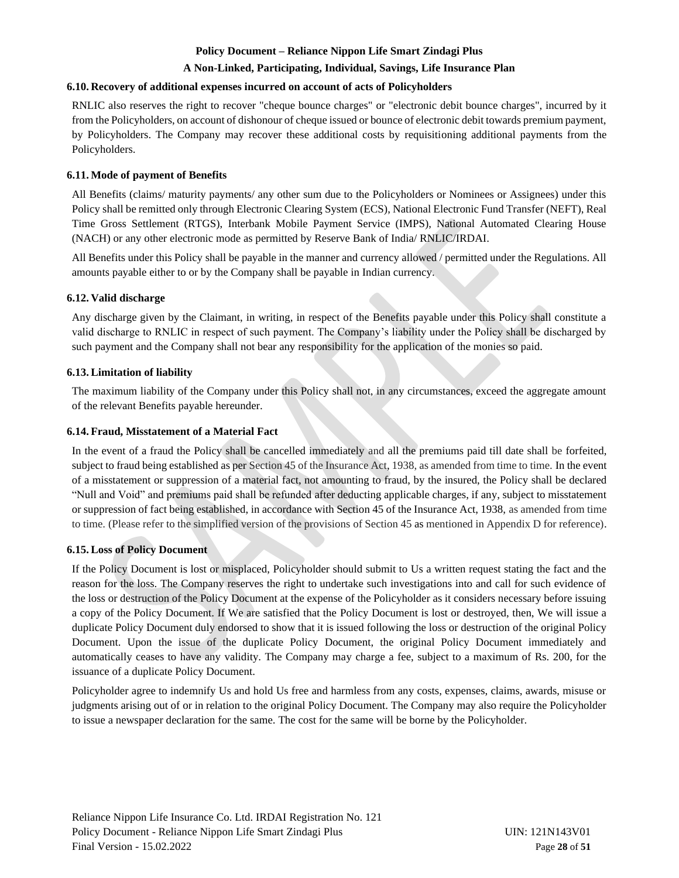#### **A Non-Linked, Participating, Individual, Savings, Life Insurance Plan**

#### <span id="page-27-0"></span>**6.10. Recovery of additional expenses incurred on account of acts of Policyholders**

RNLIC also reserves the right to recover "cheque bounce charges" or "electronic debit bounce charges", incurred by it from the Policyholders, on account of dishonour of cheque issued or bounce of electronic debit towards premium payment, by Policyholders. The Company may recover these additional costs by requisitioning additional payments from the Policyholders.

#### <span id="page-27-1"></span>**6.11. Mode of payment of Benefits**

All Benefits (claims/ maturity payments/ any other sum due to the Policyholders or Nominees or Assignees) under this Policy shall be remitted only through Electronic Clearing System (ECS), National Electronic Fund Transfer (NEFT), Real Time Gross Settlement (RTGS), Interbank Mobile Payment Service (IMPS), National Automated Clearing House (NACH) or any other electronic mode as permitted by Reserve Bank of India/ RNLIC/IRDAI.

All Benefits under this Policy shall be payable in the manner and currency allowed / permitted under the Regulations. All amounts payable either to or by the Company shall be payable in Indian currency.

#### <span id="page-27-2"></span>**6.12. Valid discharge**

Any discharge given by the Claimant, in writing, in respect of the Benefits payable under this Policy shall constitute a valid discharge to RNLIC in respect of such payment. The Company's liability under the Policy shall be discharged by such payment and the Company shall not bear any responsibility for the application of the monies so paid.

#### <span id="page-27-3"></span>**6.13.Limitation of liability**

The maximum liability of the Company under this Policy shall not, in any circumstances, exceed the aggregate amount of the relevant Benefits payable hereunder.

#### <span id="page-27-4"></span>**6.14. Fraud, Misstatement of a Material Fact**

In the event of a fraud the Policy shall be cancelled immediately and all the premiums paid till date shall be forfeited, subject to fraud being established as per Section 45 of the Insurance Act, 1938, as amended from time to time. In the event of a misstatement or suppression of a material fact, not amounting to fraud, by the insured, the Policy shall be declared "Null and Void" and premiums paid shall be refunded after deducting applicable charges, if any, subject to misstatement or suppression of fact being established, in accordance with Section 45 of the Insurance Act, 1938, as amended from time to time. (Please refer to the simplified version of the provisions of Section 45 as mentioned in Appendix D for reference).

#### <span id="page-27-5"></span>**6.15.Loss of Policy Document**

If the Policy Document is lost or misplaced, Policyholder should submit to Us a written request stating the fact and the reason for the loss. The Company reserves the right to undertake such investigations into and call for such evidence of the loss or destruction of the Policy Document at the expense of the Policyholder as it considers necessary before issuing a copy of the Policy Document. If We are satisfied that the Policy Document is lost or destroyed, then, We will issue a duplicate Policy Document duly endorsed to show that it is issued following the loss or destruction of the original Policy Document. Upon the issue of the duplicate Policy Document, the original Policy Document immediately and automatically ceases to have any validity. The Company may charge a fee, subject to a maximum of Rs. 200, for the issuance of a duplicate Policy Document.

Policyholder agree to indemnify Us and hold Us free and harmless from any costs, expenses, claims, awards, misuse or judgments arising out of or in relation to the original Policy Document. The Company may also require the Policyholder to issue a newspaper declaration for the same. The cost for the same will be borne by the Policyholder.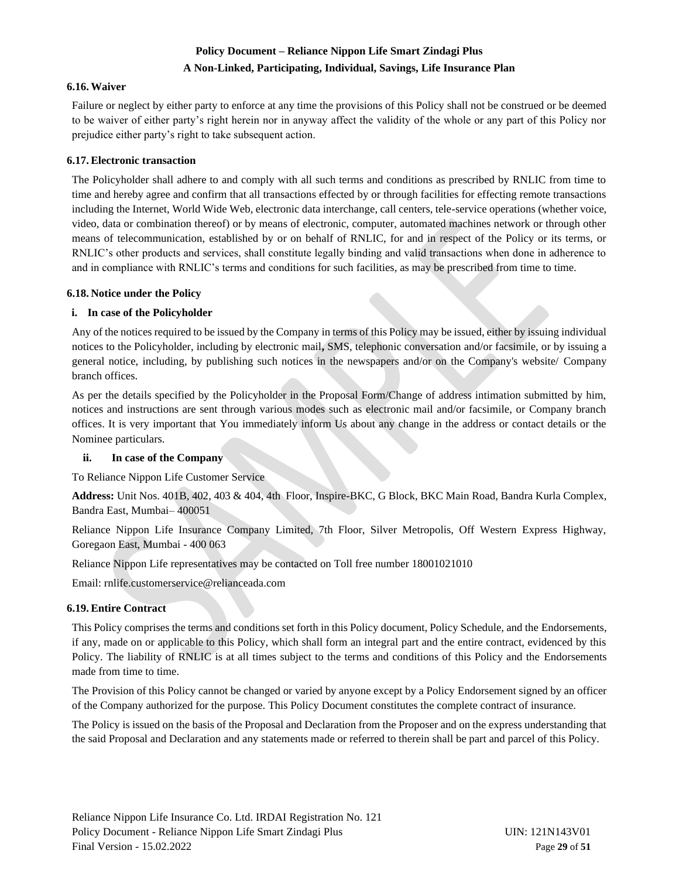# **Policy Document – Reliance Nippon Life Smart Zindagi Plus A Non-Linked, Participating, Individual, Savings, Life Insurance Plan**

#### <span id="page-28-0"></span>**6.16.Waiver**

Failure or neglect by either party to enforce at any time the provisions of this Policy shall not be construed or be deemed to be waiver of either party's right herein nor in anyway affect the validity of the whole or any part of this Policy nor prejudice either party's right to take subsequent action.

## <span id="page-28-1"></span>**6.17.Electronic transaction**

The Policyholder shall adhere to and comply with all such terms and conditions as prescribed by RNLIC from time to time and hereby agree and confirm that all transactions effected by or through facilities for effecting remote transactions including the Internet, World Wide Web, electronic data interchange, call centers, tele-service operations (whether voice, video, data or combination thereof) or by means of electronic, computer, automated machines network or through other means of telecommunication, established by or on behalf of RNLIC, for and in respect of the Policy or its terms, or RNLIC's other products and services, shall constitute legally binding and valid transactions when done in adherence to and in compliance with RNLIC's terms and conditions for such facilities, as may be prescribed from time to time.

#### <span id="page-28-2"></span>**6.18. Notice under the Policy**

## **i. In case of the Policyholder**

Any of the notices required to be issued by the Company in terms of this Policy may be issued, either by issuing individual notices to the Policyholder, including by electronic mail**,** SMS, telephonic conversation and/or facsimile, or by issuing a general notice, including, by publishing such notices in the newspapers and/or on the Company's website/ Company branch offices.

As per the details specified by the Policyholder in the Proposal Form/Change of address intimation submitted by him, notices and instructions are sent through various modes such as electronic mail and/or facsimile, or Company branch offices. It is very important that You immediately inform Us about any change in the address or contact details or the Nominee particulars.

## **ii. In case of the Company**

To Reliance Nippon Life Customer Service

**Address:** Unit Nos. 401B, 402, 403 & 404, 4th Floor, Inspire-BKC, G Block, BKC Main Road, Bandra Kurla Complex, Bandra East, Mumbai– 400051

Reliance Nippon Life Insurance Company Limited, 7th Floor, Silver Metropolis, Off Western Express Highway, Goregaon East, Mumbai - 400 063

Reliance Nippon Life representatives may be contacted on Toll free number 18001021010

Email: rnlif[e.customerservice@relianceada.com](mailto:.customerservice@relianceada.com)

## <span id="page-28-3"></span>**6.19.Entire Contract**

This Policy comprises the terms and conditions set forth in this Policy document, Policy Schedule, and the Endorsements, if any, made on or applicable to this Policy, which shall form an integral part and the entire contract, evidenced by this Policy. The liability of RNLIC is at all times subject to the terms and conditions of this Policy and the Endorsements made from time to time.

The Provision of this Policy cannot be changed or varied by anyone except by a Policy Endorsement signed by an officer of the Company authorized for the purpose. This Policy Document constitutes the complete contract of insurance.

The Policy is issued on the basis of the Proposal and Declaration from the Proposer and on the express understanding that the said Proposal and Declaration and any statements made or referred to therein shall be part and parcel of this Policy.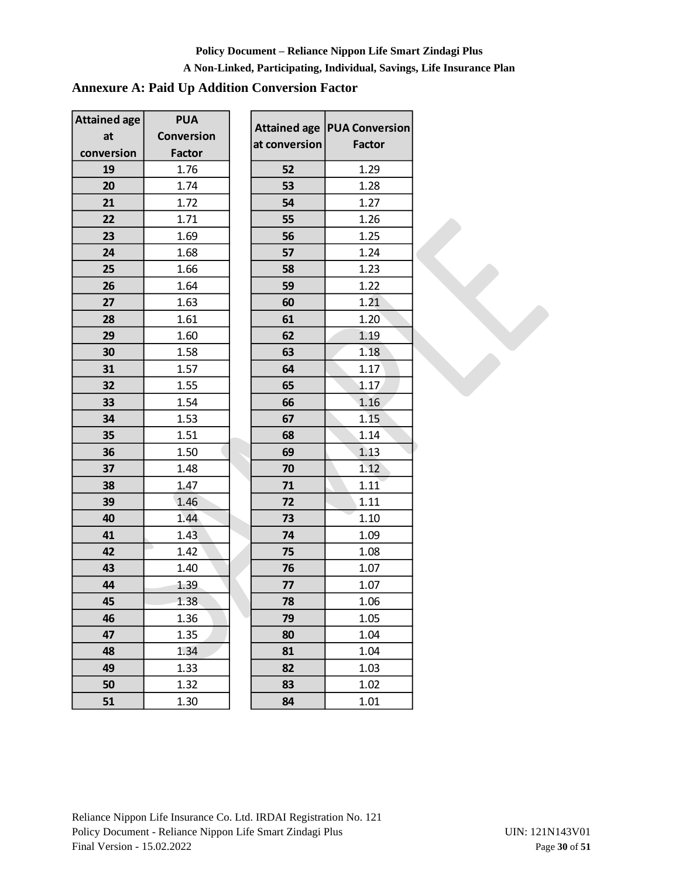## **A Non-Linked, Participating, Individual, Savings, Life Insurance Plan**

# **Annexure A: Paid Up Addition Conversion Factor**

| <b>Attained age</b> | <b>PUA</b>    | <b>Attained age</b> | <b>PUA Conve</b> |
|---------------------|---------------|---------------------|------------------|
| at                  | Conversion    | at conversion       | Facto            |
| conversion          | <b>Factor</b> |                     |                  |
| 19                  | 1.76          | 52                  | 1.29             |
| 20                  | 1.74          | 53                  | 1.28             |
| 21                  | 1.72          | 54                  | 1.27             |
| 22                  | 1.71          | 55                  | 1.26             |
| 23                  | 1.69          | 56                  | 1.25             |
| 24                  | 1.68          | 57                  | 1.24             |
| 25                  | 1.66          | 58                  | 1.23             |
| 26                  | 1.64          | 59                  | 1.22             |
| 27                  | 1.63          | 60                  | 1.21             |
| 28                  | 1.61          | 61                  | 1.20             |
| 29                  | 1.60          | 62                  | 1.19             |
| 30                  | 1.58          | 63                  | 1.18             |
| 31                  | 1.57          | 64                  | 1.17             |
| 32                  | 1.55          | 65                  | 1.17             |
| 33                  | 1.54          | 66                  | 1.16             |
| 34                  | 1.53          | 67                  | 1.15             |
| 35                  | 1.51          | 68                  | 1.14             |
| 36                  | 1.50          | 69                  | 1.13             |
| 37                  | 1.48          | 70                  | 1.12             |
| 38                  | 1.47          | 71                  | 1.11             |
| 39                  | 1.46          | 72                  | 1.11             |
| 40                  | 1.44          | 73                  | 1.10             |
| 41                  | 1.43          | 74                  | 1.09             |
| 42                  | 1.42          | 75                  | 1.08             |
| 43                  | 1.40          | 76                  | 1.07             |
| 44                  | 1.39          | 77                  | 1.07             |
| 45                  | 1.38          | 78                  | 1.06             |
| 46                  | 1.36          | 79                  | 1.05             |
| 47                  | 1.35          | 80                  | 1.04             |
| 48                  | 1.34          | 81                  | 1.04             |
| 49                  | 1.33          | 82                  | 1.03             |
| 50                  | 1.32          | 83                  | 1.02             |
| 51                  | 1.30          | 84                  | 1.01             |

| <b>Attained age</b> | <b>PUA Conversion</b> |
|---------------------|-----------------------|
| at conversion       | Factor                |
| 52                  | 1.29                  |
| 53                  | 1.28                  |
| 54                  | 1.27                  |
| 55                  | 1.26                  |
| 56                  | 1.25                  |
| 57                  | 1.24                  |
| 58                  | 1.23                  |
| 59                  | 1.22                  |
| 60                  | 1.21                  |
| 61                  | 1.20                  |
| 62                  | 1.19                  |
| 63                  | 1.18                  |
| 64                  | 1.17                  |
| 65                  | 1.17                  |
| 66                  | 1.16                  |
| 67                  | 1.15                  |
| 68                  | 1.14                  |
| 69                  | 1.13                  |
| 70                  | 1.12                  |
| 71                  | 1.11                  |
| 72                  | 1.11                  |
| 73                  | 1.10                  |
| 74                  | 1.09                  |
| 75                  | 1.08                  |
| 76                  | 1.07                  |
| 77                  | 1.07                  |
| 78                  | 1.06                  |
| 79                  | 1.05                  |
| 80                  | 1.04                  |
| 81                  | 1.04                  |
| 82                  | 1.03                  |
| 83                  | 1.02                  |
| 84                  | 1.01                  |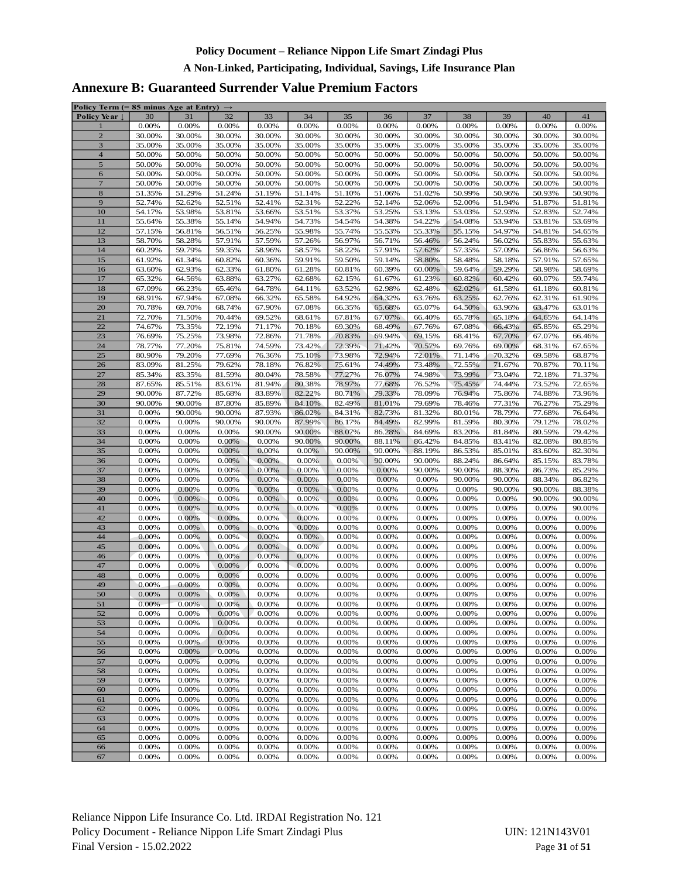## **A Non-Linked, Participating, Individual, Savings, Life Insurance Plan**

# **Annexure B: Guaranteed Surrender Value Premium Factors**

| Policy Term (= 85 minus Age at Entry) $\rightarrow$ |        |        |        |          |        |        |        |        |        |          |        |          |
|-----------------------------------------------------|--------|--------|--------|----------|--------|--------|--------|--------|--------|----------|--------|----------|
| Policy Year ↓                                       | 30     | 31     | 32     | 33       | 34     | 35     | 36     | 37     | 38     | 39       | 40     | 41       |
| $\mathbf{1}$                                        | 0.00%  | 0.00%  | 0.00%  | 0.00%    | 0.00%  | 0.00%  | 0.00%  | 0.00%  | 0.00%  | 0.00%    | 0.00%  | 0.00%    |
| $\overline{2}$                                      | 30.00% | 30.00% | 30.00% | 30.00%   | 30.00% | 30.00% | 30.00% | 30.00% | 30.00% | 30.00%   | 30.00% | 30.00%   |
| $\overline{\mathbf{3}}$                             | 35.00% | 35.00% | 35.00% | 35.00%   | 35.00% | 35.00% | 35.00% | 35.00% | 35.00% | 35.00%   | 35.00% | 35.00%   |
| $\overline{\mathbf{4}}$                             | 50.00% | 50.00% | 50.00% | 50.00%   | 50.00% | 50.00% | 50.00% | 50.00% | 50.00% | 50.00%   | 50.00% | 50.00%   |
|                                                     |        |        |        |          |        |        |        |        |        |          |        |          |
| $\mathfrak s$                                       | 50.00% | 50.00% | 50.00% | 50.00%   | 50.00% | 50.00% | 50.00% | 50.00% | 50.00% | 50.00%   | 50.00% | 50.00%   |
| 6                                                   | 50.00% | 50.00% | 50.00% | 50.00%   | 50.00% | 50.00% | 50.00% | 50.00% | 50.00% | 50.00%   | 50.00% | 50.00%   |
| $\overline{7}$                                      | 50.00% | 50.00% | 50.00% | 50.00%   | 50.00% | 50.00% | 50.00% | 50.00% | 50.00% | 50.00%   | 50.00% | 50.00%   |
| $\bf 8$                                             | 51.35% | 51.29% | 51.24% | 51.19%   | 51.14% | 51.10% | 51.06% | 51.02% | 50.99% | 50.96%   | 50.93% | 50.90%   |
| 9                                                   | 52.74% | 52.62% | 52.51% | 52.41%   | 52.31% | 52.22% | 52.14% | 52.06% | 52.00% | 51.94%   | 51.87% | 51.81%   |
| 10                                                  | 54.17% | 53.98% | 53.81% | 53.66%   | 53.51% | 53.37% | 53.25% | 53.13% | 53.03% | 52.93%   | 52.83% | 52.74%   |
| 11                                                  | 55.64% | 55.38% | 55.14% | 54.94%   | 54.73% | 54.54% | 54.38% | 54.22% | 54.08% | 53.94%   | 53.81% | 53.69%   |
| 12                                                  | 57.15% | 56.81% | 56.51% | 56.25%   | 55.98% | 55.74% | 55.53% | 55.33% | 55.15% | 54.97%   | 54.81% | 54.65%   |
| 13                                                  | 58.70% | 58.28% | 57.91% | 57.59%   | 57.26% | 56.97% | 56.71% | 56.46% | 56.24% | 56.02%   | 55.83% | 55.63%   |
|                                                     |        |        |        | 58.96%   |        |        |        |        |        |          |        |          |
| 14                                                  | 60.29% | 59.79% | 59.35% |          | 58.57% | 58.22% | 57.91% | 57.62% | 57.35% | 57.09%   | 56.86% | 56.63%   |
| 15                                                  | 61.92% | 61.34% | 60.82% | 60.36%   | 59.91% | 59.50% | 59.14% | 58.80% | 58.48% | 58.18%   | 57.91% | 57.65%   |
| 16                                                  | 63.60% | 62.93% | 62.33% | 61.80%   | 61.28% | 60.81% | 60.39% | 60.00% | 59.64% | 59.29%   | 58.98% | 58.69%   |
| 17                                                  | 65.32% | 64.56% | 63.88% | 63.27%   | 62.68% | 62.15% | 61.67% | 61.23% | 60.82% | 60.42%   | 60.07% | 59.74%   |
| 18                                                  | 67.09% | 66.23% | 65.46% | 64.78%   | 64.11% | 63.52% | 62.98% | 62.48% | 62.02% | 61.58%   | 61.18% | 60.81%   |
| 19                                                  | 68.91% | 67.94% | 67.08% | 66.32%   | 65.58% | 64.92% | 64.32% | 63.76% | 63.25% | 62.76%   | 62.31% | 61.90%   |
| 20                                                  | 70.78% | 69.70% | 68.74% | 67.90%   | 67.08% | 66.35% | 65.68% | 65.07% | 64.50% | 63.96%   | 63.47% | 63.01%   |
| 21                                                  | 72.70% | 71.50% | 70.44% | 69.52%   | 68.61% | 67.81% | 67.07% | 66.40% | 65.78% | 65.18%   | 64.65% | 64.14%   |
| 22                                                  | 74.67% | 73.35% | 72.19% | 71.17%   | 70.18% | 69.30% | 68.49% | 67.76% | 67.08% | 66.43%   | 65.85% | 65.29%   |
| 23                                                  | 76.69% | 75.25% | 73.98% | 72.86%   | 71.78% | 70.83% | 69.94% | 69.15% | 68.41% | 67.70%   | 67.07% | 66.46%   |
|                                                     |        |        |        | 74.59%   | 73.42% |        |        |        |        | 69.00%   |        |          |
| 24                                                  | 78.77% | 77.20% | 75.81% |          |        | 72.39% | 71.42% | 70.57% | 69.76% |          | 68.31% | 67.65%   |
| 25                                                  | 80.90% | 79.20% | 77.69% | 76.36%   | 75.10% | 73.98% | 72.94% | 72.01% | 71.14% | 70.32%   | 69.58% | 68.87%   |
| 26                                                  | 83.09% | 81.25% | 79.62% | 78.18%   | 76.82% | 75.61% | 74.49% | 73.48% | 72.55% | 71.67%   | 70.87% | 70.11%   |
| 27                                                  | 85.34% | 83.35% | 81.59% | 80.04%   | 78.58% | 77.27% | 76.07% | 74.98% | 73.99% | 73.04%   | 72.18% | 71.37%   |
| 28                                                  | 87.65% | 85.51% | 83.61% | 81.94%   | 80.38% | 78.97% | 77.68% | 76.52% | 75.45% | 74.44%   | 73.52% | 72.65%   |
| 29                                                  | 90.00% | 87.72% | 85.68% | 83.89%   | 82.22% | 80.71% | 79.33% | 78.09% | 76.94% | 75.86%   | 74.88% | 73.96%   |
| 30                                                  | 90.00% | 90.00% | 87.80% | 85.89%   | 84.10% | 82.49% | 81.01% | 79.69% | 78.46% | 77.31%   | 76.27% | 75.29%   |
| 31                                                  | 0.00%  | 90.00% | 90.00% | 87.93%   | 86.02% | 84.31% | 82.73% | 81.32% | 80.01% | 78.79%   | 77.68% | 76.64%   |
| 32                                                  | 0.00%  | 0.00%  | 90.00% | 90.00%   | 87.99% | 86.17% | 84.49% | 82.99% | 81.59% | 80.30%   | 79.12% | 78.02%   |
| 33                                                  | 0.00%  | 0.00%  | 0.00%  | 90.00%   | 90.00% | 88.07% | 86.28% | 84.69% | 83.20% | 81.84%   | 80.59% | 79.42%   |
| 34                                                  | 0.00%  | 0.00%  | 0.00%  | 0.00%    | 90.00% | 90.00% | 88.11% | 86.42% | 84.85% | 83.41%   | 82.08% | 80.85%   |
|                                                     |        |        |        |          |        |        |        |        |        |          |        |          |
| 35                                                  | 0.00%  | 0.00%  | 0.00%  | 0.00%    | 0.00%  | 90.00% | 90.00% | 88.19% | 86.53% | 85.01%   | 83.60% | 82.30%   |
| 36                                                  | 0.00%  | 0.00%  | 0.00%  | 0.00%    | 0.00%  | 0.00%  | 90.00% | 90.00% | 88.24% | 86.64%   | 85.15% | 83.78%   |
| 37                                                  | 0.00%  | 0.00%  | 0.00%  | 0.00%    | 0.00%  | 0.00%  | 0.00%  | 90.00% | 90.00% | 88.30%   | 86.73% | 85.29%   |
| 38                                                  | 0.00%  | 0.00%  | 0.00%  | 0.00%    | 0.00%  | 0.00%  | 0.00%  | 0.00%  | 90.00% | 90.00%   | 88.34% | 86.82%   |
| 39                                                  | 0.00%  | 0.00%  | 0.00%  | 0.00%    | 0.00%  | 0.00%  | 0.00%  | 0.00%  | 0.00%  | 90.00%   | 90.00% | 88.38%   |
| 40                                                  | 0.00%  | 0.00%  | 0.00%  | 0.00%    | 0.00%  | 0.00%  | 0.00%  | 0.00%  | 0.00%  | 0.00%    | 90.00% | 90.00%   |
| 41                                                  | 0.00%  | 0.00%  | 0.00%  | 0.00%    | 0.00%  | 0.00%  | 0.00%  | 0.00%  | 0.00%  | 0.00%    | 0.00%  | 90.00%   |
| 42                                                  | 0.00%  | 0.00%  | 0.00%  | 0.00%    | 0.00%  | 0.00%  | 0.00%  | 0.00%  | 0.00%  | 0.00%    | 0.00%  | 0.00%    |
| 43                                                  | 0.00%  | 0.00%  | 0.00%  | 0.00%    | 0.00%  | 0.00%  | 0.00%  | 0.00%  | 0.00%  | 0.00%    | 0.00%  | 0.00%    |
| 44                                                  | 0.00%  | 0.00%  | 0.00%  | 0.00%    | 0.00%  | 0.00%  | 0.00%  | 0.00%  | 0.00%  | 0.00%    | 0.00%  | 0.00%    |
| 45                                                  | 0.00%  | 0.00%  | 0.00%  | 0.00%    | 0.00%  | 0.00%  | 0.00%  | 0.00%  | 0.00%  | 0.00%    | 0.00%  | 0.00%    |
|                                                     |        |        |        |          |        |        |        |        |        |          |        |          |
| 46                                                  | 0.00%  | 0.00%  | 0.00%  | 0.00%    | 0.00%  | 0.00%  | 0.00%  | 0.00%  | 0.00%  | 0.00%    | 0.00%  | 0.00%    |
| 47                                                  | 0.00%  | 0.00%  | 0.00%  | 0.00%    | 0.00%  | 0.00%  | 0.00%  | 0.00%  | 0.00%  | 0.00%    | 0.00%  | 0.00%    |
| 48                                                  | 0.00%  | 0.00%  | 0.00%  | 0.00%    | 0.00%  | 0.00%  | 0.00%  | 0.00%  | 0.00%  | 0.00%    | 0.00%  | 0.00%    |
| 49                                                  | 0.00%  | 0.00%  | 0.00%  | 0.00%    | 0.00%  | 0.00%  | 0.00%  | 0.00%  | 0.00%  | 0.00%    | 0.00%  | 0.00%    |
| 50                                                  | 0.00%  | 0.00%  | 0.00%  | 0.00%    | 0.00%  | 0.00%  | 0.00%  | 0.00%  | 0.00%  | 0.00%    | 0.00%  | 0.00%    |
| 51                                                  | 0.00%  | 0.00%  | 0.00%  | $0.00\%$ | 0.00%  | 0.00%  | 0.00%  | 0.00%  | 0.00%  | $0.00\%$ | 0.00%  | $0.00\%$ |
| 52                                                  | 0.00%  | 0.00%  | 0.00%  | $0.00\%$ | 0.00%  | 0.00%  | 0.00%  | 0.00%  | 0.00%  | 0.00%    | 0.00%  | 0.00%    |
| 53                                                  | 0.00%  | 0.00%  | 0.00%  | 0.00%    | 0.00%  | 0.00%  | 0.00%  | 0.00%  | 0.00%  | 0.00%    | 0.00%  | 0.00%    |
| 54                                                  | 0.00%  | 0.00%  | 0.00%  | 0.00%    | 0.00%  | 0.00%  | 0.00%  | 0.00%  | 0.00%  | 0.00%    | 0.00%  | 0.00%    |
| 55                                                  | 0.00%  | 0.00%  | 0.00%  | 0.00%    | 0.00%  | 0.00%  | 0.00%  | 0.00%  | 0.00%  | 0.00%    | 0.00%  | 0.00%    |
|                                                     | 0.00%  | 0.00%  | 0.00%  | 0.00%    | 0.00%  | 0.00%  | 0.00%  | 0.00%  | 0.00%  | 0.00%    | 0.00%  | 0.00%    |
| 56                                                  |        |        |        |          |        |        |        |        |        |          |        |          |
| 57                                                  | 0.00%  | 0.00%  | 0.00%  | 0.00%    | 0.00%  | 0.00%  | 0.00%  | 0.00%  | 0.00%  | 0.00%    | 0.00%  | 0.00%    |
| 58                                                  | 0.00%  | 0.00%  | 0.00%  | 0.00%    | 0.00%  | 0.00%  | 0.00%  | 0.00%  | 0.00%  | 0.00%    | 0.00%  | 0.00%    |
| 59                                                  | 0.00%  | 0.00%  | 0.00%  | 0.00%    | 0.00%  | 0.00%  | 0.00%  | 0.00%  | 0.00%  | 0.00%    | 0.00%  | 0.00%    |
| 60                                                  | 0.00%  | 0.00%  | 0.00%  | 0.00%    | 0.00%  | 0.00%  | 0.00%  | 0.00%  | 0.00%  | 0.00%    | 0.00%  | 0.00%    |
| 61                                                  | 0.00%  | 0.00%  | 0.00%  | 0.00%    | 0.00%  | 0.00%  | 0.00%  | 0.00%  | 0.00%  | 0.00%    | 0.00%  | 0.00%    |
| 62                                                  | 0.00%  | 0.00%  | 0.00%  | 0.00%    | 0.00%  | 0.00%  | 0.00%  | 0.00%  | 0.00%  | 0.00%    | 0.00%  | 0.00%    |
| 63                                                  | 0.00%  | 0.00%  | 0.00%  | 0.00%    | 0.00%  | 0.00%  | 0.00%  | 0.00%  | 0.00%  | 0.00%    | 0.00%  | 0.00%    |
| 64                                                  | 0.00%  | 0.00%  | 0.00%  | 0.00%    | 0.00%  | 0.00%  | 0.00%  | 0.00%  | 0.00%  | 0.00%    | 0.00%  | 0.00%    |
| 65                                                  | 0.00%  | 0.00%  | 0.00%  | 0.00%    | 0.00%  | 0.00%  | 0.00%  | 0.00%  | 0.00%  | 0.00%    | 0.00%  | 0.00%    |
| 66                                                  | 0.00%  | 0.00%  | 0.00%  | 0.00%    | 0.00%  | 0.00%  | 0.00%  | 0.00%  | 0.00%  | 0.00%    | 0.00%  | 0.00%    |
| 67                                                  | 0.00%  | 0.00%  | 0.00%  | 0.00%    | 0.00%  | 0.00%  | 0.00%  | 0.00%  | 0.00%  | 0.00%    | 0.00%  | 0.00%    |
|                                                     |        |        |        |          |        |        |        |        |        |          |        |          |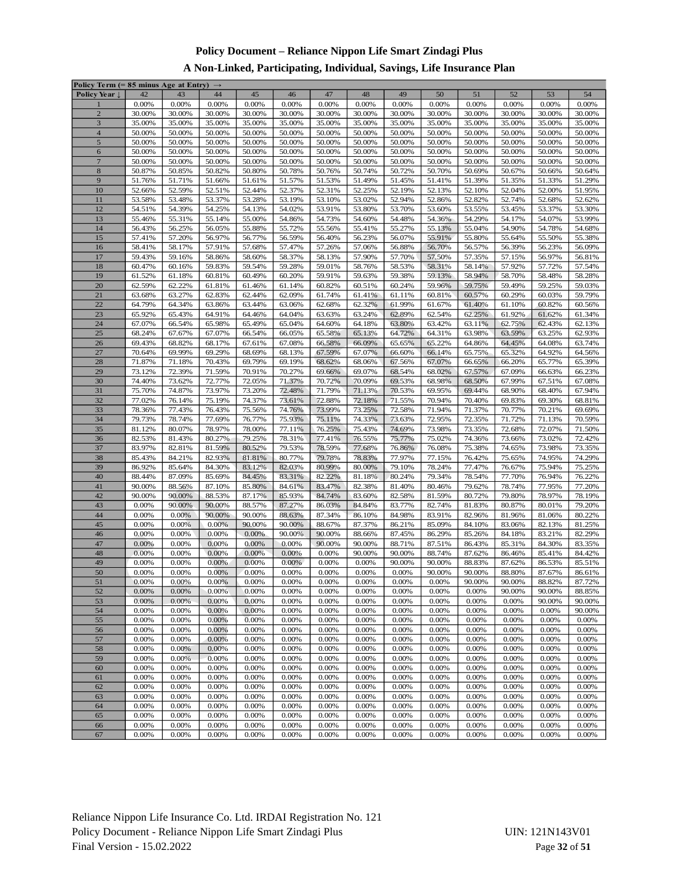## **A Non-Linked, Participating, Individual, Savings, Life Insurance Plan**

| Policy Term (= 85 minus Age at Entry) $\rightarrow$ |        |          |        |        |        |        |        |          |          |        |        |        |        |
|-----------------------------------------------------|--------|----------|--------|--------|--------|--------|--------|----------|----------|--------|--------|--------|--------|
| Policy Year                                         | 42     | 43       | 44     | 45     | 46     | 47     | 48     | 49       | 50       | 51     | 52     | 53     | 54     |
| ı                                                   | 0.00%  | 0.00%    | 0.00%  | 0.00%  | 0.00%  | 0.00%  | 0.00%  | 0.00%    | 0.00%    | 0.00%  | 0.00%  | 0.00%  | 0.00%  |
| $\overline{2}$                                      | 30.00% | 30.00%   | 30.00% | 30.00% | 30.00% | 30.00% | 30.00% | 30.00%   | 30.00%   | 30.00% | 30.00% | 30.00% | 30.00% |
| 3                                                   | 35.00% | 35.00%   | 35.00% | 35.00% | 35.00% | 35.00% | 35.00% | 35.00%   | 35.00%   | 35.00% | 35.00% | 35.00% | 35.00% |
| $\overline{4}$                                      | 50.00% | 50.00%   | 50.00% | 50.00% | 50.00% | 50.00% | 50.00% | 50.00%   | 50.00%   | 50.00% | 50.00% | 50.00% | 50.00% |
| $\sqrt{5}$                                          | 50.00% | 50.00%   | 50.00% | 50.00% | 50.00% | 50.00% | 50.00% | 50.00%   | 50.00%   | 50.00% | 50.00% | 50.00% | 50.00% |
|                                                     |        | 50.00%   |        | 50.00% | 50.00% |        |        |          |          |        |        | 50.00% |        |
| $\sqrt{6}$                                          | 50.00% |          | 50.00% |        |        | 50.00% | 50.00% | 50.00%   | 50.00%   | 50.00% | 50.00% |        | 50.00% |
| $\overline{7}$                                      | 50.00% | 50.00%   | 50.00% | 50.00% | 50.00% | 50.00% | 50.00% | 50.00%   | 50.00%   | 50.00% | 50.00% | 50.00% | 50.00% |
| $\,$ 8 $\,$                                         | 50.87% | 50.85%   | 50.82% | 50.80% | 50.78% | 50.76% | 50.74% | 50.72%   | 50.70%   | 50.69% | 50.67% | 50.66% | 50.64% |
| 9                                                   | 51.76% | 51.71%   | 51.66% | 51.61% | 51.57% | 51.53% | 51.49% | 51.45%   | 51.41%   | 51.39% | 51.35% | 51.33% | 51.29% |
| 10                                                  | 52.66% | 52.59%   | 52.51% | 52.44% | 52.37% | 52.31% | 52.25% | 52.19%   | 52.13%   | 52.10% | 52.04% | 52.00% | 51.95% |
| 11                                                  | 53.58% | 53.48%   | 53.37% | 53.28% | 53.19% | 53.10% | 53.02% | 52.94%   | 52.86%   | 52.82% | 52.74% | 52.68% | 52.62% |
| 12                                                  | 54.51% | 54.39%   | 54.25% | 54.13% | 54.02% | 53.91% | 53.80% | 53.70%   | 53.60%   | 53.55% | 53.45% | 53.37% | 53.30% |
| 13                                                  | 55.46% | 55.31%   | 55.14% | 55.00% | 54.86% | 54.73% | 54.60% | 54.48%   | 54.36%   | 54.29% | 54.17% | 54.07% | 53.99% |
| 14                                                  | 56.43% | 56.25%   | 56.05% | 55.88% | 55.72% | 55.56% | 55.41% | 55.27%   | 55.13%   | 55.04% | 54.90% | 54.78% | 54.68% |
| 15                                                  | 57.41% | 57.20%   | 56.97% | 56.77% | 56.59% | 56.40% | 56.23% | 56.07%   | 55.91%   | 55.80% | 55.64% | 55.50% | 55.38% |
| 16                                                  | 58.41% | 58.17%   | 57.91% | 57.68% | 57.47% | 57.26% | 57.06% | 56.88%   | 56.70%   | 56.57% | 56.39% | 56.23% | 56.09% |
| 17                                                  | 59.43% | 59.16%   | 58.86% | 58.60% | 58.37% | 58.13% | 57.90% | 57.70%   | 57.50%   | 57.35% | 57.15% | 56.97% | 56.81% |
|                                                     |        |          |        |        |        |        |        |          |          |        |        |        |        |
| 18                                                  | 60.47% | 60.16%   | 59.83% | 59.54% | 59.28% | 59.01% | 58.76% | 58.53%   | 58.31%   | 58.14% | 57.92% | 57.72% | 57.54% |
| 19                                                  | 61.52% | 61.18%   | 60.81% | 60.49% | 60.20% | 59.91% | 59.63% | 59.38%   | 59.13%   | 58.94% | 58.70% | 58.48% | 58.28% |
| 20                                                  | 62.59% | 62.22%   | 61.81% | 61.46% | 61.14% | 60.82% | 60.51% | 60.24%   | 59.96%   | 59.75% | 59.49% | 59.25% | 59.03% |
| 21                                                  | 63.68% | 63.27%   | 62.83% | 62.44% | 62.09% | 61.74% | 61.41% | 61.11%   | 60.81%   | 60.57% | 60.29% | 60.03% | 59.79% |
| 22                                                  | 64.79% | 64.34%   | 63.86% | 63.44% | 63.06% | 62.68% | 62.32% | 61.99%   | 61.67%   | 61.40% | 61.10% | 60.82% | 60.56% |
| 23                                                  | 65.92% | 65.43%   | 64.91% | 64.46% | 64.04% | 63.63% | 63.24% | 62.89%   | 62.54%   | 62.25% | 61.92% | 61.62% | 61.34% |
| 24                                                  | 67.07% | 66.54%   | 65.98% | 65.49% | 65.04% | 64.60% | 64.18% | 63.80%   | 63.42%   | 63.11% | 62.75% | 62.43% | 62.13% |
| 25                                                  | 68.24% | 67.67%   | 67.07% | 66.54% | 66.05% | 65.58% | 65.13% | 64.72%   | 64.31%   | 63.98% | 63.59% | 63.25% | 62.93% |
| 26                                                  | 69.43% | 68.82%   | 68.17% | 67.61% | 67.08% | 66.58% | 66.09% | 65.65%   | 65.22%   | 64.86% | 64.45% | 64.08% | 63.74% |
| 27                                                  | 70.64% | 69.99%   | 69.29% | 68.69% | 68.13% | 67.59% | 67.07% | 66.60%   | 66.14%   | 65.75% | 65.32% | 64.92% | 64.56% |
| 28                                                  | 71.87% | 71.18%   | 70.43% | 69.79% | 69.19% | 68.62% | 68.06% | 67.56%   | 67.07%   | 66.65% | 66.20% | 65.77% | 65.39% |
| 29                                                  | 73.12% | 72.39%   | 71.59% | 70.91% | 70.27% | 69.66% | 69.07% | 68.54%   | 68.02%   | 67.57% | 67.09% | 66.63% | 66.23% |
| 30                                                  | 74.40% | 73.62%   | 72.77% | 72.05% | 71.37% | 70.72% | 70.09% | 69.53%   | 68.98%   | 68.50% | 67.99% | 67.51% | 67.08% |
| 31                                                  | 75.70% | 74.87%   | 73.97% | 73.20% | 72.48% | 71.79% | 71.13% | 70.53%   | 69.95%   | 69.44% | 68.90% | 68.40% | 67.94% |
| 32                                                  | 77.02% | 76.14%   | 75.19% | 74.37% | 73.61% | 72.88% | 72.18% | 71.55%   | 70.94%   | 70.40% | 69.83% | 69.30% | 68.81% |
| 33                                                  | 78.36% | 77.43%   | 76.43% | 75.56% | 74.76% | 73.99% | 73.25% | 72.58%   | 71.94%   | 71.37% | 70.77% | 70.21% | 69.69% |
| 34                                                  | 79.73% | 78.74%   | 77.69% | 76.77% | 75.93% | 75.11% | 74.33% | 73.63%   | 72.95%   | 72.35% | 71.72% | 71.13% | 70.59% |
| 35                                                  | 81.12% | 80.07%   | 78.97% | 78.00% | 77.11% | 76.25% | 75.43% | 74.69%   | 73.98%   | 73.35% | 72.68% | 72.07% | 71.50% |
| 36                                                  | 82.53% |          | 80.27% | 79.25% | 78.31% |        |        | 75.77%   |          |        |        |        |        |
|                                                     |        | 81.43%   |        |        |        | 77.41% | 76.55% |          | 75.02%   | 74.36% | 73.66% | 73.02% | 72.42% |
| 37                                                  | 83.97% | 82.81%   | 81.59% | 80.52% | 79.53% | 78.59% | 77.68% | 76.86%   | 76.08%   | 75.38% | 74.65% | 73.98% | 73.35% |
| 38                                                  | 85.43% | 84.21%   | 82.93% | 81.81% | 80.77% | 79.78% | 78.83% | 77.97%   | 77.15%   | 76.42% | 75.65% | 74.95% | 74.29% |
| 39                                                  | 86.92% | 85.64%   | 84.30% | 83.12% | 82.03% | 80.99% | 80.00% | 79.10%   | 78.24%   | 77.47% | 76.67% | 75.94% | 75.25% |
| 40                                                  | 88.44% | 87.09%   | 85.69% | 84.45% | 83.31% | 82.22% | 81.18% | 80.24%   | 79.34%   | 78.54% | 77.70% | 76.94% | 76.22% |
| 41                                                  | 90.00% | 88.56%   | 87.10% | 85.80% | 84.61% | 83.47% | 82.38% | 81.40%   | 80.46%   | 79.62% | 78.74% | 77.95% | 77.20% |
| 42                                                  | 90.00% | 90.00%   | 88.53% | 87.17% | 85.93% | 84.74% | 83.60% | 82.58%   | 81.59%   | 80.72% | 79.80% | 78.97% | 78.19% |
| 43                                                  | 0.00%  | 90.00%   | 90.00% | 88.57% | 87.27% | 86.03% | 84.84% | 83.77%   | 82.74%   | 81.83% | 80.87% | 80.01% | 79.20% |
| 44                                                  | 0.00%  | 0.00%    | 90.00% | 90.00% | 88.63% | 87.34% | 86.10% | 84.98%   | 83.91%   | 82.96% | 81.96% | 81.06% | 80.22% |
| 45                                                  | 0.00%  | 0.00%    | 0.00%  | 90.00% | 90.00% | 88.67% | 87.37% | 86.21%   | 85.09%   | 84.10% | 83.06% | 82.13% | 81.25% |
| 46                                                  | 0.00%  | 0.00%    | 0.00%  | 0.00%  | 90.00% | 90.00% | 88.66% | 87.45%   | 86.29%   | 85.26% | 84.18% | 83.21% | 82.29% |
| 47                                                  | 0.00%  | 0.00%    | 0.00%  | 0.00%  | 0.00%  | 90.00% | 90.00% | 88.71%   | 87.51%   | 86.43% | 85.31% | 84.30% | 83.35% |
| 48                                                  | 0.00%  | 0.00%    | 0.00%  | 0.00%  | 0.00%  | 0.00%  | 90.00% | 90.00%   | 88.74%   | 87.62% | 86.46% | 85.41% | 84.42% |
| 49                                                  | 0.00%  | 0.00%    | 0.00%  | 0.00%  | 0.00%  | 0.00%  | 0.00%  | 90.00%   | 90.00%   | 88.83% | 87.62% | 86.53% | 85.51% |
| 50                                                  | 0.00%  | 0.00%    | 0.00%  | 0.00%  | 0.00%  | 0.00%  | 0.00%  | 0.00%    | 90.00%   | 90.00% | 88.80% | 87.67% | 86.61% |
| 51                                                  | 0.00%  | 0.00%    | 0.00%  | 0.00%  | 0.00%  | 0.00%  | 0.00%  | 0.00%    | 0.00%    | 90.00% | 90.00% | 88.82% | 87.72% |
| 52                                                  | 0.00%  | 0.00%    | 0.00%  | 0.00%  | 0.00%  | 0.00%  | 0.00%  | 0.00%    | 0.00%    | 0.00%  | 90.00% | 90.00% | 88.85% |
| 53                                                  | 0.00%  | 0.00%    | 0.00%  | 0.00%  | 0.00%  | 0.00%  | 0.00%  | 0.00%    | 0.00%    | 0.00%  | 0.00%  | 90.00% | 90.00% |
| 54                                                  | 0.00%  | 0.00%    | 0.00%  | 0.00%  | 0.00%  | 0.00%  | 0.00%  | 0.00%    | 0.00%    | 0.00%  | 0.00%  | 0.00%  | 90.00% |
|                                                     |        |          |        |        |        |        |        |          |          |        |        |        |        |
| 55                                                  | 0.00%  | 0.00%    | 0.00%  | 0.00%  | 0.00%  | 0.00%  | 0.00%  | 0.00%    | 0.00%    | 0.00%  | 0.00%  | 0.00%  | 0.00%  |
| 56                                                  | 0.00%  | $0.00\%$ | 0.00%  | 0.00%  | 0.00%  | 0.00%  | 0.00%  | 0.00%    | 0.00%    | 0.00%  | 0.00%  | 0.00%  | 0.00%  |
| 57                                                  | 0.00%  | 0.00%    | 0.00%  | 0.00%  | 0.00%  | 0.00%  | 0.00%  | 0.00%    | 0.00%    | 0.00%  | 0.00%  | 0.00%  | 0.00%  |
| 58                                                  | 0.00%  | 0.00%    | 0.00%  | 0.00%  | 0.00%  | 0.00%  | 0.00%  | 0.00%    | 0.00%    | 0.00%  | 0.00%  | 0.00%  | 0.00%  |
| 59                                                  | 0.00%  | 0.00%    | 0.00%  | 0.00%  | 0.00%  | 0.00%  | 0.00%  | 0.00%    | 0.00%    | 0.00%  | 0.00%  | 0.00%  | 0.00%  |
| 60                                                  | 0.00%  | 0.00%    | 0.00%  | 0.00%  | 0.00%  | 0.00%  | 0.00%  | 0.00%    | 0.00%    | 0.00%  | 0.00%  | 0.00%  | 0.00%  |
| 61                                                  | 0.00%  | 0.00%    | 0.00%  | 0.00%  | 0.00%  | 0.00%  | 0.00%  | 0.00%    | 0.00%    | 0.00%  | 0.00%  | 0.00%  | 0.00%  |
| 62                                                  | 0.00%  | 0.00%    | 0.00%  | 0.00%  | 0.00%  | 0.00%  | 0.00%  | 0.00%    | 0.00%    | 0.00%  | 0.00%  | 0.00%  | 0.00%  |
| 63                                                  | 0.00%  | 0.00%    | 0.00%  | 0.00%  | 0.00%  | 0.00%  | 0.00%  | 0.00%    | $0.00\%$ | 0.00%  | 0.00%  | 0.00%  | 0.00%  |
| 64                                                  | 0.00%  | 0.00%    | 0.00%  | 0.00%  | 0.00%  | 0.00%  | 0.00%  | 0.00%    | 0.00%    | 0.00%  | 0.00%  | 0.00%  | 0.00%  |
| 65                                                  | 0.00%  | 0.00%    | 0.00%  | 0.00%  | 0.00%  | 0.00%  | 0.00%  | 0.00%    | 0.00%    | 0.00%  | 0.00%  | 0.00%  | 0.00%  |
| 66                                                  | 0.00%  | 0.00%    | 0.00%  | 0.00%  | 0.00%  | 0.00%  | 0.00%  | 0.00%    | 0.00%    | 0.00%  | 0.00%  | 0.00%  | 0.00%  |
| 67                                                  | 0.00%  | 0.00%    | 0.00%  | 0.00%  | 0.00%  | 0.00%  | 0.00%  | $0.00\%$ | 0.00%    | 0.00%  | 0.00%  | 0.00%  | 0.00%  |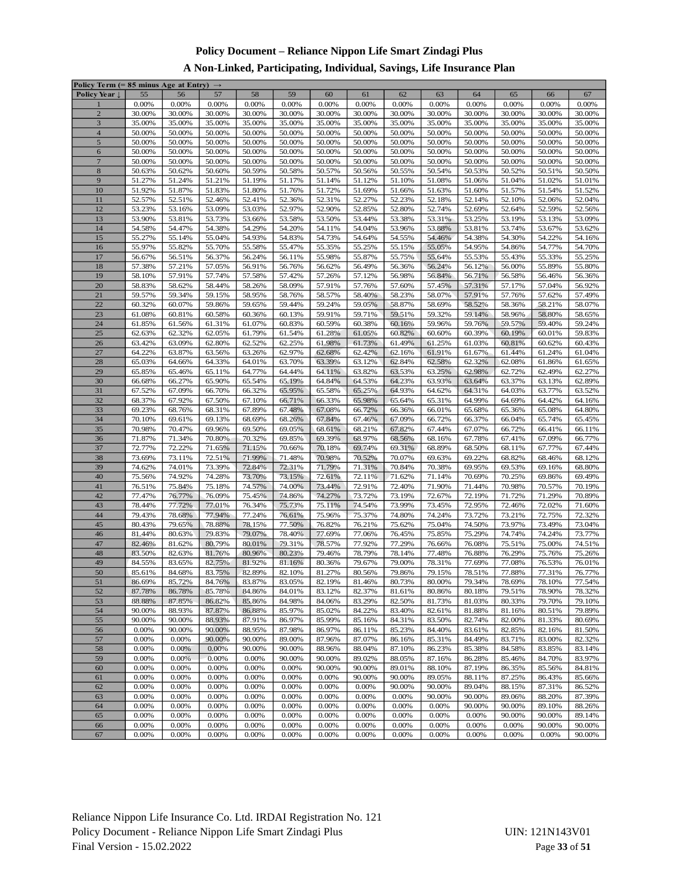## **A Non-Linked, Participating, Individual, Savings, Life Insurance Plan**

| Policy Term (= 85 minus Age at Entry) $\rightarrow$ |        |        |        |        |        |        |        |          |        |        |        |        |        |
|-----------------------------------------------------|--------|--------|--------|--------|--------|--------|--------|----------|--------|--------|--------|--------|--------|
| Policy Year                                         | 55     | 56     | 57     | 58     | 59     | 60     | 61     | 62       | 63     | 64     | 65     | 66     | 67     |
| ı                                                   | 0.00%  | 0.00%  | 0.00%  | 0.00%  | 0.00%  | 0.00%  | 0.00%  | 0.00%    | 0.00%  | 0.00%  | 0.00%  | 0.00%  | 0.00%  |
| $\overline{2}$                                      | 30.00% | 30.00% | 30.00% | 30.00% | 30.00% | 30.00% | 30.00% | 30.00%   | 30.00% | 30.00% | 30.00% | 30.00% | 30.00% |
| 3                                                   | 35.00% | 35.00% | 35.00% | 35.00% | 35.00% | 35.00% | 35.00% | 35.00%   | 35.00% | 35.00% | 35.00% | 35.00% | 35.00% |
| $\overline{4}$                                      | 50.00% | 50.00% | 50.00% | 50.00% | 50.00% | 50.00% | 50.00% | 50.00%   | 50.00% | 50.00% | 50.00% | 50.00% | 50.00% |
| $\sqrt{5}$                                          | 50.00% | 50.00% | 50.00% | 50.00% | 50.00% | 50.00% | 50.00% | 50.00%   | 50.00% | 50.00% | 50.00% | 50.00% | 50.00% |
| $\sqrt{6}$                                          | 50.00% | 50.00% | 50.00% | 50.00% | 50.00% | 50.00% | 50.00% | 50.00%   | 50.00% | 50.00% | 50.00% | 50.00% | 50.00% |
|                                                     |        |        |        |        |        |        |        |          |        |        |        |        |        |
| $\overline{7}$                                      | 50.00% | 50.00% | 50.00% | 50.00% | 50.00% | 50.00% | 50.00% | 50.00%   | 50.00% | 50.00% | 50.00% | 50.00% | 50.00% |
| $\,$ 8 $\,$                                         | 50.63% | 50.62% | 50.60% | 50.59% | 50.58% | 50.57% | 50.56% | 50.55%   | 50.54% | 50.53% | 50.52% | 50.51% | 50.50% |
| 9                                                   | 51.27% | 51.24% | 51.21% | 51.19% | 51.17% | 51.14% | 51.12% | 51.10%   | 51.08% | 51.06% | 51.04% | 51.02% | 51.01% |
| 10                                                  | 51.92% | 51.87% | 51.83% | 51.80% | 51.76% | 51.72% | 51.69% | 51.66%   | 51.63% | 51.60% | 51.57% | 51.54% | 51.52% |
| 11                                                  | 52.57% | 52.51% | 52.46% | 52.41% | 52.36% | 52.31% | 52.27% | 52.23%   | 52.18% | 52.14% | 52.10% | 52.06% | 52.04% |
| 12                                                  | 53.23% | 53.16% | 53.09% | 53.03% | 52.97% | 52.90% | 52.85% | 52.80%   | 52.74% | 52.69% | 52.64% | 52.59% | 52.56% |
| 13                                                  | 53.90% | 53.81% | 53.73% | 53.66% | 53.58% | 53.50% | 53.44% | 53.38%   | 53.31% | 53.25% | 53.19% | 53.13% | 53.09% |
| 14                                                  | 54.58% | 54.47% | 54.38% | 54.29% | 54.20% | 54.11% | 54.04% | 53.96%   | 53.88% | 53.81% | 53.74% | 53.67% | 53.62% |
| 15                                                  | 55.27% | 55.14% | 55.04% | 54.93% | 54.83% | 54.73% | 54.64% | 54.55%   | 54.46% | 54.38% | 54.30% | 54.22% | 54.16% |
| 16                                                  | 55.97% | 55.82% | 55.70% | 55.58% | 55.47% | 55.35% | 55.25% | 55.15%   | 55.05% | 54.95% | 54.86% | 54.77% | 54.70% |
| 17                                                  | 56.67% | 56.51% | 56.37% | 56.24% | 56.11% | 55.98% | 55.87% | 55.75%   | 55.64% | 55.53% | 55.43% | 55.33% | 55.25% |
| 18                                                  | 57.38% | 57.21% | 57.05% | 56.91% | 56.76% | 56.62% | 56.49% | 56.36%   | 56.24% | 56.12% | 56.00% | 55.89% | 55.80% |
| 19                                                  | 58.10% | 57.91% | 57.74% | 57.58% | 57.42% | 57.26% | 57.12% | 56.98%   | 56.84% | 56.71% | 56.58% | 56.46% | 56.36% |
| 20                                                  | 58.83% | 58.62% | 58.44% | 58.26% | 58.09% | 57.91% | 57.76% | 57.60%   | 57.45% | 57.31% | 57.17% | 57.04% | 56.92% |
| 21                                                  | 59.57% | 59.34% | 59.15% | 58.95% | 58.76% | 58.57% | 58.40% | 58.23%   | 58.07% | 57.91% | 57.76% | 57.62% | 57.49% |
| 22                                                  | 60.32% | 60.07% | 59.86% | 59.65% | 59.44% | 59.24% | 59.05% | 58.87%   | 58.69% | 58.52% | 58.36% | 58.21% | 58.07% |
| 23                                                  | 61.08% | 60.81% | 60.58% | 60.36% | 60.13% | 59.91% | 59.71% | 59.51%   | 59.32% | 59.14% | 58.96% | 58.80% | 58.65% |
| 24                                                  | 61.85% | 61.56% | 61.31% | 61.07% | 60.83% | 60.59% | 60.38% | 60.16%   | 59.96% | 59.76% | 59.57% | 59.40% | 59.24% |
|                                                     |        |        |        |        |        |        |        |          |        |        |        |        |        |
| 25                                                  | 62.63% | 62.32% | 62.05% | 61.79% | 61.54% | 61.28% | 61.05% | 60.82%   | 60.60% | 60.39% | 60.19% | 60.01% | 59.83% |
| 26                                                  | 63.42% | 63.09% | 62.80% | 62.52% | 62.25% | 61.98% | 61.73% | 61.49%   | 61.25% | 61.03% | 60.81% | 60.62% | 60.43% |
| 27                                                  | 64.22% | 63.87% | 63.56% | 63.26% | 62.97% | 62.68% | 62.42% | 62.16%   | 61.91% | 61.67% | 61.44% | 61.24% | 61.04% |
| 28                                                  | 65.03% | 64.66% | 64.33% | 64.01% | 63.70% | 63.39% | 63.12% | 62.84%   | 62.58% | 62.32% | 62.08% | 61.86% | 61.65% |
| 29                                                  | 65.85% | 65.46% | 65.11% | 64.77% | 64.44% | 64.11% | 63.82% | 63.53%   | 63.25% | 62.98% | 62.72% | 62.49% | 62.27% |
| 30                                                  | 66.68% | 66.27% | 65.90% | 65.54% | 65.19% | 64.84% | 64.53% | 64.23%   | 63.93% | 63.64% | 63.37% | 63.13% | 62.89% |
| 31                                                  | 67.52% | 67.09% | 66.70% | 66.32% | 65.95% | 65.58% | 65.25% | 64.93%   | 64.62% | 64.31% | 64.03% | 63.77% | 63.52% |
| 32                                                  | 68.37% | 67.92% | 67.50% | 67.10% | 66.71% | 66.33% | 65.98% | 65.64%   | 65.31% | 64.99% | 64.69% | 64.42% | 64.16% |
| 33                                                  | 69.23% | 68.76% | 68.31% | 67.89% | 67.48% | 67.08% | 66.72% | 66.36%   | 66.01% | 65.68% | 65.36% | 65.08% | 64.80% |
| 34                                                  | 70.10% | 69.61% | 69.13% | 68.69% | 68.26% | 67.84% | 67.46% | 67.09%   | 66.72% | 66.37% | 66.04% | 65.74% | 65.45% |
| 35                                                  | 70.98% | 70.47% | 69.96% | 69.50% | 69.05% | 68.61% | 68.21% | 67.82%   | 67.44% | 67.07% | 66.72% | 66.41% | 66.11% |
| 36                                                  | 71.87% | 71.34% | 70.80% | 70.32% | 69.85% | 69.39% | 68.97% | 68.56%   | 68.16% | 67.78% | 67.41% | 67.09% | 66.77% |
| 37                                                  | 72.77% | 72.22% | 71.65% | 71.15% | 70.66% | 70.18% | 69.74% | 69.31%   | 68.89% | 68.50% | 68.11% | 67.77% | 67.44% |
| 38                                                  | 73.69% | 73.11% | 72.51% | 71.99% | 71.48% | 70.98% | 70.52% | 70.07%   | 69.63% | 69.22% | 68.82% | 68.46% | 68.12% |
| 39                                                  | 74.62% | 74.01% | 73.39% | 72.84% | 72.31% | 71.79% | 71.31% | 70.84%   | 70.38% | 69.95% | 69.53% | 69.16% | 68.80% |
| 40                                                  | 75.56% | 74.92% | 74.28% | 73.70% | 73.15% | 72.61% | 72.11% | 71.62%   | 71.14% | 70.69% | 70.25% | 69.86% | 69.49% |
| 41                                                  | 76.51% | 75.84% | 75.18% | 74.57% | 74.00% | 73.44% | 72.91% | 72.40%   | 71.90% | 71.44% | 70.98% | 70.57% | 70.19% |
| 42                                                  | 77.47% | 76.77% | 76.09% | 75.45% | 74.86% | 74.27% | 73.72% | 73.19%   | 72.67% | 72.19% | 71.72% | 71.29% | 70.89% |
| 43                                                  | 78.44% | 77.72% | 77.01% | 76.34% | 75.73% | 75.11% | 74.54% | 73.99%   | 73.45% | 72.95% | 72.46% | 72.02% | 71.60% |
| 44                                                  | 79.43% | 78.68% | 77.94% | 77.24% | 76.61% | 75.96% | 75.37% | 74.80%   | 74.24% | 73.72% | 73.21% | 72.75% | 72.32% |
| 45                                                  | 80.43% | 79.65% | 78.88% | 78.15% | 77.50% | 76.82% | 76.21% | 75.62%   | 75.04% | 74.50% | 73.97% | 73.49% | 73.04% |
| 46                                                  | 81.44% | 80.63% | 79.83% | 79.07% | 78.40% | 77.69% | 77.06% | 76.45%   | 75.85% | 75.29% | 74.74% | 74.24% | 73.77% |
| 47                                                  | 82.46% | 81.62% | 80.79% | 80.01% | 79.31% | 78.57% | 77.92% | 77.29%   | 76.66% | 76.08% | 75.51% | 75.00% | 74.51% |
| 48                                                  | 83.50% | 82.63% | 81.76% | 80.96% | 80.23% | 79.46% | 78.79% | 78.14%   | 77.48% | 76.88% | 76.29% | 75.76% | 75.26% |
| 49                                                  | 84.55% | 83.65% | 82.75% | 81.92% | 81.16% | 80.36% | 79.67% | 79.00%   | 78.31% | 77.69% | 77.08% | 76.53% | 76.01% |
| 50                                                  | 85.61% | 84.68% | 83.75% | 82.89% | 82.10% | 81.27% | 80.56% | 79.86%   | 79.15% | 78.51% | 77.88% | 77.31% | 76.77% |
| 51                                                  | 86.69% | 85.72% | 84.76% | 83.87% | 83.05% | 82.19% | 81.46% | 80.73%   | 80.00% | 79.34% | 78.69% | 78.10% | 77.54% |
| 52                                                  | 87.78% | 86.78% | 85.78% | 84.86% | 84.01% | 83.12% | 82.37% | 81.61%   | 80.86% | 80.18% | 79.51% | 78.90% | 78.32% |
| 53                                                  | 88.88% | 87.85% | 86.82% | 85.86% | 84.98% | 84.06% | 83.29% | 82.50%   | 81.73% | 81.03% | 80.33% | 79.70% | 79.10% |
| 54                                                  | 90.00% | 88.93% | 87.87% | 86.88% | 85.97% | 85.02% | 84.22% | 83.40%   | 82.61% | 81.88% | 81.16% | 80.51% | 79.89% |
| 55                                                  | 90.00% | 90.00% | 88.93% | 87.91% | 86.97% | 85.99% | 85.16% | 84.31%   | 83.50% | 82.74% | 82.00% | 81.33% | 80.69% |
| 56                                                  | 0.00%  | 90.00% | 90.00% | 88.95% | 87.98% | 86.97% | 86.11% | 85.23%   | 84.40% | 83.61% | 82.85% | 82.16% | 81.50% |
| 57                                                  | 0.00%  | 0.00%  | 90.00% | 90.00% | 89.00% | 87.96% | 87.07% | 86.16%   | 85.31% | 84.49% | 83.71% | 83.00% | 82.32% |
| 58                                                  | 0.00%  | 0.00%  | 0.00%  | 90.00% | 90.00% | 88.96% | 88.04% | 87.10%   | 86.23% | 85.38% | 84.58% | 83.85% | 83.14% |
|                                                     |        | 0.00%  | 0.00%  |        | 90.00% | 90.00% |        |          |        |        |        |        |        |
| 59                                                  | 0.00%  |        |        | 0.00%  |        |        | 89.02% | 88.05%   | 87.16% | 86.28% | 85.46% | 84.70% | 83.97% |
| 60                                                  | 0.00%  | 0.00%  | 0.00%  | 0.00%  | 0.00%  | 90.00% | 90.00% | 89.01%   | 88.10% | 87.19% | 86.35% | 85.56% | 84.81% |
| 61                                                  | 0.00%  | 0.00%  | 0.00%  | 0.00%  | 0.00%  | 0.00%  | 90.00% | 90.00%   | 89.05% | 88.11% | 87.25% | 86.43% | 85.66% |
| 62                                                  | 0.00%  | 0.00%  | 0.00%  | 0.00%  | 0.00%  | 0.00%  | 0.00%  | 90.00%   | 90.00% | 89.04% | 88.15% | 87.31% | 86.52% |
| 63                                                  | 0.00%  | 0.00%  | 0.00%  | 0.00%  | 0.00%  | 0.00%  | 0.00%  | 0.00%    | 90.00% | 90.00% | 89.06% | 88.20% | 87.39% |
| 64                                                  | 0.00%  | 0.00%  | 0.00%  | 0.00%  | 0.00%  | 0.00%  | 0.00%  | 0.00%    | 0.00%  | 90.00% | 90.00% | 89.10% | 88.26% |
| 65                                                  | 0.00%  | 0.00%  | 0.00%  | 0.00%  | 0.00%  | 0.00%  | 0.00%  | 0.00%    | 0.00%  | 0.00%  | 90.00% | 90.00% | 89.14% |
| 66                                                  | 0.00%  | 0.00%  | 0.00%  | 0.00%  | 0.00%  | 0.00%  | 0.00%  | 0.00%    | 0.00%  | 0.00%  | 0.00%  | 90.00% | 90.00% |
| 67                                                  | 0.00%  | 0.00%  | 0.00%  | 0.00%  | 0.00%  | 0.00%  | 0.00%  | $0.00\%$ | 0.00%  | 0.00%  | 0.00%  | 0.00%  | 90.00% |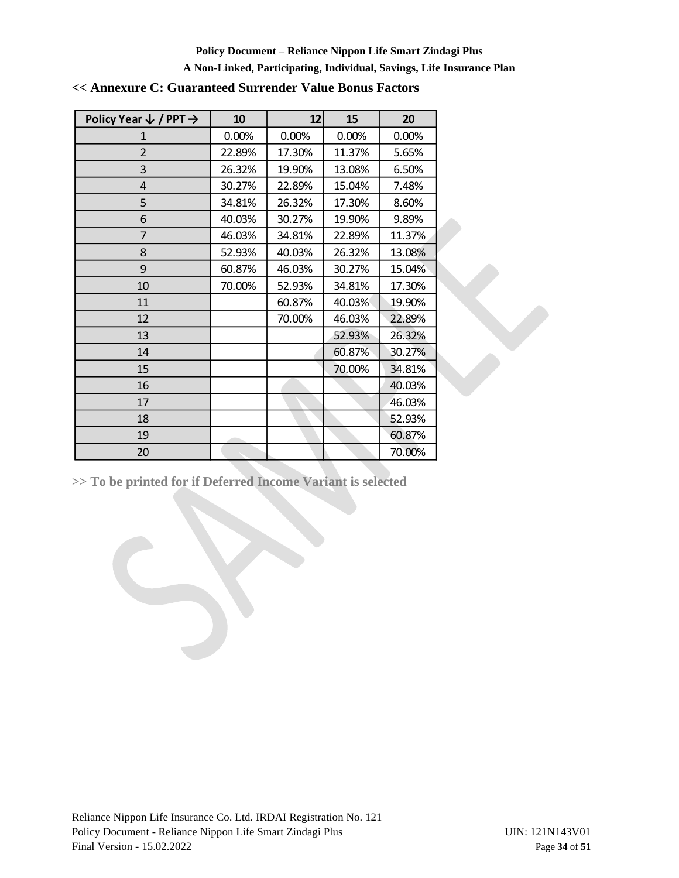#### **A Non-Linked, Participating, Individual, Savings, Life Insurance Plan**

| Policy Year $\downarrow$ / PPT $\rightarrow$ | 10     | 12     | 15     | 20     |
|----------------------------------------------|--------|--------|--------|--------|
| 1                                            | 0.00%  | 0.00%  | 0.00%  | 0.00%  |
| $\overline{2}$                               | 22.89% | 17.30% | 11.37% | 5.65%  |
| 3                                            | 26.32% | 19.90% | 13.08% | 6.50%  |
| $\overline{4}$                               | 30.27% | 22.89% | 15.04% | 7.48%  |
| 5                                            | 34.81% | 26.32% | 17.30% | 8.60%  |
| 6                                            | 40.03% | 30.27% | 19.90% | 9.89%  |
| $\overline{7}$                               | 46.03% | 34.81% | 22.89% | 11.37% |
| 8                                            | 52.93% | 40.03% | 26.32% | 13.08% |
| 9                                            | 60.87% | 46.03% | 30.27% | 15.04% |
| 10                                           | 70.00% | 52.93% | 34.81% | 17.30% |
| 11                                           |        | 60.87% | 40.03% | 19.90% |
| 12                                           |        | 70.00% | 46.03% | 22.89% |
| 13                                           |        |        | 52.93% | 26.32% |
| 14                                           |        |        | 60.87% | 30.27% |
| 15                                           |        |        | 70.00% | 34.81% |
| 16                                           |        |        |        | 40.03% |
| 17                                           |        |        |        | 46.03% |
| 18                                           |        |        |        | 52.93% |
| 19                                           |        |        |        | 60.87% |
| 20                                           |        |        |        | 70.00% |

# **<< Annexure C: Guaranteed Surrender Value Bonus Factors**

**>> To be printed for if Deferred Income Variant is selected**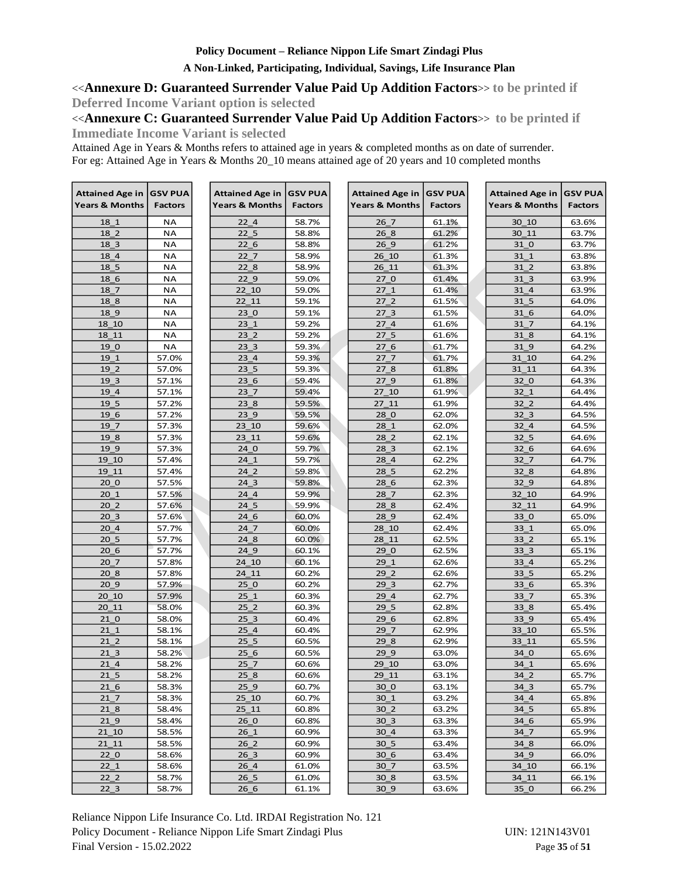## **A Non-Linked, Participating, Individual, Savings, Life Insurance Plan**

<<**Annexure D: Guaranteed Surrender Value Paid Up Addition Factors**>> **to be printed if Deferred Income Variant option is selected**

<<**Annexure C: Guaranteed Surrender Value Paid Up Addition Factors**>> **to be printed if** 

**Immediate Income Variant is selected**

Attained Age in Years & Months refers to attained age in years & completed months as on date of surrender. For eg: Attained Age in Years & Months 20\_10 means attained age of 20 years and 10 completed months

| <b>Attained Age in</b>    | <b>GSV PUA</b> | Attained Age in           | <b>GSV PUA</b> | Attained Age in   GSV PUA |                | Attained Age in   GSV PUA |                |
|---------------------------|----------------|---------------------------|----------------|---------------------------|----------------|---------------------------|----------------|
| <b>Years &amp; Months</b> | <b>Factors</b> | <b>Years &amp; Months</b> | <b>Factors</b> | <b>Years &amp; Months</b> | <b>Factors</b> | <b>Years &amp; Months</b> | <b>Factors</b> |
| 18 1                      | <b>NA</b>      | 22 4                      | 58.7%          | 26 7                      | 61.1%          | 30 10                     | 63.6%          |
| 18 2                      | <b>NA</b>      | 22 <sub>5</sub>           | 58.8%          | 26 8                      | 61.2%          | 30 11                     | 63.7%          |
| 18 3                      | <b>NA</b>      | 226                       | 58.8%          | 269                       | 61.2%          | 31 0                      | 63.7%          |
| 18 4                      | <b>NA</b>      | 22 7                      | 58.9%          | 26 10                     | 61.3%          | 31 1                      | 63.8%          |
| 18 5                      | <b>NA</b>      | 22 8                      | 58.9%          | 26 11                     | 61.3%          | 31 2                      | 63.8%          |
| 18 6                      | <b>NA</b>      | 22 9                      | 59.0%          | 270                       | 61.4%          | 31 3                      | 63.9%          |
| 18 7                      | NA             | 22 10                     | 59.0%          | 271                       | 61.4%          | 31 4                      | 63.9%          |
| 18 8                      | <b>NA</b>      | 22 11                     | 59.1%          | 27 <sub>2</sub>           | 61.5%          | 31 5                      | 64.0%          |
| 18 9                      | <b>NA</b>      | 230                       | 59.1%          | 27 <sub>3</sub>           | 61.5%          | 31 6                      | 64.0%          |
| 18 10                     | <b>NA</b>      | 23 1                      | 59.2%          | 27 4                      | 61.6%          | 31 7                      | 64.1%          |
| 18 11                     | <b>NA</b>      | 23 <sub>2</sub>           | 59.2%          | 27 <sub>5</sub>           | 61.6%          | 31 8                      | 64.1%          |
| 19 0                      | <b>NA</b>      | 23 <sub>3</sub>           | 59.3%          | 276                       | 61.7%          | 31 9                      | 64.2%          |
| 19 1                      | 57.0%          | 23 4                      | 59.3%          | 27 <sub>7</sub>           | 61.7%          | 31 10                     | 64.2%          |
| 19 2                      | 57.0%          | 23 <sub>5</sub>           | 59.3%          | 27 8                      | 61.8%          | 31 11                     | 64.3%          |
| 19 3                      | 57.1%          | 236                       | 59.4%          | 27 9                      | 61.8%          | 32 0                      | 64.3%          |
| 19 4                      | 57.1%          | 237                       | 59.4%          | 27 10                     | 61.9%          | 32 1                      | 64.4%          |
| 19 5                      | 57.2%          | 23 8                      | 59.5%          | 27 11                     | 61.9%          | 32 2                      | 64.4%          |
| 19 6                      | 57.2%          | 23 9                      | 59.5%          | 28 0                      | 62.0%          | 32 3                      | 64.5%          |
| 19 7                      | 57.3%          | 23 10                     | 59.6%          | 28 1                      | 62.0%          | 32 4                      | 64.5%          |
| 19 8                      | 57.3%          | 23 11                     | 59.6%          | 28 2                      | 62.1%          | 32 5                      | 64.6%          |
| 19 9                      | 57.3%          | 24 0                      | 59.7%          | 28 3                      | 62.1%          | 32 6                      | 64.6%          |
| 19 10                     | 57.4%          | 241                       | 59.7%          | 28 4                      | 62.2%          | 32 <sub>7</sub>           | 64.7%          |
| 19 11                     | 57.4%          | 24 2                      | 59.8%          | 28 5                      | 62.2%          | 32 8                      | 64.8%          |
| 20 <sub>0</sub>           | 57.5%          | 24 <sub>3</sub>           | 59.8%          | 286                       | 62.3%          | 32 9                      | 64.8%          |
| 201                       | 57.5%          | 24 4                      | 59.9%          | 28 7                      | 62.3%          | 32 10                     | 64.9%          |
| 20 <sub>2</sub>           | 57.6%          | 24 5                      | 59.9%          | 28 8                      | 62.4%          | 32 11                     | 64.9%          |
| 20 <sub>3</sub>           | 57.6%          | 24 6                      | 60.0%          | 28 9                      | 62.4%          | 33 0                      | 65.0%          |
| 20 4                      | 57.7%          | 24 7                      | 60.0%          | 28 10                     | 62.4%          | 33 1                      | 65.0%          |
| 20 <sub>5</sub>           | 57.7%          | 248                       | 60.0%          | 28 11                     | 62.5%          | 33 <sub>2</sub>           | 65.1%          |
| 206                       | 57.7%          | 24 9                      | 60.1%          | 29 0                      | 62.5%          | 33 3                      | 65.1%          |
| 20 7                      | 57.8%          | 24 10                     | 60.1%          | 29 1                      | 62.6%          | 33 4                      | 65.2%          |
| 20 8                      | 57.8%          | 24 11                     | 60.2%          | 29 2                      | 62.6%          | 33 5                      | 65.2%          |
| 20 9                      | 57.9%          | 250                       | 60.2%          | 29 <sub>3</sub>           | 62.7%          | 33 6                      | 65.3%          |
| 20 10                     | 57.9%          | 251                       | 60.3%          | 29 4                      | 62.7%          | 33 7                      | 65.3%          |
| 20 11                     | 58.0%          | 25 <sub>2</sub>           | 60.3%          | 29 5                      | 62.8%          | 33 8                      | 65.4%          |
| 21 0                      | 58.0%          | 25 <sub>3</sub>           | 60.4%          | 296                       | 62.8%          | 33 9                      | 65.4%          |
| 211                       | 58.1%          | 25 4                      | 60.4%          | 29 7                      | 62.9%          | 33 10                     | 65.5%          |
| 21 <sub>2</sub>           | 58.1%          | 25 <sub>5</sub>           | 60.5%          | 29 8                      | 62.9%          | 33 11                     | 65.5%          |
| 21 3                      | 58.2%          | 256                       | 60.5%          | 29 9                      | 63.0%          | 34 0                      | 65.6%          |
| $21_4$                    | 58.2%          | 25 7                      | 60.6%          | 29 10                     | 63.0%          | 34 1                      | 65.6%          |
| 21 <sub>5</sub>           | 58.2%          | 25 8                      | 60.6%          | 29 11                     | 63.1%          | 34 2                      | 65.7%          |
| 21 6                      | 58.3%          | $25 - 9$                  | 60.7%          | 30 0                      | 63.1%          | $34 - 3$                  | 65.7%          |
| 217                       | 58.3%          | 25 10                     | 60.7%          | 30 1                      | 63.2%          | 34 4                      | 65.8%          |
| $21_8$                    | 58.4%          | 25 11                     | 60.8%          | 30 <sub>2</sub>           | 63.2%          | $34-5$                    | 65.8%          |
| 21 9                      | 58.4%          | 260                       | 60.8%          | 30 3                      | 63.3%          | 34 6                      | 65.9%          |
| 21 10                     | 58.5%          | 26 1                      | 60.9%          | 30 4                      | 63.3%          | 34 7                      | 65.9%          |
| $21_1$                    | 58.5%          | $26_2$                    | 60.9%          | $30\_5$                   | 63.4%          | $34_{8}$                  | 66.0%          |
| 22 <sub>0</sub>           | 58.6%          | 26 <sub>3</sub>           | 60.9%          | 30 6                      | 63.4%          | 34 9                      | 66.0%          |
| 221                       | 58.6%          | 26 4                      | 61.0%          | 30 7                      | 63.5%          | 34 10                     | 66.1%          |
| 22 <sub>2</sub>           | 58.7%          | 26 <sub>5</sub>           | 61.0%          | 30 <sub>8</sub>           | 63.5%          | 34 11                     | 66.1%          |
| $22_{3}$                  | 58.7%          | 266                       | 61.1%          | 30 9                      | 63.6%          | 35 <sub>0</sub>           | 66.2%          |

Reliance Nippon Life Insurance Co. Ltd. IRDAI Registration No. 121 Policy Document - Reliance Nippon Life Smart Zindagi Plus UIN: 121N143V01 Final Version - 15.02.2022 Page **35** of **51**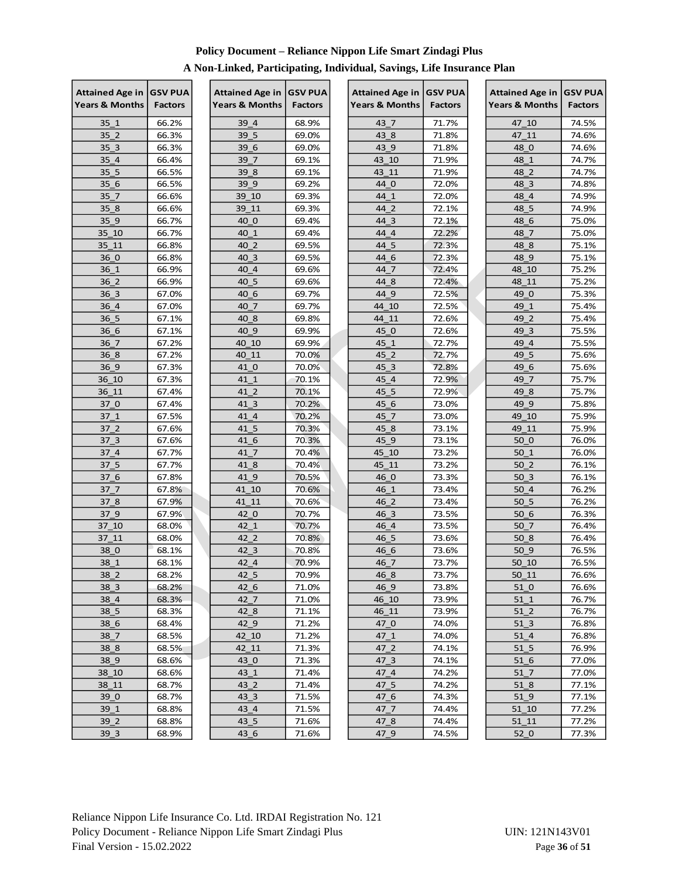| Attained Age in   GSV PUA |                | <b>Attained Age in</b>    | <b>GSV PUA</b> | Attained Age in   GSV PUA |                | <b>Attained Age in</b> | <b>GSV PUA</b> |
|---------------------------|----------------|---------------------------|----------------|---------------------------|----------------|------------------------|----------------|
| Years & Months            | <b>Factors</b> | <b>Years &amp; Months</b> | <b>Factors</b> | <b>Years &amp; Months</b> | <b>Factors</b> | Years & Months         | <b>Factors</b> |
| 35 1                      | 66.2%          | 39 4                      | 68.9%          | 43 7                      | 71.7%          | 47 10                  | 74.5%          |
| 35 <sub>2</sub>           | 66.3%          | 39 5                      | 69.0%          | 43 8                      | 71.8%          | 47 11                  | 74.6%          |
| 35 <sub>3</sub>           | 66.3%          | 39 6                      | 69.0%          | 43 9                      | 71.8%          | 48 0                   | 74.6%          |
| 35 4                      | 66.4%          | 39 7                      | 69.1%          | 43 10                     | 71.9%          | 48 1                   | 74.7%          |
| 35 5                      | 66.5%          | 39 8                      | 69.1%          | 43 11                     | 71.9%          | 48 2                   | 74.7%          |
| 35 <sub>6</sub>           | 66.5%          | 39 9                      | 69.2%          | 44 0                      | 72.0%          | 48 3                   | 74.8%          |
| 35 <sub>7</sub>           | 66.6%          | 39 10                     | 69.3%          | 44 1                      | 72.0%          | 48 4                   | 74.9%          |
| 35 8                      | 66.6%          | 39 11                     | 69.3%          | 44 2                      | 72.1%          | 48 5                   | 74.9%          |
| 35 9                      | 66.7%          | 40 0                      | 69.4%          | 44 3                      | 72.1%          | 48 6                   | 75.0%          |
| 35 10                     | 66.7%          | 40 1                      | 69.4%          | 44 4                      | 72.2%          | 48 7                   | 75.0%          |
| 35 11                     | 66.8%          | 40 2                      | 69.5%          | 44 5                      | 72.3%          | 48 8                   | 75.1%          |
| 36 0                      | 66.8%          | 40 3                      | 69.5%          | 44 6                      | 72.3%          | 48 9                   | 75.1%          |
| 36 1                      | 66.9%          | 40 4                      | 69.6%          | 44 7                      | 72.4%          | 48 10                  | 75.2%          |
| 36 2                      | 66.9%          | 40 5                      | 69.6%          | 44 8                      | 72.4%          | 48 11                  | 75.2%          |
| 36 3                      | 67.0%          | 40 6                      | 69.7%          | 44 9                      | 72.5%          | 49 0                   | 75.3%          |
| 36 4                      | 67.0%          | 40 7                      | 69.7%          | 44 10                     | 72.5%          | 49 1                   | 75.4%          |
| 36 5                      | 67.1%          | 40 8                      | 69.8%          | 44 11                     | 72.6%          | 49 2                   | 75.4%          |
| 36 6                      | 67.1%          | 40 9                      | 69.9%          | 45 0                      | 72.6%          | 49 3                   | 75.5%          |
| 36 7                      | 67.2%          | 40 10                     | 69.9%          | 45 1                      | 72.7%          | 49 4                   | 75.5%          |
| 36 8                      | 67.2%          | 40 11                     | 70.0%          | 45 2                      | 72.7%          | 49 5                   | 75.6%          |
| 36 9                      | 67.3%          | 41 0                      | 70.0%          | 45 3                      | 72.8%          | 49 6                   | 75.6%          |
| 36 10                     | 67.3%          | 41 1                      | 70.1%          | 45 4                      | 72.9%          | 49 7                   | 75.7%          |
| 36 11                     | 67.4%          | 41 2                      | 70.1%          | 45 5                      | 72.9%          | 49 8                   | 75.7%          |
| 37 0                      | 67.4%          | 41 3                      | 70.2%          | 45 6                      | 73.0%          | 49 9                   | 75.8%          |
| 37 1                      | 67.5%          | 41 4                      | 70.2%          | 45 7                      | 73.0%          | 49 10                  | 75.9%          |
| 37 <sub>2</sub>           | 67.6%          | 41 5                      | 70.3%          | 45 8                      | 73.1%          | 49 11                  | 75.9%          |
| 37 <sub>3</sub>           | 67.6%          | 41 6                      | 70.3%          | 45 9                      | 73.1%          | 50 0                   | 76.0%          |
| 37 4                      | 67.7%          | 41 7                      | 70.4%          | 45 10                     | 73.2%          | 50 1                   | 76.0%          |
| 37 5                      | 67.7%          | 41 8                      | 70.4%          | 45 11                     | 73.2%          | 50 <sub>2</sub>        | 76.1%          |
| 37 6                      | 67.8%          | 41 9                      | 70.5%          | 46 0                      | 73.3%          | 50 3                   | 76.1%          |
| 37 7                      | 67.8%          | 41 10                     | 70.6%          | 46 1                      | 73.4%          | 50 <sub>4</sub>        | 76.2%          |
| 37 8                      | 67.9%          | 41 11                     | 70.6%          | 46 2                      | 73.4%          | 50 5                   | 76.2%          |
| 37 9                      | 67.9%          | 42 0                      | 70.7%          | 46 3                      | 73.5%          | 50 6                   | 76.3%          |
| 37 10                     | 68.0%          | 42 1                      | 70.7%          | 46 4                      | 73.5%          | 50 7                   | 76.4%          |
| 37 11                     | 68.0%          | 42 2                      | 70.8%          | 46_5                      | 73.6%          | 50 8                   | 76.4%          |
| 38 0                      | 68.1%          | 42 3                      | 70.8%          | 46 6                      | 73.6%          | 50 9                   | 76.5%          |
| 38 1                      | 68.1%          | 42 4                      | 70.9%          | 46 7                      | 73.7%          | 50 10                  | 76.5%          |
| $38_2$                    | 68.2%          | $42\_5$                   | 70.9%          | 468                       | 73.7%          | $50_11$                | 76.6%          |
| 38 3                      | 68.2%          | 42 6                      | 71.0%          | 46 9                      | 73.8%          | 51 0                   | 76.6%          |
| 38 4                      | 68.3%          | 42 7                      | 71.0%          | 46 10                     | 73.9%          | $51_1$                 | 76.7%          |
| 38 5                      | 68.3%          | 42 <sub>8</sub>           | 71.1%          | 46 11                     | 73.9%          | 51 <sub>2</sub>        | 76.7%          |
| 38 6                      | 68.4%          | 42 9                      | 71.2%          | 47 0                      | 74.0%          | 51 3                   | 76.8%          |
| $38-7$                    | 68.5%          | 42 10                     | 71.2%          | 47 1                      | 74.0%          | 51 <sub>4</sub>        | 76.8%          |
| 38 8                      | 68.5%          | 42_11                     | 71.3%          | 47 2                      | 74.1%          | $51-5$                 | 76.9%          |
| 38 9                      | 68.6%          | 43 0                      | 71.3%          | 47 3                      | 74.1%          | 51 <sub>6</sub>        | 77.0%          |
| 38 10                     | 68.6%          | 43 1                      | 71.4%          | 47 4                      | 74.2%          | $51$ $7$               | 77.0%          |
| 38 11                     | 68.7%          | $43 \ 2$                  | 71.4%          | 47 5                      | 74.2%          | 51 <sub>8</sub>        | 77.1%          |
| 39 0                      | 68.7%          | 43 3                      | 71.5%          | 47 6                      | 74.3%          | 51 9                   | 77.1%          |
| 39 1                      | 68.8%          | 43 4                      | 71.5%          | 47 7                      | 74.4%          | 51 10                  | 77.2%          |
| 39 2                      | 68.8%          | $43\_5$                   | 71.6%          | 47 8                      | 74.4%          | 51 11                  | 77.2%          |
| 39 <sub>3</sub>           | 68.9%          | $43\_6$                   | 71.6%          | 47 9                      | 74.5%          | 52 <sub>0</sub>        | 77.3%          |

## **A Non-Linked, Participating, Individual, Savings, Life Insurance Plan**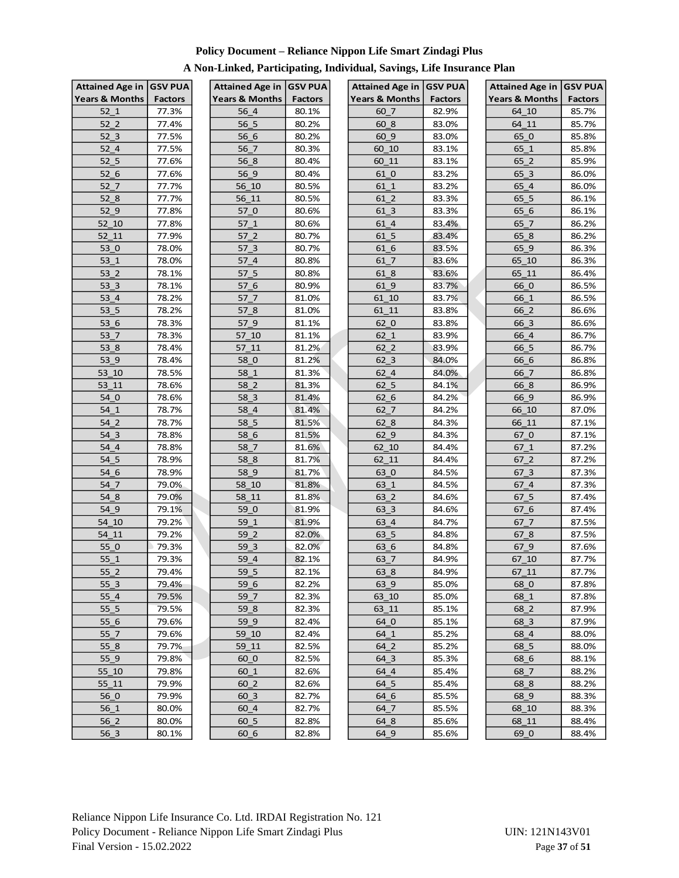| <b>Years &amp; Months</b><br><b>Years &amp; Months</b><br><b>Years &amp; Months</b><br><b>Years &amp; Months</b><br><b>Factors</b><br><b>Factors</b><br><b>Factors</b><br>64 10<br>52 1<br>77.3%<br>56 4<br>80.1%<br>60 7<br>82.9%<br>56 5<br>52 <sub>2</sub><br>77.4%<br>80.2%<br>60 8<br>64 11<br>83.0%<br>80.2%<br>52 <sub>3</sub><br>77.5%<br>56 6<br>60 9<br>83.0%<br>65 0<br>56 7<br>80.3%<br>52 4<br>77.5%<br>60 10<br>83.1%<br>65 1<br>52 5<br>65 2<br>77.6%<br>56 8<br>80.4%<br>60 11<br>83.1%<br>52 6<br>80.4%<br>61 0<br>77.6%<br>56 9<br>83.2%<br>65 3<br>80.5%<br>52 7<br>77.7%<br>56 10<br>61 1<br>83.2%<br>65 4<br>80.5%<br>77.7%<br>83.3%<br>65 5<br>52 8<br>56 11<br>61 2<br>52 9<br>77.8%<br>57 0<br>80.6%<br>61 3<br>83.3%<br>65 6<br>77.8%<br>80.6%<br>83.4%<br>65 7<br>52 10<br>57 1<br>61 4<br>52 11<br>77.9%<br>57 2<br>80.7%<br>61 5<br>83.4%<br>65 8<br>53 0<br>78.0%<br>57 3<br>80.7%<br>61 6<br>83.5%<br>65 9<br>53 1<br>78.0%<br>57 4<br>80.8%<br>61 7<br>83.6%<br>65 10<br>57 5<br>80.8%<br>53 2<br>78.1%<br>61 8<br>83.6%<br>65 11 | Attained Age in   GSV PUA |
|------------------------------------------------------------------------------------------------------------------------------------------------------------------------------------------------------------------------------------------------------------------------------------------------------------------------------------------------------------------------------------------------------------------------------------------------------------------------------------------------------------------------------------------------------------------------------------------------------------------------------------------------------------------------------------------------------------------------------------------------------------------------------------------------------------------------------------------------------------------------------------------------------------------------------------------------------------------------------------------------------------------------------------------------------------------|---------------------------|
|                                                                                                                                                                                                                                                                                                                                                                                                                                                                                                                                                                                                                                                                                                                                                                                                                                                                                                                                                                                                                                                                  | <b>Factors</b>            |
|                                                                                                                                                                                                                                                                                                                                                                                                                                                                                                                                                                                                                                                                                                                                                                                                                                                                                                                                                                                                                                                                  | 85.7%                     |
|                                                                                                                                                                                                                                                                                                                                                                                                                                                                                                                                                                                                                                                                                                                                                                                                                                                                                                                                                                                                                                                                  | 85.7%                     |
|                                                                                                                                                                                                                                                                                                                                                                                                                                                                                                                                                                                                                                                                                                                                                                                                                                                                                                                                                                                                                                                                  | 85.8%                     |
|                                                                                                                                                                                                                                                                                                                                                                                                                                                                                                                                                                                                                                                                                                                                                                                                                                                                                                                                                                                                                                                                  | 85.8%                     |
|                                                                                                                                                                                                                                                                                                                                                                                                                                                                                                                                                                                                                                                                                                                                                                                                                                                                                                                                                                                                                                                                  | 85.9%                     |
|                                                                                                                                                                                                                                                                                                                                                                                                                                                                                                                                                                                                                                                                                                                                                                                                                                                                                                                                                                                                                                                                  | 86.0%                     |
|                                                                                                                                                                                                                                                                                                                                                                                                                                                                                                                                                                                                                                                                                                                                                                                                                                                                                                                                                                                                                                                                  | 86.0%                     |
|                                                                                                                                                                                                                                                                                                                                                                                                                                                                                                                                                                                                                                                                                                                                                                                                                                                                                                                                                                                                                                                                  | 86.1%                     |
|                                                                                                                                                                                                                                                                                                                                                                                                                                                                                                                                                                                                                                                                                                                                                                                                                                                                                                                                                                                                                                                                  | 86.1%                     |
|                                                                                                                                                                                                                                                                                                                                                                                                                                                                                                                                                                                                                                                                                                                                                                                                                                                                                                                                                                                                                                                                  | 86.2%                     |
|                                                                                                                                                                                                                                                                                                                                                                                                                                                                                                                                                                                                                                                                                                                                                                                                                                                                                                                                                                                                                                                                  | 86.2%                     |
|                                                                                                                                                                                                                                                                                                                                                                                                                                                                                                                                                                                                                                                                                                                                                                                                                                                                                                                                                                                                                                                                  | 86.3%                     |
|                                                                                                                                                                                                                                                                                                                                                                                                                                                                                                                                                                                                                                                                                                                                                                                                                                                                                                                                                                                                                                                                  | 86.3%                     |
|                                                                                                                                                                                                                                                                                                                                                                                                                                                                                                                                                                                                                                                                                                                                                                                                                                                                                                                                                                                                                                                                  | 86.4%                     |
| 53 3<br>66 0<br>78.1%<br>57 6<br>80.9%<br>61 9<br>83.7%                                                                                                                                                                                                                                                                                                                                                                                                                                                                                                                                                                                                                                                                                                                                                                                                                                                                                                                                                                                                          | 86.5%                     |
| 78.2%<br>66 1<br>53 4<br>57 7<br>81.0%<br>61 10<br>83.7%                                                                                                                                                                                                                                                                                                                                                                                                                                                                                                                                                                                                                                                                                                                                                                                                                                                                                                                                                                                                         | 86.5%                     |
| 53 5<br>78.2%<br>57 8<br>81.0%<br>61 11<br>66 2<br>83.8%                                                                                                                                                                                                                                                                                                                                                                                                                                                                                                                                                                                                                                                                                                                                                                                                                                                                                                                                                                                                         | 86.6%                     |
| 66 3<br>53 6<br>78.3%<br>57 9<br>81.1%<br>62 0<br>83.8%                                                                                                                                                                                                                                                                                                                                                                                                                                                                                                                                                                                                                                                                                                                                                                                                                                                                                                                                                                                                          | 86.6%                     |
| 78.3%<br>53 7<br>57 10<br>81.1%<br>62 1<br>83.9%<br>66 4                                                                                                                                                                                                                                                                                                                                                                                                                                                                                                                                                                                                                                                                                                                                                                                                                                                                                                                                                                                                         | 86.7%                     |
| 53 8<br>81.2%<br>78.4%<br>57 11<br>62 2<br>83.9%<br>66 5                                                                                                                                                                                                                                                                                                                                                                                                                                                                                                                                                                                                                                                                                                                                                                                                                                                                                                                                                                                                         | 86.7%                     |
| 53 9<br>58 0<br>62 3<br>66 6<br>78.4%<br>81.2%<br>84.0%                                                                                                                                                                                                                                                                                                                                                                                                                                                                                                                                                                                                                                                                                                                                                                                                                                                                                                                                                                                                          | 86.8%                     |
| 78.5%<br>81.3%<br>53 10<br>58 1<br>62 4<br>84.0%<br>66 7                                                                                                                                                                                                                                                                                                                                                                                                                                                                                                                                                                                                                                                                                                                                                                                                                                                                                                                                                                                                         | 86.8%                     |
| 81.3%<br>53 11<br>78.6%<br>58 2<br>62 5<br>84.1%<br>66 8                                                                                                                                                                                                                                                                                                                                                                                                                                                                                                                                                                                                                                                                                                                                                                                                                                                                                                                                                                                                         | 86.9%                     |
| 54 0<br>78.6%<br>58 3<br>81.4%<br>62 6<br>84.2%<br>66 9                                                                                                                                                                                                                                                                                                                                                                                                                                                                                                                                                                                                                                                                                                                                                                                                                                                                                                                                                                                                          | 86.9%                     |
| 78.7%<br>58 4<br>81.4%<br>62 7<br>66 10<br>54 1<br>84.2%                                                                                                                                                                                                                                                                                                                                                                                                                                                                                                                                                                                                                                                                                                                                                                                                                                                                                                                                                                                                         | 87.0%                     |
| 81.5%<br>54 2<br>78.7%<br>58 5<br>62 8<br>84.3%<br>66 11                                                                                                                                                                                                                                                                                                                                                                                                                                                                                                                                                                                                                                                                                                                                                                                                                                                                                                                                                                                                         | 87.1%                     |
| 78.8%<br>58 6<br>54 3<br>81.5%<br>62 9<br>84.3%<br>67 0                                                                                                                                                                                                                                                                                                                                                                                                                                                                                                                                                                                                                                                                                                                                                                                                                                                                                                                                                                                                          | 87.1%                     |
| 81.6%<br>62 10<br>54 4<br>78.8%<br>58 7<br>84.4%<br>67 1                                                                                                                                                                                                                                                                                                                                                                                                                                                                                                                                                                                                                                                                                                                                                                                                                                                                                                                                                                                                         | 87.2%                     |
| 54 5<br>78.9%<br>58 8<br>81.7%<br>62 11<br>84.4%<br>67 2                                                                                                                                                                                                                                                                                                                                                                                                                                                                                                                                                                                                                                                                                                                                                                                                                                                                                                                                                                                                         | 87.2%                     |
| 58 9<br>63 0<br>54 6<br>78.9%<br>81.7%<br>84.5%<br>67 3                                                                                                                                                                                                                                                                                                                                                                                                                                                                                                                                                                                                                                                                                                                                                                                                                                                                                                                                                                                                          | 87.3%                     |
| 79.0%<br>58 10<br>81.8%<br>63 1<br>84.5%<br>67 4<br>54 7                                                                                                                                                                                                                                                                                                                                                                                                                                                                                                                                                                                                                                                                                                                                                                                                                                                                                                                                                                                                         | 87.3%                     |
| 79.0%<br>81.8%<br>63 2<br>84.6%<br>67 5<br>54 8<br>58 11                                                                                                                                                                                                                                                                                                                                                                                                                                                                                                                                                                                                                                                                                                                                                                                                                                                                                                                                                                                                         | 87.4%                     |
| 54 9<br>79.1%<br>59 0<br>81.9%<br>63 3<br>67 6<br>84.6%                                                                                                                                                                                                                                                                                                                                                                                                                                                                                                                                                                                                                                                                                                                                                                                                                                                                                                                                                                                                          | 87.4%                     |
| 81.9%<br>54 10<br>79.2%<br>59 1<br>63 4<br>84.7%<br>67 7                                                                                                                                                                                                                                                                                                                                                                                                                                                                                                                                                                                                                                                                                                                                                                                                                                                                                                                                                                                                         | 87.5%                     |
| 54 11<br>79.2%<br>59 2<br>82.0%<br>63 5<br>84.8%<br>678                                                                                                                                                                                                                                                                                                                                                                                                                                                                                                                                                                                                                                                                                                                                                                                                                                                                                                                                                                                                          | 87.5%                     |
| 59 3<br>63 6<br>67 9<br>55 0<br>79.3%<br>82.0%<br>84.8%                                                                                                                                                                                                                                                                                                                                                                                                                                                                                                                                                                                                                                                                                                                                                                                                                                                                                                                                                                                                          | 87.6%                     |
| 59 4<br>55 1<br>79.3%<br>82.1%<br>84.9%<br>67 10<br>63 7                                                                                                                                                                                                                                                                                                                                                                                                                                                                                                                                                                                                                                                                                                                                                                                                                                                                                                                                                                                                         | 87.7%                     |
| 59 5<br>55 <sub>2</sub><br>79.4%<br>82.1%<br>84.9%<br>63 8<br>67 11                                                                                                                                                                                                                                                                                                                                                                                                                                                                                                                                                                                                                                                                                                                                                                                                                                                                                                                                                                                              | 87.7%                     |
| 55 3<br>79.4%<br>59 6<br>82.2%<br>63 9<br>68 0<br>85.0%                                                                                                                                                                                                                                                                                                                                                                                                                                                                                                                                                                                                                                                                                                                                                                                                                                                                                                                                                                                                          | 87.8%                     |
| 55 4<br>79.5%<br>59 7<br>82.3%<br>63 10<br>85.0%<br>68 1                                                                                                                                                                                                                                                                                                                                                                                                                                                                                                                                                                                                                                                                                                                                                                                                                                                                                                                                                                                                         | 87.8%                     |
| 55 5<br>79.5%<br>59 8<br>82.3%<br>63 11<br>85.1%<br>68 2                                                                                                                                                                                                                                                                                                                                                                                                                                                                                                                                                                                                                                                                                                                                                                                                                                                                                                                                                                                                         | 87.9%                     |
| 55 6<br>59 9<br>64 0<br>79.6%<br>82.4%<br>85.1%<br>68 3                                                                                                                                                                                                                                                                                                                                                                                                                                                                                                                                                                                                                                                                                                                                                                                                                                                                                                                                                                                                          | 87.9%                     |
| 55 7<br>$59 - 10$<br>85.2%<br>79.6%<br>82.4%<br>64 1<br>68 4                                                                                                                                                                                                                                                                                                                                                                                                                                                                                                                                                                                                                                                                                                                                                                                                                                                                                                                                                                                                     | 88.0%                     |
| 55 8<br>79.7%<br>59 11<br>82.5%<br>64 2<br>85.2%<br>68 5<br>55 9<br>79.8%<br>60 0<br>85.3%                                                                                                                                                                                                                                                                                                                                                                                                                                                                                                                                                                                                                                                                                                                                                                                                                                                                                                                                                                       | 88.0%                     |
| 82.5%<br>64 3<br>68 6<br>85.4%<br>55 10<br>79.8%<br>82.6%<br>64 4<br>68 7                                                                                                                                                                                                                                                                                                                                                                                                                                                                                                                                                                                                                                                                                                                                                                                                                                                                                                                                                                                        | 88.1%<br>88.2%            |
| $60-1$<br>55 11<br>79.9%<br>60 <sub>2</sub><br>82.6%<br>64 5<br>85.4%<br>68 8                                                                                                                                                                                                                                                                                                                                                                                                                                                                                                                                                                                                                                                                                                                                                                                                                                                                                                                                                                                    | 88.2%                     |
| 56 0<br>79.9%<br>60 3<br>82.7%<br>64 6<br>85.5%<br>68 9                                                                                                                                                                                                                                                                                                                                                                                                                                                                                                                                                                                                                                                                                                                                                                                                                                                                                                                                                                                                          | 88.3%                     |
| 56 1<br>80.0%<br>60 4<br>82.7%<br>64 7<br>85.5%<br>68 10                                                                                                                                                                                                                                                                                                                                                                                                                                                                                                                                                                                                                                                                                                                                                                                                                                                                                                                                                                                                         | 88.3%                     |
| 56 2<br>80.0%<br>60 5<br>82.8%<br>64 8<br>85.6%<br>68 11                                                                                                                                                                                                                                                                                                                                                                                                                                                                                                                                                                                                                                                                                                                                                                                                                                                                                                                                                                                                         |                           |
| $56-3$<br>80.1%<br>64_9<br>85.6%<br>69_0<br>60 6<br>82.8%<br>88.4%                                                                                                                                                                                                                                                                                                                                                                                                                                                                                                                                                                                                                                                                                                                                                                                                                                                                                                                                                                                               | 88.4%                     |

## **A Non-Linked, Participating, Individual, Savings, Life Insurance Plan**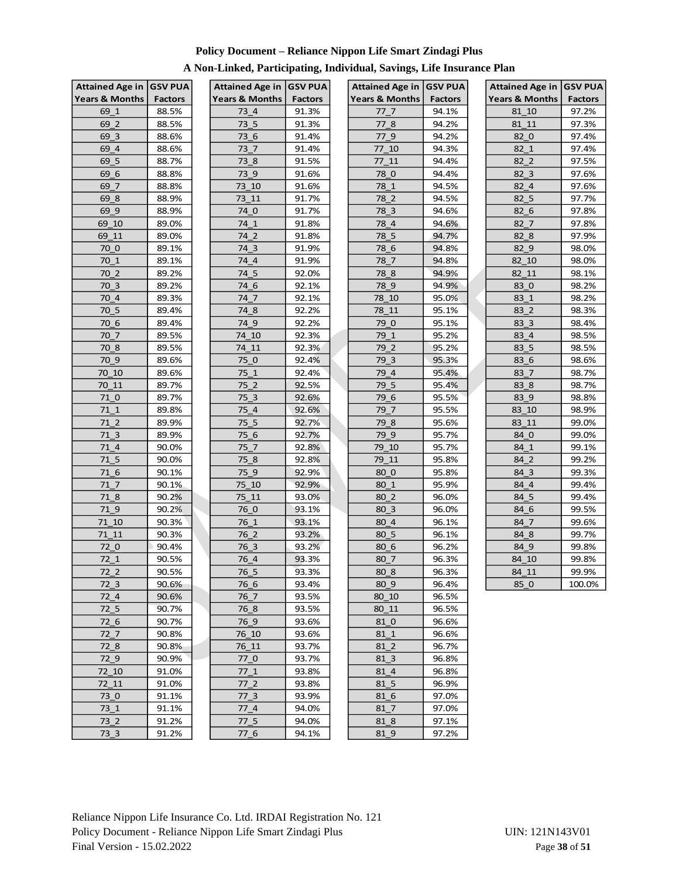| Attained Age in   GSV PUA |                | Attained Age in GSV PUA   |                | <b>Attained Age in</b>             | <b>GSV PUA</b> | Attained Age in GSV PUA   |                |
|---------------------------|----------------|---------------------------|----------------|------------------------------------|----------------|---------------------------|----------------|
| <b>Years &amp; Months</b> | <b>Factors</b> | <b>Years &amp; Months</b> | <b>Factors</b> | <b>Years &amp; Months</b>          | <b>Factors</b> | <b>Years &amp; Months</b> | <b>Factors</b> |
| 69 1                      | 88.5%          | 73 4                      | 91.3%          | 77 7                               | 94.1%          | 81 10                     | 97.2%          |
| 69_2                      | 88.5%          | $73-5$                    | 91.3%          | 77 8                               | 94.2%          | 81 11                     | 97.3%          |
| 69 3                      | 88.6%          | 736                       | 91.4%          | 77 <sub>9</sub>                    | 94.2%          | 82 0                      | 97.4%          |
| 69 4                      | 88.6%          | 73 7                      | 91.4%          | 77 10                              | 94.3%          | 82 1                      | 97.4%          |
| 69 5                      | 88.7%          | 73 8                      | 91.5%          | 77 11                              | 94.4%          | 82 2                      | 97.5%          |
| 69 6                      | 88.8%          | $73-9$                    | 91.6%          | 78 <sub>0</sub>                    | 94.4%          | 82 3                      | 97.6%          |
| 69 7                      | 88.8%          | 73 10                     | 91.6%          | 78 1                               | 94.5%          | 82 4                      | 97.6%          |
| 69 8                      | 88.9%          | $73 - 11$                 | 91.7%          | 78 2                               | 94.5%          | 82 5                      | 97.7%          |
| 69 9                      | 88.9%          | 74 0                      | 91.7%          | 78 3                               | 94.6%          | 82 <sub>6</sub>           | 97.8%          |
| 69_10                     | 89.0%          | $74_1$                    | 91.8%          | $78_4$                             | 94.6%          | 82 7                      | 97.8%          |
| 69 11                     | 89.0%          | 74 <sub>2</sub>           | 91.8%          | $78-5$                             | 94.7%          | 82 <sub>8</sub>           | 97.9%          |
| 70 <sub>0</sub>           | 89.1%          | 74 <sub>3</sub>           | 91.9%          | 78_6                               | 94.8%          | 82 9                      | 98.0%          |
| 70 1                      | 89.1%          | 74 4                      | 91.9%          | 78 7                               | 94.8%          | 82 10                     | 98.0%          |
| 70 2                      | 89.2%          | 74 5                      | 92.0%          | 78 8                               | 94.9%          | 82 11                     | 98.1%          |
| 70 3                      | 89.2%          | 74 6                      | 92.1%          | 78 9                               | 94.9%          | 83 0                      | 98.2%          |
| 70 4                      | 89.3%          | 74 7                      | 92.1%          | 78 10                              | 95.0%          | 83 1                      | 98.2%          |
| 70 5                      | 89.4%          | 74 8                      | 92.2%          | 78 11                              | 95.1%          | 83 2                      | 98.3%          |
| 70 <sub>6</sub>           | 89.4%          | 74_9                      | 92.2%          | 79 0                               | 95.1%          | 83 3                      | 98.4%          |
| 70 7                      | 89.5%          | 74 10                     | 92.3%          | 79 1                               | 95.2%          | 83 4                      | 98.5%          |
| 70 8                      | 89.5%          | 74 11                     | 92.3%          | 79 2                               | 95.2%          | 83 5                      | 98.5%          |
| 70 9                      | 89.6%          | 75 0                      | 92.4%          | 79 3                               | 95.3%          | 83 6                      | 98.6%          |
| 70 10                     | 89.6%          | 75 1                      | 92.4%          | 79 4                               | 95.4%          | 83 7                      | 98.7%          |
| $70 - 11$                 | 89.7%          | $75-2$                    | 92.5%          | 79 5                               | 95.4%          | 83 <sub>8</sub>           | 98.7%          |
| 710                       | 89.7%          | 75 3                      | 92.6%          | 79 6                               | 95.5%          | 83 9                      | 98.8%          |
| 71 1                      | 89.8%          | 75 4                      | 92.6%          | 79 7                               | 95.5%          | 83 10                     | 98.9%          |
| 71 <sub>2</sub>           | 89.9%          | $75-5$                    | 92.7%          | 79 8                               | 95.6%          | 83_11                     | 99.0%          |
| 71 <sub>3</sub>           | 89.9%          | 75 <sub>6</sub>           | 92.7%          | 79 9                               | 95.7%          | 84_0                      | 99.0%          |
| 71 4                      | 90.0%          | 75 7                      | 92.8%          | 79 10                              | 95.7%          | 84 1                      | 99.1%          |
| 71 5                      | 90.0%          | 75 <sub>8</sub>           | 92.8%          | 79 11                              | 95.8%          | 84 2                      | 99.2%          |
| 71 <sub>6</sub>           | 90.1%          | 75 9                      | 92.9%          | 80 0                               | 95.8%          | 84 3                      | 99.3%          |
| 71 7                      | 90.1%          | 75_10                     | 92.9%          | 80 1                               | 95.9%          | 84 4                      | 99.4%          |
| 71 8                      | 90.2%          | 75 11                     | 93.0%          | 80 2                               | 96.0%          | 84 5                      | 99.4%          |
| 719                       | 90.2%          | 76 0                      | 93.1%          | 80 3                               | 96.0%          | 84 6                      | 99.5%          |
| 71 10                     | 90.3%          | 76 1                      | 93.1%          | 80 4                               | 96.1%          | $84-7$                    | 99.6%          |
| 71 11                     | 90.3%          | 76 2                      | 93.2%          | 80 5                               | 96.1%          | 84 8                      | 99.7%          |
| 72 0                      | 90.4%          | 76 3                      | 93.2%          | 80 6                               | 96.2%          | 84 9                      | 99.8%          |
| 72 1                      | 90.5%          | 76 4                      | 93.3%          | 80 7                               | 96.3%          | 84_10                     | 99.8%          |
|                           | 90.5%          |                           | 93.3%          | 80 8                               | 96.3%          |                           | 99.9%          |
| 72_2<br>72 <sub>3</sub>   | 90.6%          | 76_5<br>76 6              | 93.4%          | 80 9                               | 96.4%          | 84_11<br>85 0             | 100.0%         |
| 72 4                      | 90.6%          | 76 7                      | 93.5%          | 80 10                              | 96.5%          |                           |                |
| 72 <sub>5</sub>           | 90.7%          | 76 8                      | 93.5%          | 80_11                              | 96.5%          |                           |                |
|                           |                |                           |                |                                    |                |                           |                |
| $72-6$<br>72 7            | 90.7%<br>90.8% | $76 - 9$<br>76_10         | 93.6%<br>93.6% | 81 <sub>0</sub><br>81 <sub>1</sub> | 96.6%<br>96.6% |                           |                |
|                           |                |                           | 93.7%          |                                    | 96.7%          |                           |                |
| 72 <sub>8</sub>           | 90.8%          | 76_11                     |                | 81 <sub>2</sub>                    |                |                           |                |
| 72 9                      | 90.9%          | 77 0                      | 93.7%          | 81 <sub>3</sub>                    | 96.8%          |                           |                |
| 72 10                     | 91.0%          | $77-1$                    | 93.8%          | 81 <sub>4</sub>                    | 96.8%          |                           |                |
| 72 11                     | 91.0%          | 77 2                      | 93.8%          | 81 5                               | 96.9%          |                           |                |
| 73 0                      | 91.1%          | 77 <sub>3</sub>           | 93.9%          | 81 <sub>6</sub>                    | 97.0%          |                           |                |
| 73 <sub>1</sub>           | 91.1%          | 77 4                      | 94.0%          | 81 <sub>7</sub>                    | 97.0%          |                           |                |
| 73 <sub>2</sub>           | 91.2%          | $77\_5$                   | 94.0%          | 81 <sub>8</sub>                    | 97.1%          |                           |                |
| $73-3$                    | 91.2%          | $77-6$                    | 94.1%          | 81 <sub>9</sub>                    | 97.2%          |                           |                |

# **A Non-Linked, Participating, Individual, Savings, Life Insurance Plan**

| <b>Attained Age in</b>        | GSV PUA        |
|-------------------------------|----------------|
| <b>Years &amp; Months</b>     | <b>Factors</b> |
| 81<br>10                      | 97.2%          |
| 81<br>11                      | 97.3%          |
| 82 0                          | 97.4%          |
| 82 1                          | 97.4%          |
| $82 - 2$                      | 97.5%          |
| 3<br>82                       | 97.6%          |
| $\overline{4}$<br>82          | 97.6%          |
| 82 <sub>5</sub>               | 97.7%          |
| $82\_6$                       | 97.8%          |
| $82 - 7$                      | 97.8%          |
| 82<br>8                       | 97.9%          |
| 82<br>9                       | 98.0%          |
| $\overline{82}$ 10            | 98.0%          |
| 82 11                         | 98.1%          |
| 83 0                          | 98.2%          |
| 83<br>$\mathbf{1}$            | 98.2%          |
| $\overline{\mathbf{c}}$<br>83 | 98.3%          |
| 83 3                          | 98.4%          |
| 83 4                          | 98.5%          |
| 83 5                          | 98.5%          |
| $83_$<br>6                    | 98.6%          |
| 83<br>7                       | 98.7%          |
| 83 8                          | 98.7%          |
| 83 <sub>9</sub>               | 98.8%          |
| 83_10                         | 98.9%          |
| $83 -$<br>11                  | 99.0%          |
| 84<br>$\mathbf 0$             | 99.0%          |
| 84 1                          | 99.1%          |
| 84 2                          | 99.2%          |
| 84 3                          | 99.3%          |
| 84 4                          | 99.4%          |
| 5<br>84                       | 99.4%          |
| 84 6                          | 99.5%          |
| 84 7                          | 99.6%          |
| 84 8                          | 99.7%          |
| $84 - 9$                      | 99.8%          |
| 10<br>84                      | 99.8%          |
| $\frac{1}{84}$ 11             | 99.9%          |
| 85 0                          | 100.0%         |
|                               |                |

Reliance Nippon Life Insurance Co. Ltd. IRDAI Registration No. 121 Policy Document - Reliance Nippon Life Smart Zindagi Plus UIN: 121N143V01 Final Version - 15.02.2022 Page **38** of **51**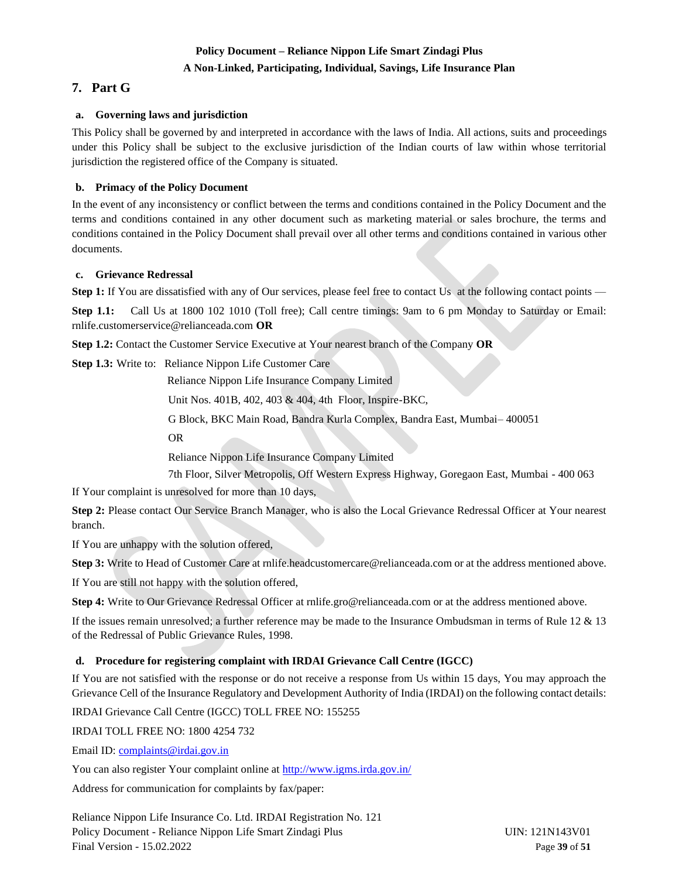## **A Non-Linked, Participating, Individual, Savings, Life Insurance Plan**

# <span id="page-38-0"></span>**7. Part G**

## <span id="page-38-1"></span>**a. Governing laws and jurisdiction**

This Policy shall be governed by and interpreted in accordance with the laws of India. All actions, suits and proceedings under this Policy shall be subject to the exclusive jurisdiction of the Indian courts of law within whose territorial jurisdiction the registered office of the Company is situated.

## <span id="page-38-2"></span>**b. Primacy of the Policy Document**

In the event of any inconsistency or conflict between the terms and conditions contained in the Policy Document and the terms and conditions contained in any other document such as marketing material or sales brochure, the terms and conditions contained in the Policy Document shall prevail over all other terms and conditions contained in various other documents.

#### <span id="page-38-3"></span>**c. Grievance Redressal**

**Step 1:** If You are dissatisfied with any of Our services, please feel free to contact Us at the following contact points —

**Step 1.1:** Call Us at 1800 102 1010 (Toll free); Call centre timings: 9am to 6 pm Monday to Saturday or Email: rnlife.customerservice@relianceada.com **OR**

**Step 1.2:** Contact the Customer Service Executive at Your [nearest branch](http://www.reliancelife.com/rlic/Contactus/BranchLocator/BranchLocator.aspx) of the Company **OR**

**Step 1.3:** Write to: Reliance Nippon Life Customer Care

Reliance Nippon Life Insurance Company Limited

Unit Nos. 401B, 402, 403 & 404, 4th Floor, Inspire-BKC,

G Block, BKC Main Road, Bandra Kurla Complex, Bandra East, Mumbai– 400051

OR

Reliance Nippon Life Insurance Company Limited

7th Floor, Silver Metropolis, Off Western Express Highway, Goregaon East, Mumbai - 400 063

If Your complaint is unresolved for more than 10 days,

**Step 2:** Please contact Our Service Branch Manager, who is also the Local Grievance Redressal Officer at Your nearest branch.

If You are unhappy with the solution offered,

**Step 3:** Write to Head of Customer Care at rnlife.headcustomercare@relianceada.com or at the address mentioned above.

If You are still not happy with the solution offered,

**Step 4:** Write to Our Grievance Redressal Officer at rnlife.gro@relianceada.com or at the address mentioned above.

If the issues remain unresolved; a further reference may be made to the Insurance Ombudsman in terms of Rule 12 & 13 of the Redressal of Public Grievance Rules, 1998.

## <span id="page-38-4"></span>**d. Procedure for registering complaint with IRDAI Grievance Call Centre (IGCC)**

If You are not satisfied with the response or do not receive a response from Us within 15 days, You may approach the Grievance Cell of the Insurance Regulatory and Development Authority of India (IRDAI) on the following contact details:

IRDAI Grievance Call Centre (IGCC) TOLL FREE NO: 155255

IRDAI TOLL FREE NO: 1800 4254 732

Email ID: [complaints@irdai.gov.in](mailto:complaints@irdai.gov.in)

You can also register Your complaint online a[t http://www.igms.irda.gov.in/](http://www.igms.irda.gov.in/)

Address for communication for complaints by fax/paper:

Reliance Nippon Life Insurance Co. Ltd. IRDAI Registration No. 121 Policy Document - Reliance Nippon Life Smart Zindagi Plus UIN: 121N143V01 Final Version - 15.02.2022 Page **39** of **51**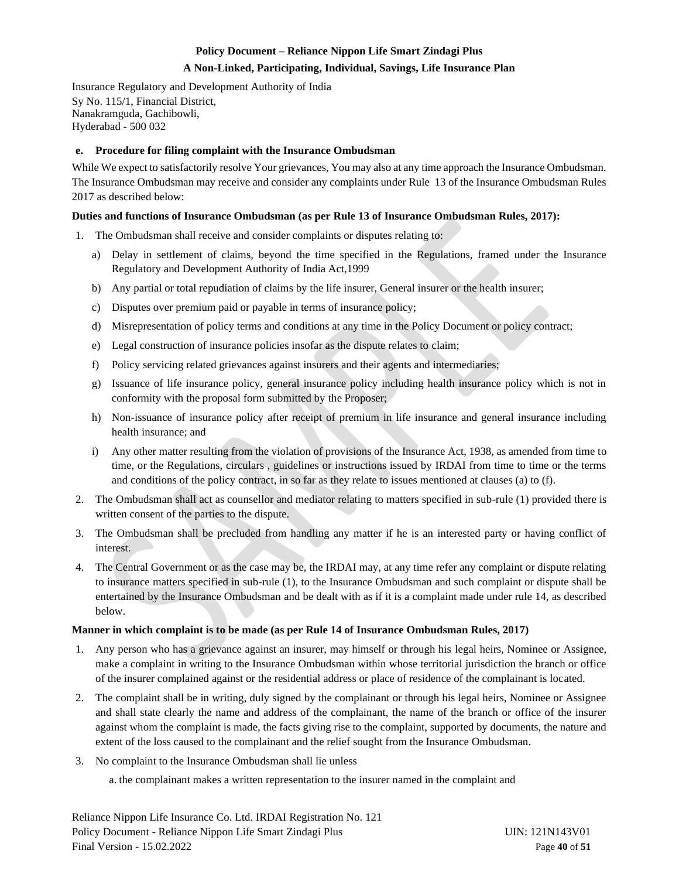#### **A Non-Linked, Participating, Individual, Savings, Life Insurance Plan**

Insurance Regulatory and Development Authority of India Sy No. 115/1, Financial District, Nanakramguda, Gachibowli, Hyderabad - 500 032

#### <span id="page-39-0"></span>**e. Procedure for filing complaint with the Insurance Ombudsman**

While We expect to satisfactorily resolve Your grievances, You may also at any time approach the Insurance Ombudsman. The Insurance Ombudsman may receive and consider any complaints under Rule 13 of the Insurance Ombudsman Rules 2017 as described below:

#### **Duties and functions of Insurance Ombudsman (as per Rule 13 of Insurance Ombudsman Rules, 2017):**

- 1. The Ombudsman shall receive and consider complaints or disputes relating to:
	- a) Delay in settlement of claims, beyond the time specified in the Regulations, framed under the Insurance Regulatory and Development Authority of India Act,1999
	- b) Any partial or total repudiation of claims by the life insurer, General insurer or the health insurer;
	- c) Disputes over premium paid or payable in terms of insurance policy;
	- d) Misrepresentation of policy terms and conditions at any time in the Policy Document or policy contract;
	- e) Legal construction of insurance policies insofar as the dispute relates to claim;
	- f) Policy servicing related grievances against insurers and their agents and intermediaries;
	- g) Issuance of life insurance policy, general insurance policy including health insurance policy which is not in conformity with the proposal form submitted by the Proposer;
	- h) Non-issuance of insurance policy after receipt of premium in life insurance and general insurance including health insurance; and
	- i) Any other matter resulting from the violation of provisions of the Insurance Act, 1938, as amended from time to time, or the Regulations, circulars , guidelines or instructions issued by IRDAI from time to time or the terms and conditions of the policy contract, in so far as they relate to issues mentioned at clauses (a) to (f).
- 2. The Ombudsman shall act as counsellor and mediator relating to matters specified in sub-rule (1) provided there is written consent of the parties to the dispute.
- 3. The Ombudsman shall be precluded from handling any matter if he is an interested party or having conflict of interest.
- 4. The Central Government or as the case may be, the IRDAI may, at any time refer any complaint or dispute relating to insurance matters specified in sub-rule (1), to the Insurance Ombudsman and such complaint or dispute shall be entertained by the Insurance Ombudsman and be dealt with as if it is a complaint made under rule 14, as described below.

#### **Manner in which complaint is to be made (as per Rule 14 of Insurance Ombudsman Rules, 2017)**

- 1. Any person who has a grievance against an insurer, may himself or through his legal heirs, Nominee or Assignee, make a complaint in writing to the Insurance Ombudsman within whose territorial jurisdiction the branch or office of the insurer complained against or the residential address or place of residence of the complainant is located.
- 2. The complaint shall be in writing, duly signed by the complainant or through his legal heirs, Nominee or Assignee and shall state clearly the name and address of the complainant, the name of the branch or office of the insurer against whom the complaint is made, the facts giving rise to the complaint, supported by documents, the nature and extent of the loss caused to the complainant and the relief sought from the Insurance Ombudsman.
- 3. No complaint to the Insurance Ombudsman shall lie unless

a. the complainant makes a written representation to the insurer named in the complaint and

Reliance Nippon Life Insurance Co. Ltd. IRDAI Registration No. 121 Policy Document - Reliance Nippon Life Smart Zindagi Plus UIN: 121N143V01 Final Version - 15.02.2022 Page **40** of **51**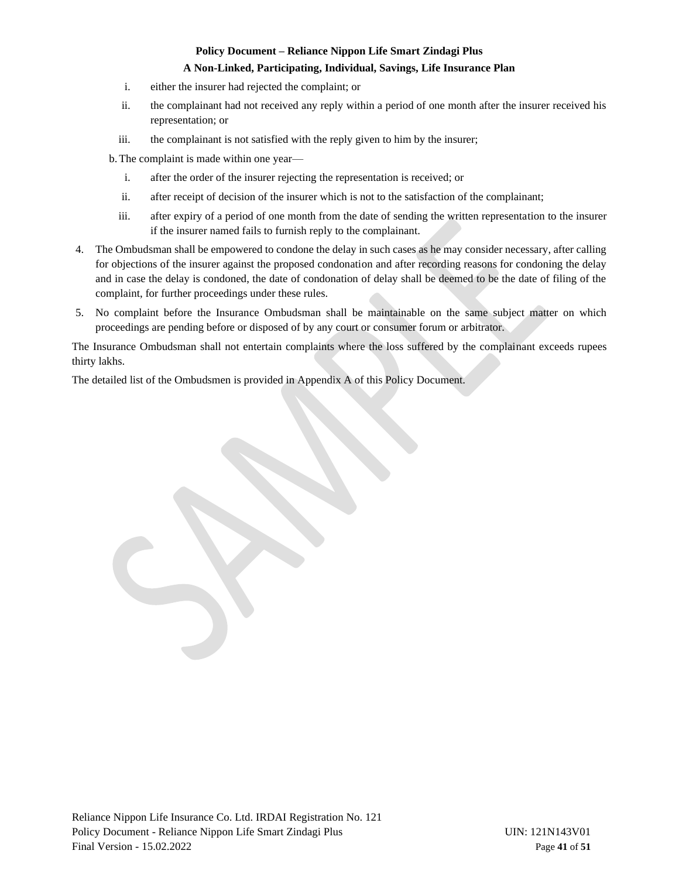#### **A Non-Linked, Participating, Individual, Savings, Life Insurance Plan**

- i. either the insurer had rejected the complaint; or
- ii. the complainant had not received any reply within a period of one month after the insurer received his representation; or
- iii. the complainant is not satisfied with the reply given to him by the insurer;

b.The complaint is made within one year—

- i. after the order of the insurer rejecting the representation is received; or
- ii. after receipt of decision of the insurer which is not to the satisfaction of the complainant;
- iii. after expiry of a period of one month from the date of sending the written representation to the insurer if the insurer named fails to furnish reply to the complainant.
- 4. The Ombudsman shall be empowered to condone the delay in such cases as he may consider necessary, after calling for objections of the insurer against the proposed condonation and after recording reasons for condoning the delay and in case the delay is condoned, the date of condonation of delay shall be deemed to be the date of filing of the complaint, for further proceedings under these rules.
- 5. No complaint before the Insurance Ombudsman shall be maintainable on the same subject matter on which proceedings are pending before or disposed of by any court or consumer forum or arbitrator.

The Insurance Ombudsman shall not entertain complaints where the loss suffered by the complainant exceeds rupees thirty lakhs.

The detailed list of the Ombudsmen is provided in Appendix A of this Policy Document.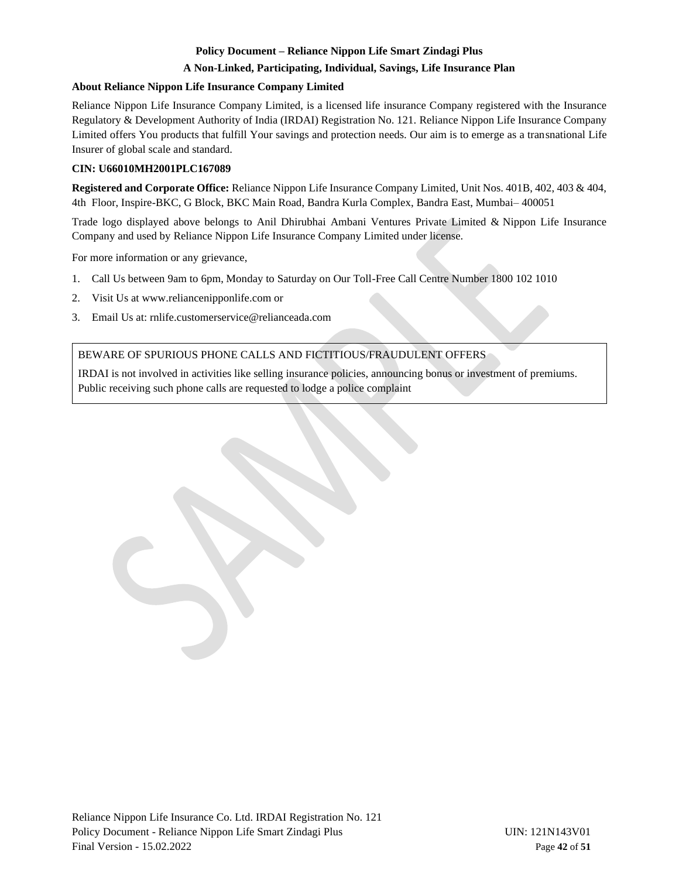## **A Non-Linked, Participating, Individual, Savings, Life Insurance Plan**

## **About Reliance Nippon Life Insurance Company Limited**

Reliance Nippon Life Insurance Company Limited, is a licensed life insurance Company registered with the Insurance Regulatory & Development Authority of India (IRDAI) Registration No. 121. Reliance Nippon Life Insurance Company Limited offers You products that fulfill Your savings and protection needs. Our aim is to emerge as a transnational Life Insurer of global scale and standard.

## **CIN: U66010MH2001PLC167089**

**Registered and Corporate Office:** Reliance Nippon Life Insurance Company Limited, Unit Nos. 401B, 402, 403 & 404, 4th Floor, Inspire-BKC, G Block, BKC Main Road, Bandra Kurla Complex, Bandra East, Mumbai– 400051

Trade logo displayed above belongs to Anil Dhirubhai Ambani Ventures Private Limited & Nippon Life Insurance Company and used by Reliance Nippon Life Insurance Company Limited under license.

For more information or any grievance,

- 1. Call Us between 9am to 6pm, Monday to Saturday on Our Toll-Free Call Centre Number 1800 102 1010
- 2. Visit Us at www.reliancenipponlife.com or
- 3. Email Us at: rnlife.customerservice@relianceada.com

## BEWARE OF SPURIOUS PHONE CALLS AND FICTITIOUS/FRAUDULENT OFFERS

IRDAI is not involved in activities like selling insurance policies, announcing bonus or investment of premiums. Public receiving such phone calls are requested to lodge a police complaint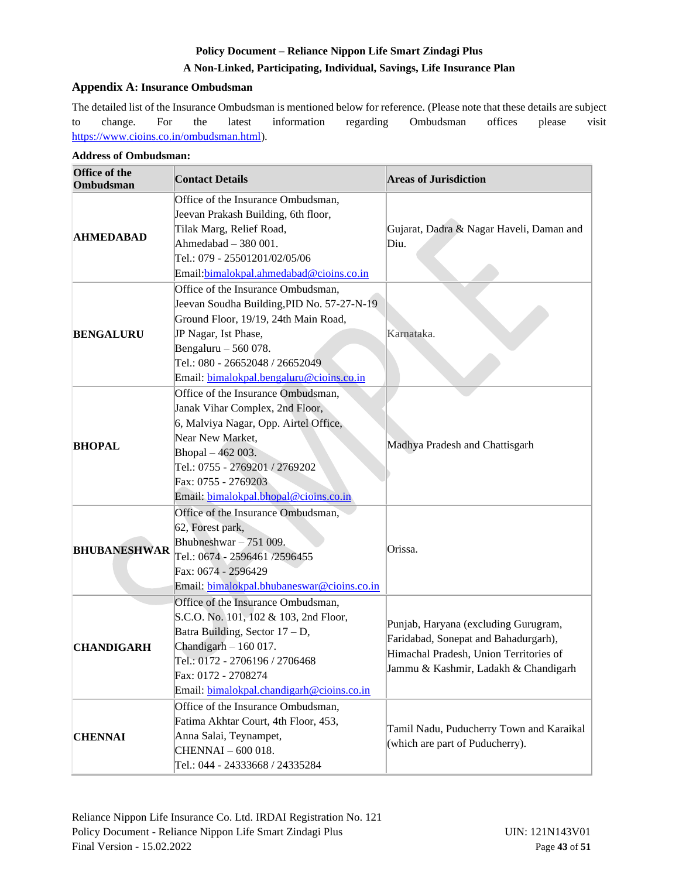## **A Non-Linked, Participating, Individual, Savings, Life Insurance Plan**

## <span id="page-42-0"></span>**Appendix A: Insurance Ombudsman**

The detailed list of the Insurance Ombudsman is mentioned below for reference. (Please note that these details are subject to change. For the latest information regarding Ombudsman offices please visit [https://www.cioins.co.in/ombudsman.html\)](https://www.cioins.co.in/ombudsman.html).

| Office of the<br>Ombudsman | <b>Contact Details</b>                                                                                                                                                                                                                                    | <b>Areas of Jurisdiction</b>                                                                                                                                   |
|----------------------------|-----------------------------------------------------------------------------------------------------------------------------------------------------------------------------------------------------------------------------------------------------------|----------------------------------------------------------------------------------------------------------------------------------------------------------------|
| <b>AHMEDABAD</b>           | Office of the Insurance Ombudsman,<br>Jeevan Prakash Building, 6th floor,<br>Tilak Marg, Relief Road,<br>Ahmedabad $-380001$ .<br>Tel.: 079 - 25501201/02/05/06<br>Email: bimalokpal.ahmedabad@cioins.co.in                                               | Gujarat, Dadra & Nagar Haveli, Daman and<br>Diu.                                                                                                               |
| <b>BENGALURU</b>           | Office of the Insurance Ombudsman,<br>Jeevan Soudha Building, PID No. 57-27-N-19<br>Ground Floor, 19/19, 24th Main Road,<br>JP Nagar, Ist Phase,<br>Bengaluru $-560078$ .<br>Tel.: 080 - 26652048 / 26652049<br>Email: bimalokpal.bengaluru@cioins.co.in  | Karnataka.                                                                                                                                                     |
| <b>BHOPAL</b>              | Office of the Insurance Ombudsman,<br>Janak Vihar Complex, 2nd Floor,<br>6, Malviya Nagar, Opp. Airtel Office,<br>Near New Market,<br>Bhopal - 462 003.<br>Tel.: 0755 - 2769201 / 2769202<br>Fax: 0755 - 2769203<br>Email: bimalokpal.bhopal@cioins.co.in | Madhya Pradesh and Chattisgarh                                                                                                                                 |
| <b>BHUBANESHWAR</b>        | Office of the Insurance Ombudsman,<br>62, Forest park,<br>Bhubneshwar $-751009$ .<br>Tel.: 0674 - 2596461 /2596455<br>Fax: 0674 - 2596429<br>Email: bimalokpal.bhubaneswar@cioins.co.in                                                                   | Orissa.                                                                                                                                                        |
| <b>CHANDIGARH</b>          | Office of the Insurance Ombudsman,<br>S.C.O. No. 101, 102 & 103, 2nd Floor,<br>Batra Building, Sector $17 - D$ ,<br>Chandigarh $-160017$ .<br>Tel.: 0172 - 2706196 / 2706468<br>Fax: 0172 - 2708274<br>Email: bimalokpal.chandigarh@cioins.co.in          | Punjab, Haryana (excluding Gurugram,<br>Faridabad, Sonepat and Bahadurgarh),<br>Himachal Pradesh, Union Territories of<br>Jammu & Kashmir, Ladakh & Chandigarh |
| <b>CHENNAI</b>             | Office of the Insurance Ombudsman,<br>Fatima Akhtar Court, 4th Floor, 453,<br>Anna Salai, Teynampet,<br>CHENNAI - 600 018.<br>Tel.: 044 - 24333668 / 24335284                                                                                             | Tamil Nadu, Puducherry Town and Karaikal<br>(which are part of Puducherry).                                                                                    |

## **Address of Ombudsman:**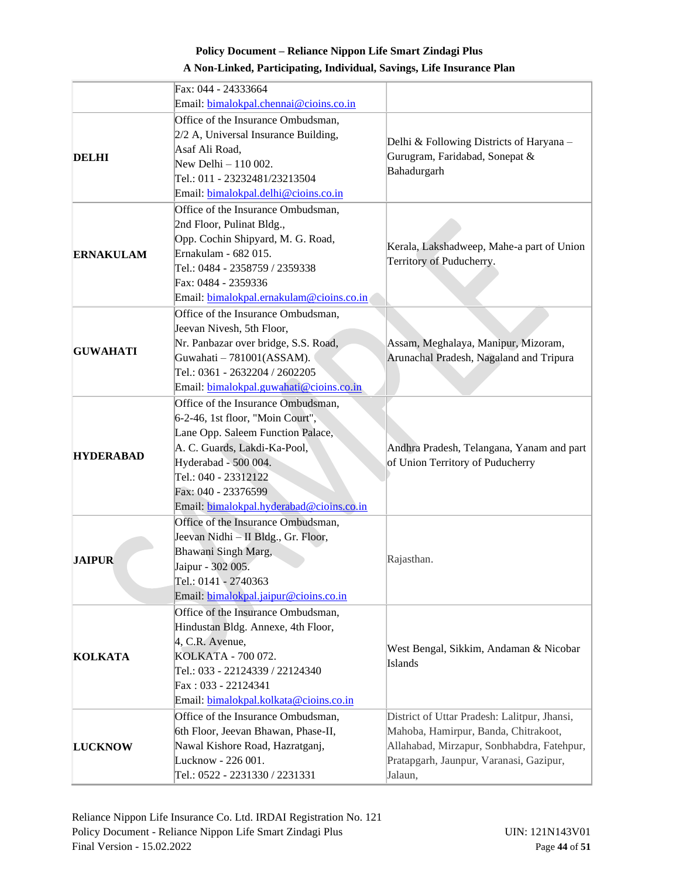|                  | Fax: 044 - 24333664                                                       |                                                                               |
|------------------|---------------------------------------------------------------------------|-------------------------------------------------------------------------------|
|                  | Email: bimalokpal.chennai@cioins.co.in                                    |                                                                               |
|                  | Office of the Insurance Ombudsman,                                        |                                                                               |
|                  | $2/2$ A, Universal Insurance Building,                                    |                                                                               |
|                  | Asaf Ali Road,                                                            | Delhi & Following Districts of Haryana -                                      |
| <b>DELHI</b>     | New Delhi - 110 002.                                                      | Gurugram, Faridabad, Sonepat &                                                |
|                  | Tel.: 011 - 23232481/23213504                                             | Bahadurgarh                                                                   |
|                  | Email: bimalokpal.delhi@cioins.co.in                                      |                                                                               |
|                  | Office of the Insurance Ombudsman,                                        |                                                                               |
| <b>ERNAKULAM</b> | 2nd Floor, Pulinat Bldg.,                                                 |                                                                               |
|                  | Opp. Cochin Shipyard, M. G. Road,                                         |                                                                               |
|                  | Ernakulam - 682 015.                                                      | Kerala, Lakshadweep, Mahe-a part of Union                                     |
|                  | Tel.: 0484 - 2358759 / 2359338                                            | Territory of Puducherry.                                                      |
|                  | Fax: 0484 - 2359336                                                       |                                                                               |
|                  | Email: bimalokpal.ernakulam@cioins.co.in                                  |                                                                               |
|                  | Office of the Insurance Ombudsman,                                        |                                                                               |
|                  | Jeevan Nivesh, 5th Floor,                                                 |                                                                               |
|                  | Nr. Panbazar over bridge, S.S. Road,                                      | Assam, Meghalaya, Manipur, Mizoram,                                           |
| <b>GUWAHATI</b>  | Guwahati - 781001 (ASSAM).                                                | Arunachal Pradesh, Nagaland and Tripura                                       |
|                  | Tel.: 0361 - 2632204 / 2602205                                            |                                                                               |
|                  | Email: bimalokpal.guwahati@cioins.co.in                                   |                                                                               |
|                  | Office of the Insurance Ombudsman,                                        |                                                                               |
|                  | 6-2-46, 1st floor, "Moin Court",                                          |                                                                               |
|                  | Lane Opp. Saleem Function Palace,                                         |                                                                               |
|                  | A. C. Guards, Lakdi-Ka-Pool,                                              |                                                                               |
| <b>HYDERABAD</b> | Hyderabad - 500 004.                                                      | Andhra Pradesh, Telangana, Yanam and part<br>of Union Territory of Puducherry |
|                  | Tel.: 040 - 23312122                                                      |                                                                               |
|                  | Fax: 040 - 23376599                                                       |                                                                               |
|                  | Email: bimalokpal.hyderabad@cioins.co.in                                  |                                                                               |
|                  |                                                                           |                                                                               |
|                  | Office of the Insurance Ombudsman,<br>Jeevan Nidhi - II Bldg., Gr. Floor, |                                                                               |
|                  |                                                                           |                                                                               |
| <b>JAIPUR</b>    | Bhawani Singh Marg,                                                       | Rajasthan.                                                                    |
|                  | Jaipur - 302 005.                                                         |                                                                               |
|                  | Tel.: 0141 - 2740363                                                      |                                                                               |
|                  | Email: bimalokpal.jaipur@cioins.co.in                                     |                                                                               |
|                  | Office of the Insurance Ombudsman,                                        |                                                                               |
|                  | Hindustan Bldg. Annexe, 4th Floor,                                        |                                                                               |
|                  | 4, C.R. Avenue,                                                           | West Bengal, Sikkim, Andaman & Nicobar                                        |
| <b>KOLKATA</b>   | KOLKATA - 700 072.                                                        | Islands                                                                       |
|                  | Tel.: 033 - 22124339 / 22124340                                           |                                                                               |
|                  | Fax: 033 - 22124341                                                       |                                                                               |
|                  | Email: bimalokpal.kolkata@cioins.co.in                                    |                                                                               |
|                  | Office of the Insurance Ombudsman,                                        | District of Uttar Pradesh: Lalitpur, Jhansi,                                  |
| <b>LUCKNOW</b>   | 6th Floor, Jeevan Bhawan, Phase-II,                                       | Mahoba, Hamirpur, Banda, Chitrakoot,                                          |
|                  | Nawal Kishore Road, Hazratganj,                                           | Allahabad, Mirzapur, Sonbhabdra, Fatehpur,                                    |
|                  | Lucknow - 226 001.                                                        | Pratapgarh, Jaunpur, Varanasi, Gazipur,                                       |
|                  | Tel.: 0522 - 2231330 / 2231331                                            | Jalaun,                                                                       |

## **A Non-Linked, Participating, Individual, Savings, Life Insurance Plan**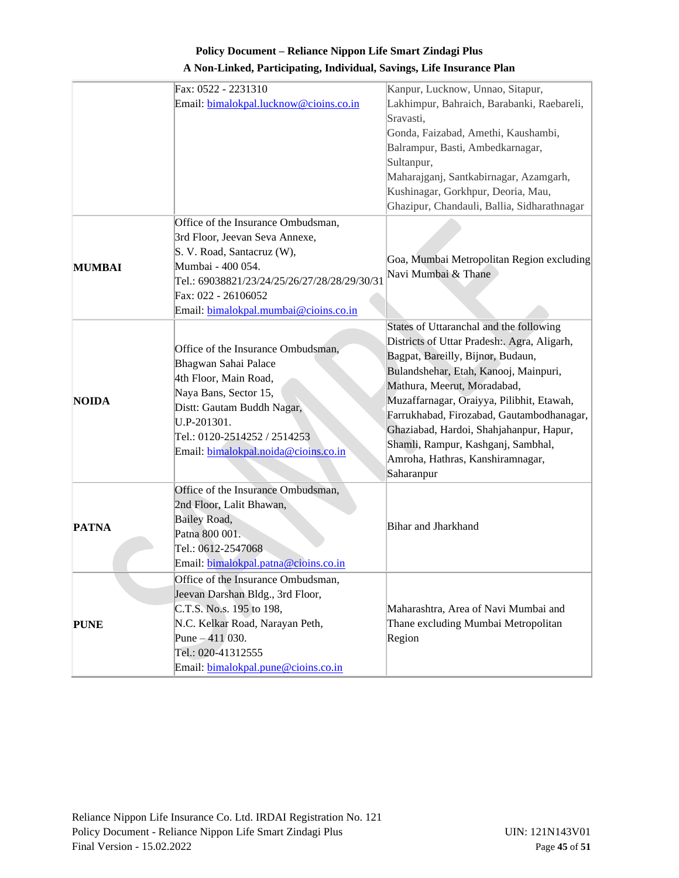| A Non-Linked, Participating, Individual, Savings, Life Insurance Plan |  |  |
|-----------------------------------------------------------------------|--|--|
|-----------------------------------------------------------------------|--|--|

|               | Fax: 0522 - 2231310                          | Kanpur, Lucknow, Unnao, Sitapur,            |  |
|---------------|----------------------------------------------|---------------------------------------------|--|
|               | Email: bimalokpal.lucknow@cioins.co.in       | Lakhimpur, Bahraich, Barabanki, Raebareli,  |  |
|               |                                              | Sravasti,                                   |  |
|               |                                              | Gonda, Faizabad, Amethi, Kaushambi,         |  |
|               |                                              | Balrampur, Basti, Ambedkarnagar,            |  |
|               |                                              | Sultanpur,                                  |  |
|               |                                              | Maharajganj, Santkabirnagar, Azamgarh,      |  |
|               |                                              | Kushinagar, Gorkhpur, Deoria, Mau,          |  |
|               |                                              | Ghazipur, Chandauli, Ballia, Sidharathnagar |  |
|               | Office of the Insurance Ombudsman,           |                                             |  |
|               | 3rd Floor, Jeevan Seva Annexe,               |                                             |  |
|               | S. V. Road, Santacruz (W),                   |                                             |  |
| <b>MUMBAI</b> | Mumbai - 400 054.                            | Goa, Mumbai Metropolitan Region excluding   |  |
|               | Tel.: 69038821/23/24/25/26/27/28/28/29/30/31 | Navi Mumbai & Thane                         |  |
|               | Fax: 022 - 26106052                          |                                             |  |
|               | Email: bimalokpal.mumbai@cioins.co.in        |                                             |  |
|               |                                              | States of Uttaranchal and the following     |  |
|               |                                              | Districts of Uttar Pradesh: Agra, Aligarh,  |  |
|               | Office of the Insurance Ombudsman,           | Bagpat, Bareilly, Bijnor, Budaun,           |  |
|               | Bhagwan Sahai Palace                         | Bulandshehar, Etah, Kanooj, Mainpuri,       |  |
|               | 4th Floor, Main Road,                        | Mathura, Meerut, Moradabad,                 |  |
| <b>NOIDA</b>  | Naya Bans, Sector 15,                        | Muzaffarnagar, Oraiyya, Pilibhit, Etawah,   |  |
|               | Distt: Gautam Buddh Nagar,                   | Farrukhabad, Firozabad, Gautambodhanagar,   |  |
|               | U.P-201301.                                  | Ghaziabad, Hardoi, Shahjahanpur, Hapur,     |  |
|               | Tel.: 0120-2514252 / 2514253                 | Shamli, Rampur, Kashganj, Sambhal,          |  |
|               | Email: bimalokpal.noida@cioins.co.in         | Amroha, Hathras, Kanshiramnagar,            |  |
|               |                                              | Saharanpur                                  |  |
|               | Office of the Insurance Ombudsman,           |                                             |  |
|               | 2nd Floor, Lalit Bhawan,                     |                                             |  |
|               |                                              |                                             |  |
| <b>PATNA</b>  | <b>Bailey Road,</b><br>Patna 800 001.        | Bihar and Jharkhand                         |  |
|               | Tel.: 0612-2547068                           |                                             |  |
|               |                                              |                                             |  |
|               | Email: bimalokpal.patna@cioins.co.in         |                                             |  |
|               | Office of the Insurance Ombudsman,           |                                             |  |
| <b>PUNE</b>   | Jeevan Darshan Bldg., 3rd Floor,             |                                             |  |
|               | C.T.S. No.s. 195 to 198,                     | Maharashtra, Area of Navi Mumbai and        |  |
|               | N.C. Kelkar Road, Narayan Peth,              | Thane excluding Mumbai Metropolitan         |  |
|               | Pune $-411$ 030.                             | Region                                      |  |
|               | Tel.: 020-41312555                           |                                             |  |
|               | Email: bimalokpal.pune@cioins.co.in          |                                             |  |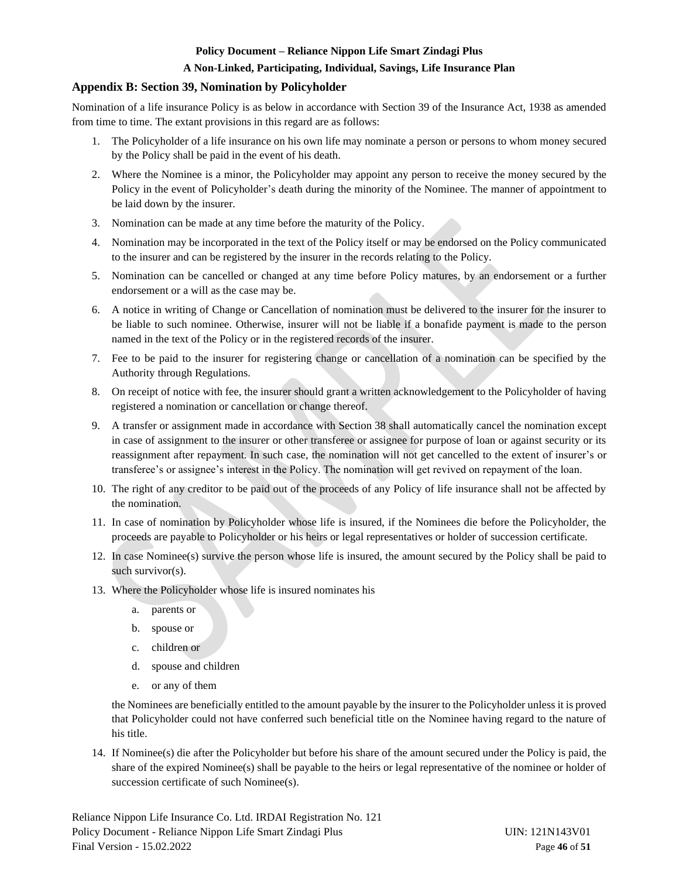#### **A Non-Linked, Participating, Individual, Savings, Life Insurance Plan**

## <span id="page-45-0"></span>**Appendix B: Section 39, Nomination by Policyholder**

Nomination of a life insurance Policy is as below in accordance with Section 39 of the Insurance Act, 1938 as amended from time to time. The extant provisions in this regard are as follows:

- 1. The Policyholder of a life insurance on his own life may nominate a person or persons to whom money secured by the Policy shall be paid in the event of his death.
- 2. Where the Nominee is a minor, the Policyholder may appoint any person to receive the money secured by the Policy in the event of Policyholder's death during the minority of the Nominee. The manner of appointment to be laid down by the insurer.
- 3. Nomination can be made at any time before the maturity of the Policy.
- 4. Nomination may be incorporated in the text of the Policy itself or may be endorsed on the Policy communicated to the insurer and can be registered by the insurer in the records relating to the Policy.
- 5. Nomination can be cancelled or changed at any time before Policy matures, by an endorsement or a further endorsement or a will as the case may be.
- 6. A notice in writing of Change or Cancellation of nomination must be delivered to the insurer for the insurer to be liable to such nominee. Otherwise, insurer will not be liable if a bonafide payment is made to the person named in the text of the Policy or in the registered records of the insurer.
- 7. Fee to be paid to the insurer for registering change or cancellation of a nomination can be specified by the Authority through Regulations.
- 8. On receipt of notice with fee, the insurer should grant a written acknowledgement to the Policyholder of having registered a nomination or cancellation or change thereof.
- 9. A transfer or assignment made in accordance with Section 38 shall automatically cancel the nomination except in case of assignment to the insurer or other transferee or assignee for purpose of loan or against security or its reassignment after repayment. In such case, the nomination will not get cancelled to the extent of insurer's or transferee's or assignee's interest in the Policy. The nomination will get revived on repayment of the loan.
- 10. The right of any creditor to be paid out of the proceeds of any Policy of life insurance shall not be affected by the nomination.
- 11. In case of nomination by Policyholder whose life is insured, if the Nominees die before the Policyholder, the proceeds are payable to Policyholder or his heirs or legal representatives or holder of succession certificate.
- 12. In case Nominee(s) survive the person whose life is insured, the amount secured by the Policy shall be paid to such survivor(s).
- 13. Where the Policyholder whose life is insured nominates his
	- a. parents or
	- b. spouse or
	- c. children or
	- d. spouse and children
	- e. or any of them

the Nominees are beneficially entitled to the amount payable by the insurer to the Policyholder unless it is proved that Policyholder could not have conferred such beneficial title on the Nominee having regard to the nature of his title.

14. If Nominee(s) die after the Policyholder but before his share of the amount secured under the Policy is paid, the share of the expired Nominee(s) shall be payable to the heirs or legal representative of the nominee or holder of succession certificate of such Nominee(s).

Reliance Nippon Life Insurance Co. Ltd. IRDAI Registration No. 121 Policy Document - Reliance Nippon Life Smart Zindagi Plus UIN: 121N143V01 Final Version - 15.02.2022 Page **46** of **51**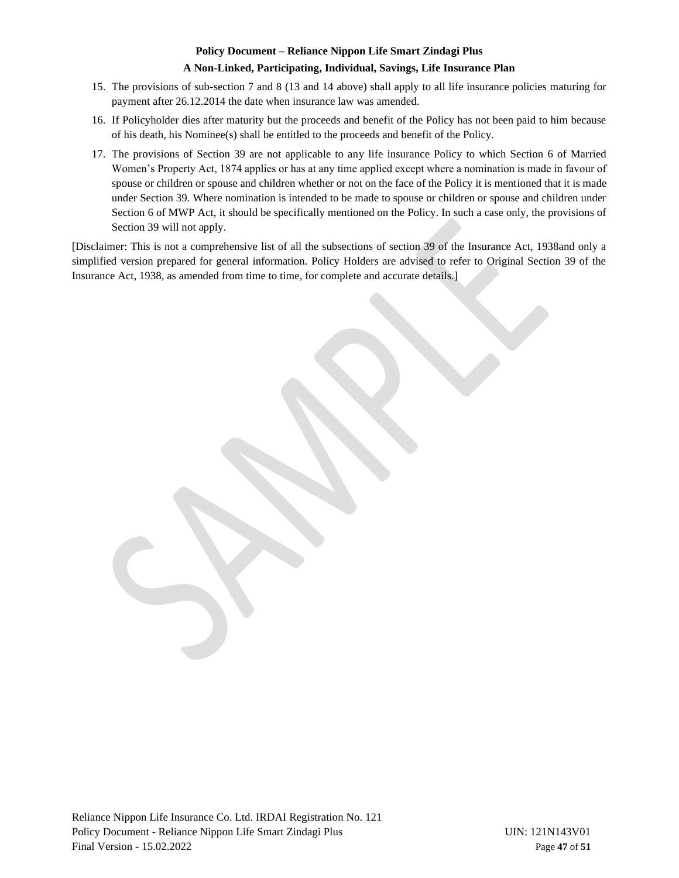#### **A Non-Linked, Participating, Individual, Savings, Life Insurance Plan**

- 15. The provisions of sub-section 7 and 8 (13 and 14 above) shall apply to all life insurance policies maturing for payment after 26.12.2014 the date when insurance law was amended.
- 16. If Policyholder dies after maturity but the proceeds and benefit of the Policy has not been paid to him because of his death, his Nominee(s) shall be entitled to the proceeds and benefit of the Policy.
- 17. The provisions of Section 39 are not applicable to any life insurance Policy to which Section 6 of Married Women's Property Act, 1874 applies or has at any time applied except where a nomination is made in favour of spouse or children or spouse and children whether or not on the face of the Policy it is mentioned that it is made under Section 39. Where nomination is intended to be made to spouse or children or spouse and children under Section 6 of MWP Act, it should be specifically mentioned on the Policy. In such a case only, the provisions of Section 39 will not apply.

[Disclaimer: This is not a comprehensive list of all the subsections of section 39 of the Insurance Act, 1938and only a simplified version prepared for general information. Policy Holders are advised to refer to Original Section 39 of the Insurance Act, 1938, as amended from time to time, for complete and accurate details.]

Reliance Nippon Life Insurance Co. Ltd. IRDAI Registration No. 121 Policy Document - Reliance Nippon Life Smart Zindagi Plus UIN: 121N143V01 Final Version - 15.02.2022 Page **47** of **51**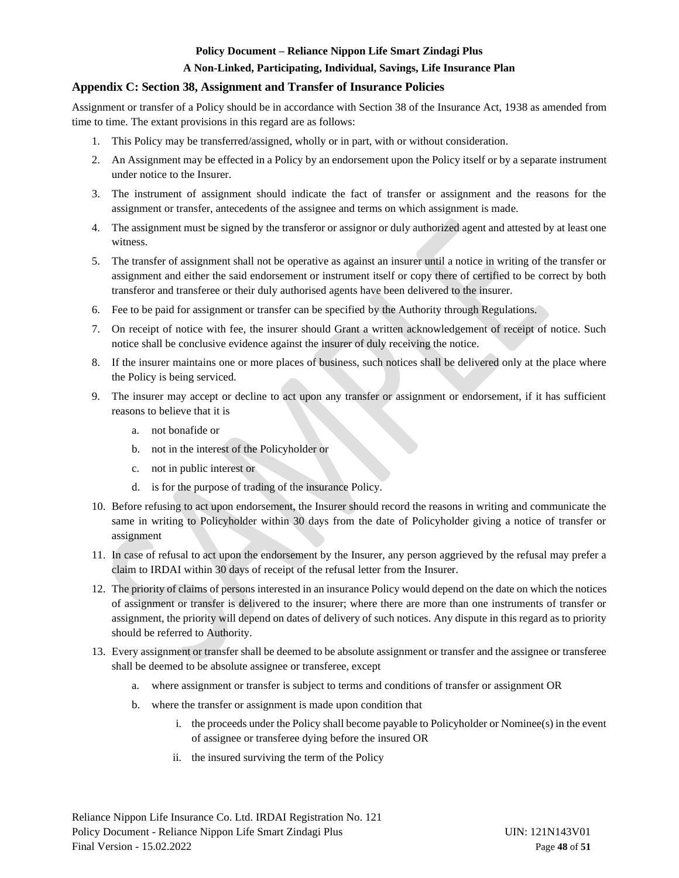#### **A Non-Linked, Participating, Individual, Savings, Life Insurance Plan**

#### <span id="page-47-0"></span>**Appendix C: Section 38, Assignment and Transfer of Insurance Policies**

Assignment or transfer of a Policy should be in accordance with Section 38 of the Insurance Act, 1938 as amended from time to time. The extant provisions in this regard are as follows:

- 1. This Policy may be transferred/assigned, wholly or in part, with or without consideration.
- 2. An Assignment may be effected in a Policy by an endorsement upon the Policy itself or by a separate instrument under notice to the Insurer.
- 3. The instrument of assignment should indicate the fact of transfer or assignment and the reasons for the assignment or transfer, antecedents of the assignee and terms on which assignment is made.
- 4. The assignment must be signed by the transferor or assignor or duly authorized agent and attested by at least one witness.
- 5. The transfer of assignment shall not be operative as against an insurer until a notice in writing of the transfer or assignment and either the said endorsement or instrument itself or copy there of certified to be correct by both transferor and transferee or their duly authorised agents have been delivered to the insurer.
- 6. Fee to be paid for assignment or transfer can be specified by the Authority through Regulations.
- 7. On receipt of notice with fee, the insurer should Grant a written acknowledgement of receipt of notice. Such notice shall be conclusive evidence against the insurer of duly receiving the notice.
- 8. If the insurer maintains one or more places of business, such notices shall be delivered only at the place where the Policy is being serviced.
- 9. The insurer may accept or decline to act upon any transfer or assignment or endorsement, if it has sufficient reasons to believe that it is
	- a. not bonafide or
	- b. not in the interest of the Policyholder or
	- c. not in public interest or
	- d. is for the purpose of trading of the insurance Policy.
- 10. Before refusing to act upon endorsement, the Insurer should record the reasons in writing and communicate the same in writing to Policyholder within 30 days from the date of Policyholder giving a notice of transfer or assignment
- 11. In case of refusal to act upon the endorsement by the Insurer, any person aggrieved by the refusal may prefer a claim to IRDAI within 30 days of receipt of the refusal letter from the Insurer.
- 12. The priority of claims of persons interested in an insurance Policy would depend on the date on which the notices of assignment or transfer is delivered to the insurer; where there are more than one instruments of transfer or assignment, the priority will depend on dates of delivery of such notices. Any dispute in this regard as to priority should be referred to Authority.
- 13. Every assignment or transfer shall be deemed to be absolute assignment or transfer and the assignee or transferee shall be deemed to be absolute assignee or transferee, except
	- a. where assignment or transfer is subject to terms and conditions of transfer or assignment OR
	- b. where the transfer or assignment is made upon condition that
		- i. the proceeds under the Policy shall become payable to Policyholder or Nominee(s) in the event of assignee or transferee dying before the insured OR
		- ii. the insured surviving the term of the Policy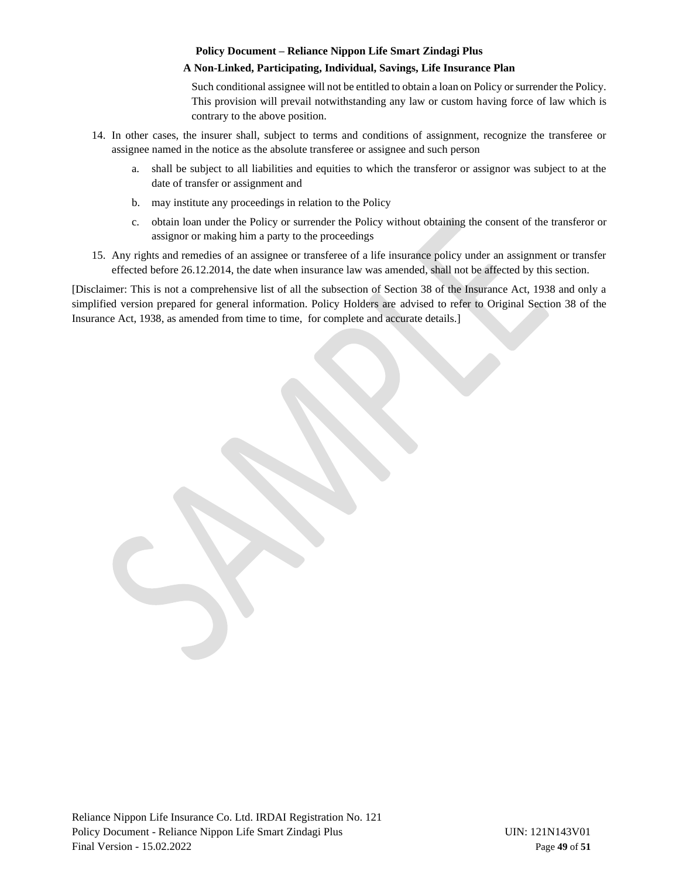## **A Non-Linked, Participating, Individual, Savings, Life Insurance Plan**

Such conditional assignee will not be entitled to obtain a loan on Policy or surrender the Policy. This provision will prevail notwithstanding any law or custom having force of law which is contrary to the above position.

- 14. In other cases, the insurer shall, subject to terms and conditions of assignment, recognize the transferee or assignee named in the notice as the absolute transferee or assignee and such person
	- a. shall be subject to all liabilities and equities to which the transferor or assignor was subject to at the date of transfer or assignment and
	- b. may institute any proceedings in relation to the Policy
	- c. obtain loan under the Policy or surrender the Policy without obtaining the consent of the transferor or assignor or making him a party to the proceedings
- 15. Any rights and remedies of an assignee or transferee of a life insurance policy under an assignment or transfer effected before 26.12.2014, the date when insurance law was amended, shall not be affected by this section.

[Disclaimer: This is not a comprehensive list of all the subsection of Section 38 of the Insurance Act, 1938 and only a simplified version prepared for general information. Policy Holders are advised to refer to Original Section 38 of the Insurance Act, 1938, as amended from time to time, for complete and accurate details.]

Reliance Nippon Life Insurance Co. Ltd. IRDAI Registration No. 121 Policy Document - Reliance Nippon Life Smart Zindagi Plus UIN: 121N143V01 Final Version - 15.02.2022 Page **49** of **51**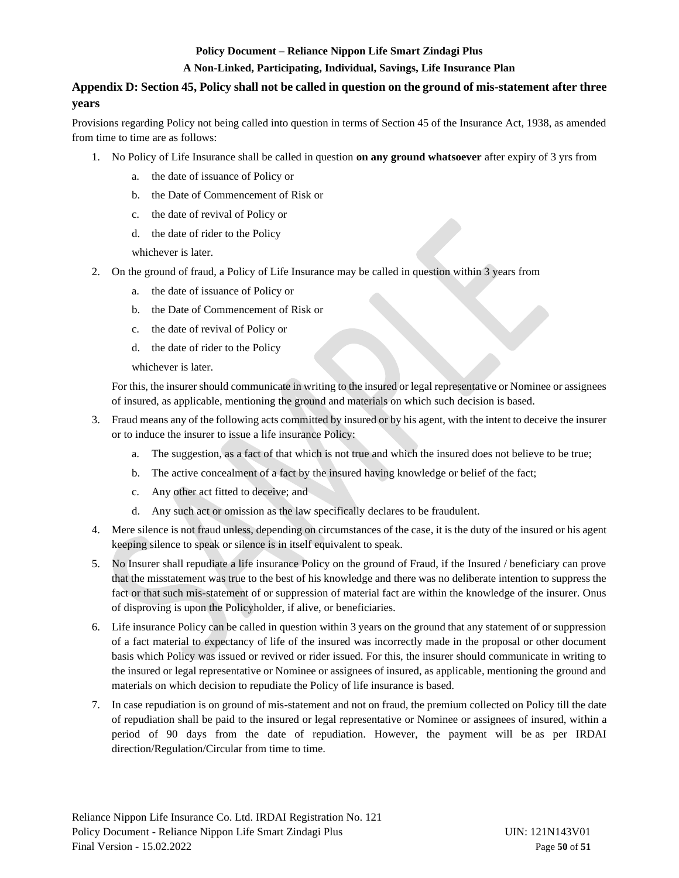#### **A Non-Linked, Participating, Individual, Savings, Life Insurance Plan**

# <span id="page-49-0"></span>**Appendix D: Section 45, Policy shall not be called in question on the ground of mis-statement after three years**

Provisions regarding Policy not being called into question in terms of Section 45 of the Insurance Act, 1938, as amended from time to time are as follows:

- 1. No Policy of Life Insurance shall be called in question **on any ground whatsoever** after expiry of 3 yrs from
	- a. the date of issuance of Policy or
	- b. the Date of Commencement of Risk or
	- c. the date of revival of Policy or
	- d. the date of rider to the Policy

whichever is later.

- 2. On the ground of fraud, a Policy of Life Insurance may be called in question within 3 years from
	- a. the date of issuance of Policy or
	- b. the Date of Commencement of Risk or
	- c. the date of revival of Policy or
	- d. the date of rider to the Policy
	- whichever is later.

For this, the insurer should communicate in writing to the insured or legal representative or Nominee or assignees of insured, as applicable, mentioning the ground and materials on which such decision is based.

- 3. Fraud means any of the following acts committed by insured or by his agent, with the intent to deceive the insurer or to induce the insurer to issue a life insurance Policy:
	- a. The suggestion, as a fact of that which is not true and which the insured does not believe to be true;
	- b. The active concealment of a fact by the insured having knowledge or belief of the fact;
	- c. Any other act fitted to deceive; and
	- d. Any such act or omission as the law specifically declares to be fraudulent.
- 4. Mere silence is not fraud unless, depending on circumstances of the case, it is the duty of the insured or his agent keeping silence to speak or silence is in itself equivalent to speak.
- 5. No Insurer shall repudiate a life insurance Policy on the ground of Fraud, if the Insured / beneficiary can prove that the misstatement was true to the best of his knowledge and there was no deliberate intention to suppress the fact or that such mis-statement of or suppression of material fact are within the knowledge of the insurer. Onus of disproving is upon the Policyholder, if alive, or beneficiaries.
- 6. Life insurance Policy can be called in question within 3 years on the ground that any statement of or suppression of a fact material to expectancy of life of the insured was incorrectly made in the proposal or other document basis which Policy was issued or revived or rider issued. For this, the insurer should communicate in writing to the insured or legal representative or Nominee or assignees of insured, as applicable, mentioning the ground and materials on which decision to repudiate the Policy of life insurance is based.
- 7. In case repudiation is on ground of mis-statement and not on fraud, the premium collected on Policy till the date of repudiation shall be paid to the insured or legal representative or Nominee or assignees of insured, within a period of 90 days from the date of repudiation. However, the payment will be as per IRDAI direction/Regulation/Circular from time to time.